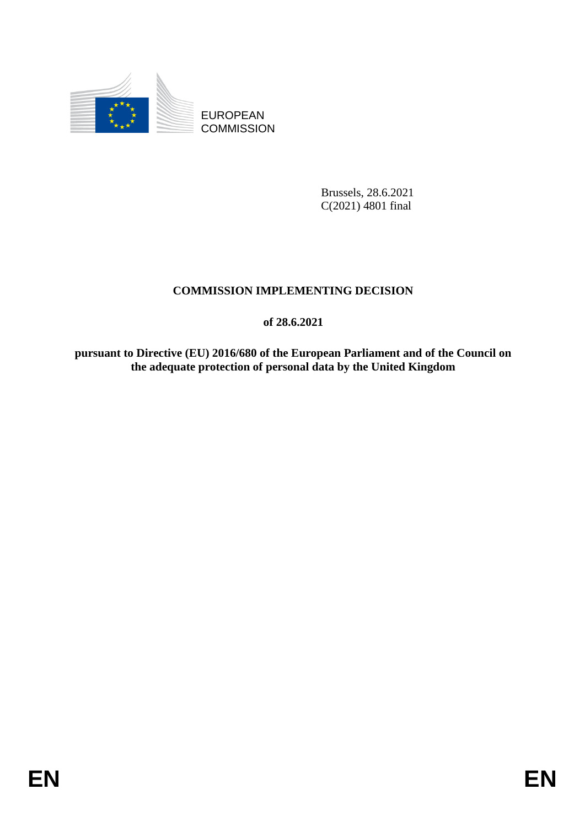

EUROPEAN **COMMISSION** 

> Brussels, 28.6.2021 C(2021) 4801 final

# **COMMISSION IMPLEMENTING DECISION**

**of 28.6.2021**

**pursuant to Directive (EU) 2016/680 of the European Parliament and of the Council on the adequate protection of personal data by the United Kingdom**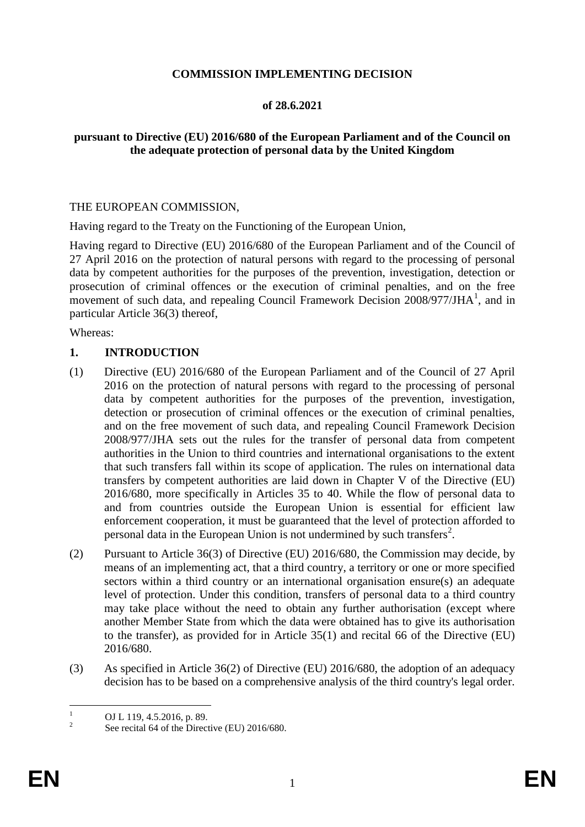#### **COMMISSION IMPLEMENTING DECISION**

#### **of 28.6.2021**

## **pursuant to Directive (EU) 2016/680 of the European Parliament and of the Council on the adequate protection of personal data by the United Kingdom**

#### THE EUROPEAN COMMISSION,

Having regard to the Treaty on the Functioning of the European Union,

Having regard to Directive (EU) 2016/680 of the European Parliament and of the Council of 27 April 2016 on the protection of natural persons with regard to the processing of personal data by competent authorities for the purposes of the prevention, investigation, detection or prosecution of criminal offences or the execution of criminal penalties, and on the free movement of such data, and repealing Council Framework Decision 2008/977/JHA<sup>1</sup>, and in particular Article 36(3) thereof,

Whereas:

#### **1. INTRODUCTION**

- (1) Directive (EU) 2016/680 of the European Parliament and of the Council of 27 April 2016 on the protection of natural persons with regard to the processing of personal data by competent authorities for the purposes of the prevention, investigation, detection or prosecution of criminal offences or the execution of criminal penalties, and on the free movement of such data, and repealing Council Framework Decision 2008/977/JHA sets out the rules for the transfer of personal data from competent authorities in the Union to third countries and international organisations to the extent that such transfers fall within its scope of application. The rules on international data transfers by competent authorities are laid down in Chapter V of the Directive (EU) 2016/680, more specifically in Articles 35 to 40. While the flow of personal data to and from countries outside the European Union is essential for efficient law enforcement cooperation, it must be guaranteed that the level of protection afforded to personal data in the European Union is not undermined by such transfers<sup>2</sup>.
- (2) Pursuant to Article 36(3) of Directive (EU) 2016/680, the Commission may decide, by means of an implementing act, that a third country, a territory or one or more specified sectors within a third country or an international organisation ensure(s) an adequate level of protection. Under this condition, transfers of personal data to a third country may take place without the need to obtain any further authorisation (except where another Member State from which the data were obtained has to give its authorisation to the transfer), as provided for in Article 35(1) and recital 66 of the Directive (EU) 2016/680.
- (3) As specified in Article 36(2) of Directive (EU) 2016/680, the adoption of an adequacy decision has to be based on a comprehensive analysis of the third country's legal order.

 $\mathbf{1}$ <sup>1</sup> OJ L 119, 4.5.2016, p. 89.

 $\overline{2}$ See recital 64 of the Directive (EU) 2016/680.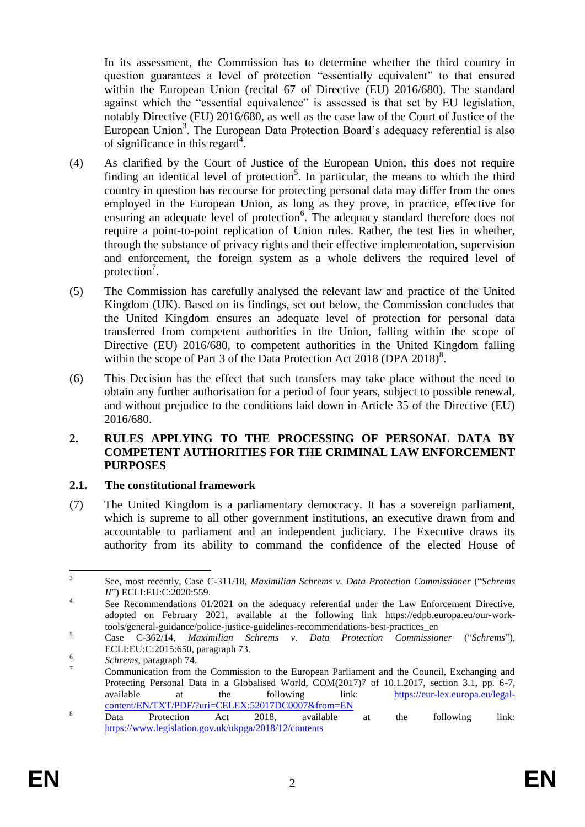In its assessment, the Commission has to determine whether the third country in question guarantees a level of protection "essentially equivalent" to that ensured within the European Union (recital 67 of Directive (EU) 2016/680). The standard against which the "essential equivalence" is assessed is that set by EU legislation, notably Directive (EU) 2016/680, as well as the case law of the Court of Justice of the European Union<sup>3</sup>. The European Data Protection Board's adequacy referential is also of significance in this regard<sup>4</sup>.

- (4) As clarified by the Court of Justice of the European Union, this does not require finding an identical level of protection<sup>5</sup>. In particular, the means to which the third country in question has recourse for protecting personal data may differ from the ones employed in the European Union, as long as they prove, in practice, effective for ensuring an adequate level of protection<sup>6</sup>. The adequacy standard therefore does not require a point-to-point replication of Union rules. Rather, the test lies in whether, through the substance of privacy rights and their effective implementation, supervision and enforcement, the foreign system as a whole delivers the required level of protection<sup>7</sup>.
- (5) The Commission has carefully analysed the relevant law and practice of the United Kingdom (UK). Based on its findings, set out below, the Commission concludes that the United Kingdom ensures an adequate level of protection for personal data transferred from competent authorities in the Union, falling within the scope of Directive (EU) 2016/680, to competent authorities in the United Kingdom falling within the scope of Part 3 of the Data Protection Act 2018 (DPA 2018)<sup>8</sup>.
- (6) This Decision has the effect that such transfers may take place without the need to obtain any further authorisation for a period of four years, subject to possible renewal, and without prejudice to the conditions laid down in Article 35 of the Directive (EU) 2016/680.

#### **2. RULES APPLYING TO THE PROCESSING OF PERSONAL DATA BY COMPETENT AUTHORITIES FOR THE CRIMINAL LAW ENFORCEMENT PURPOSES**

## **2.1. The constitutional framework**

(7) The United Kingdom is a parliamentary democracy. It has a sovereign parliament, which is supreme to all other government institutions, an executive drawn from and accountable to parliament and an independent judiciary. The Executive draws its authority from its ability to command the confidence of the elected House of

 $\frac{1}{3}$ See, most recently, Case C-311/18, *Maximilian Schrems v. Data Protection Commissioner* ("*Schrems II*") ECLI:EU:C:2020:559.

<sup>4</sup> See Recommendations 01/2021 on the adequacy referential under the Law Enforcement Directive, adopted on February 2021, available at the following link [https://edpb.europa.eu/our-work](https://edpb.europa.eu/our-work-tools/general-guidance/police-justice-guidelines-recommendations-best-practices_en)[tools/general-guidance/police-justice-guidelines-recommendations-best-practices\\_en](https://edpb.europa.eu/our-work-tools/general-guidance/police-justice-guidelines-recommendations-best-practices_en)

<sup>5</sup> Case C-362/14, *Maximilian Schrems v. Data Protection Commissioner* ("*Schrems*"), ECLI:EU:C:2015:650, paragraph 73. 6

*Schrems*, paragraph 74.

<sup>&</sup>lt;sup>7</sup> Communication from the Commission to the European Parliament and the Council, Exchanging and Protecting Personal Data in a Globalised World, COM(2017)7 of 10.1.2017, section 3.1, pp. 6-7, available at the following link: [https://eur-lex.europa.eu/legal](https://eur-lex.europa.eu/legal-content/EN/TXT/PDF/?uri=CELEX:52017DC0007&from=EN)[content/EN/TXT/PDF/?uri=CELEX:52017DC0007&from=EN](https://eur-lex.europa.eu/legal-content/EN/TXT/PDF/?uri=CELEX:52017DC0007&from=EN)

<sup>&</sup>lt;sup>8</sup> Data Protection Act 2018, available at the following link: <https://www.legislation.gov.uk/ukpga/2018/12/contents>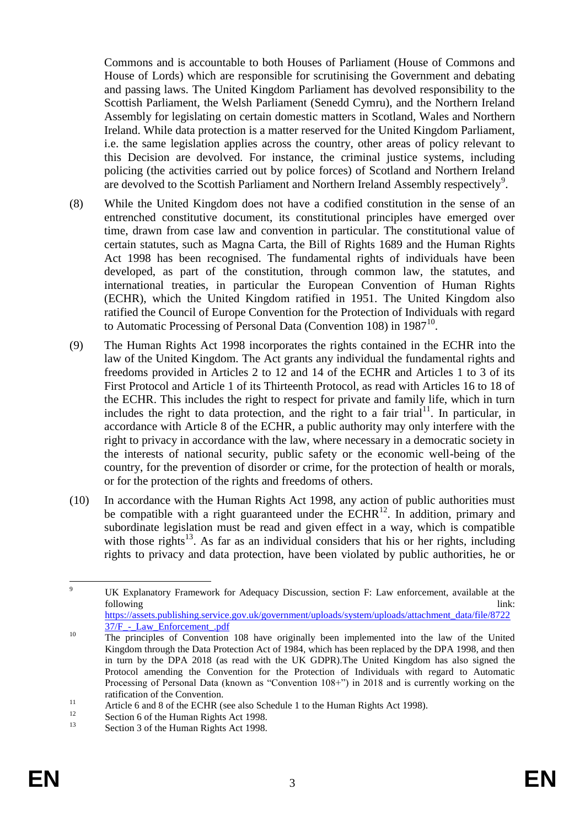<span id="page-3-0"></span>Commons and is accountable to both Houses of Parliament (House of Commons and House of Lords) which are responsible for scrutinising the Government and debating and passing laws. The United Kingdom Parliament has devolved responsibility to the Scottish Parliament, the Welsh Parliament (Senedd Cymru), and the Northern Ireland Assembly for legislating on certain domestic matters in Scotland, Wales and Northern Ireland. While data protection is a matter reserved for the United Kingdom Parliament, i.e. the same legislation applies across the country, other areas of policy relevant to this Decision are devolved. For instance, the criminal justice systems, including policing (the activities carried out by police forces) of Scotland and Northern Ireland are devolved to the Scottish Parliament and Northern Ireland Assembly respectively<sup>9</sup>.

- (8) While the United Kingdom does not have a codified constitution in the sense of an entrenched constitutive document, its constitutional principles have emerged over time, drawn from case law and convention in particular. The constitutional value of certain statutes, such as Magna Carta, the Bill of Rights 1689 and the Human Rights Act 1998 has been recognised. The fundamental rights of individuals have been developed, as part of the constitution, through common law, the statutes, and international treaties, in particular the European Convention of Human Rights (ECHR), which the United Kingdom ratified in 1951. The United Kingdom also ratified the Council of Europe Convention for the Protection of Individuals with regard to Automatic Processing of Personal Data (Convention 108) in 1987<sup>10</sup>.
- (9) The Human Rights Act 1998 incorporates the rights contained in the ECHR into the law of the United Kingdom. The Act grants any individual the fundamental rights and freedoms provided in Articles 2 to 12 and 14 of the ECHR and Articles 1 to 3 of its First Protocol and Article 1 of its Thirteenth Protocol, as read with Articles 16 to 18 of the ECHR. This includes the right to respect for private and family life, which in turn includes the right to data protection, and the right to a fair trial<sup>11</sup>. In particular, in accordance with Article 8 of the ECHR, a public authority may only interfere with the right to privacy in accordance with the law, where necessary in a democratic society in the interests of national security, public safety or the economic well-being of the country, for the prevention of disorder or crime, for the protection of health or morals, or for the protection of the rights and freedoms of others.
- (10) In accordance with the Human Rights Act 1998, any action of public authorities must be compatible with a right guaranteed under the  $ECHR<sup>12</sup>$ . In addition, primary and subordinate legislation must be read and given effect in a way, which is compatible with those rights<sup>13</sup>. As far as an individual considers that his or her rights, including rights to privacy and data protection, have been violated by public authorities, he or

 $\overline{9}$ <sup>9</sup> UK Explanatory Framework for Adequacy Discussion, section F: Law enforcement, available at the following link: the contract of the contract of the contract of the contract of the contract of the contract of the contract of the contract of the contract of the contract of the contract of the contract of the contract o [https://assets.publishing.service.gov.uk/government/uploads/system/uploads/attachment\\_data/file/8722](https://assets.publishing.service.gov.uk/government/uploads/system/uploads/attachment_data/file/872237/F_-_Law_Enforcement_.pdf)

<sup>37/</sup>F - Law Enforcement .pdf

<sup>&</sup>lt;sup>10</sup> The principles of Convention 108 have originally been implemented into the law of the United Kingdom through the Data Protection Act of 1984, which has been replaced by the DPA 1998, and then in turn by the DPA 2018 (as read with the UK GDPR).The United Kingdom has also signed the Protocol amending the Convention for the Protection of Individuals with regard to Automatic Processing of Personal Data (known as "Convention 108+") in 2018 and is currently working on the ratification of the Convention.

<sup>11</sup> Article 6 and 8 of the ECHR (see also Schedule 1 to the Human Rights Act 1998).

<sup>&</sup>lt;sup>12</sup> Section 6 of the Human Rights Act 1998.

Section 3 of the Human Rights Act 1998.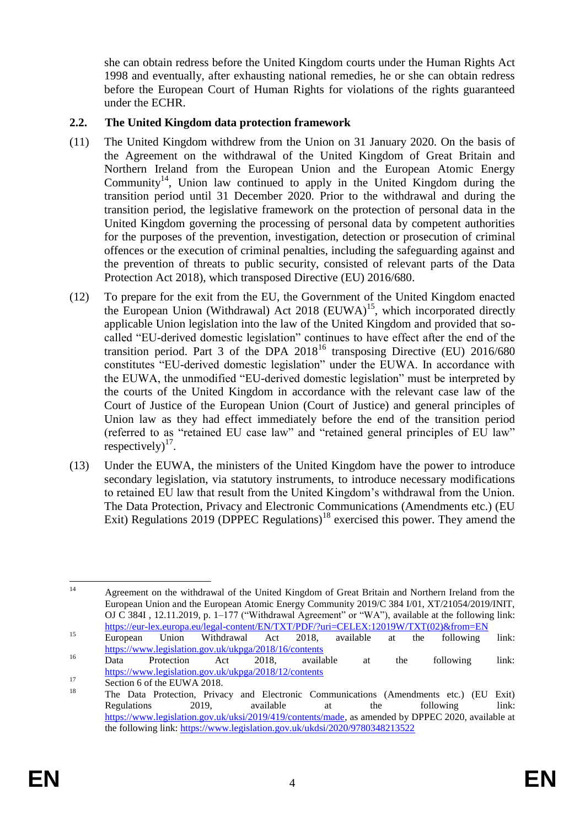she can obtain redress before the United Kingdom courts under the Human Rights Act 1998 and eventually, after exhausting national remedies, he or she can obtain redress before the European Court of Human Rights for violations of the rights guaranteed under the ECHR.

## **2.2. The United Kingdom data protection framework**

- (11) The United Kingdom withdrew from the Union on 31 January 2020. On the basis of the Agreement on the withdrawal of the United Kingdom of Great Britain and Northern Ireland from the European Union and the European Atomic Energy Community<sup>14</sup>, Union law continued to apply in the United Kingdom during the transition period until 31 December 2020. Prior to the withdrawal and during the transition period, the legislative framework on the protection of personal data in the United Kingdom governing the processing of personal data by competent authorities for the purposes of the prevention, investigation, detection or prosecution of criminal offences or the execution of criminal penalties, including the safeguarding against and the prevention of threats to public security, consisted of relevant parts of the Data Protection Act 2018), which transposed Directive (EU) 2016/680.
- (12) To prepare for the exit from the EU, the Government of the United Kingdom enacted the European Union (Withdrawal) Act 2018 (EUWA)<sup>15</sup>, which incorporated directly applicable Union legislation into the law of the United Kingdom and provided that socalled "EU-derived domestic legislation" continues to have effect after the end of the transition period. Part 3 of the DPA 2018<sup>16</sup> transposing Directive (EU) 2016/680 constitutes "EU-derived domestic legislation" under the EUWA. In accordance with the EUWA, the unmodified "EU-derived domestic legislation" must be interpreted by the courts of the United Kingdom in accordance with the relevant case law of the Court of Justice of the European Union (Court of Justice) and general principles of Union law as they had effect immediately before the end of the transition period (referred to as "retained EU case law" and "retained general principles of EU law" respectively) $^{17}$ .
- (13) Under the EUWA, the ministers of the United Kingdom have the power to introduce secondary legislation, via statutory instruments, to introduce necessary modifications to retained EU law that result from the United Kingdom's withdrawal from the Union. The Data Protection, Privacy and Electronic Communications (Amendments etc.) (EU Exit) Regulations 2019 (DPPEC Regulations)<sup>18</sup> exercised this power. They amend the

 $14$ <sup>14</sup> Agreement on the withdrawal of the United Kingdom of Great Britain and Northern Ireland from the European Union and the European Atomic Energy Community 2019/C 384 I/01, XT/21054/2019/INIT, OJ C 384I , 12.11.2019, p. 1–177 ("Withdrawal Agreement" or "WA"), available at the following link: [https://eur-lex.europa.eu/legal-content/EN/TXT/PDF/?uri=CELEX:12019W/TXT\(02\)&from=EN](https://eur-lex.europa.eu/legal-content/EN/TXT/PDF/?uri=CELEX:12019W/TXT(02)&from=EN)

<sup>&</sup>lt;sup>15</sup> European Union Withdrawal Act 2018, available at the following link: <https://www.legislation.gov.uk/ukpga/2018/16/contents>

<sup>&</sup>lt;sup>16</sup> Data Protection Act 2018, available at the following link: <https://www.legislation.gov.uk/ukpga/2018/12/contents>

 $\frac{17}{18}$  Section 6 of the EUWA 2018.

<sup>18</sup> The Data Protection, Privacy and Electronic Communications (Amendments etc.) (EU Exit) Regulations 2019, available at the following link: [https://www.legislation.gov.uk/uksi/2019/419/contents/made,](https://www.legislation.gov.uk/uksi/2019/419/contents/made) as amended by DPPEC 2020, available at the following link:<https://www.legislation.gov.uk/ukdsi/2020/9780348213522>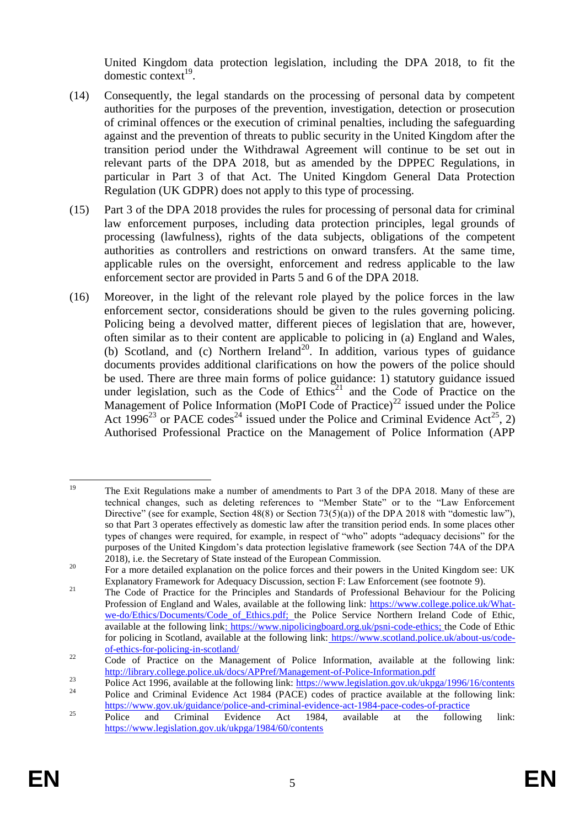United Kingdom data protection legislation, including the DPA 2018, to fit the domestic context<sup>19</sup>.

- (14) Consequently, the legal standards on the processing of personal data by competent authorities for the purposes of the prevention, investigation, detection or prosecution of criminal offences or the execution of criminal penalties, including the safeguarding against and the prevention of threats to public security in the United Kingdom after the transition period under the Withdrawal Agreement will continue to be set out in relevant parts of the DPA 2018, but as amended by the DPPEC Regulations, in particular in Part 3 of that Act. The United Kingdom General Data Protection Regulation (UK GDPR) does not apply to this type of processing.
- (15) Part 3 of the DPA 2018 provides the rules for processing of personal data for criminal law enforcement purposes, including data protection principles, legal grounds of processing (lawfulness), rights of the data subjects, obligations of the competent authorities as controllers and restrictions on onward transfers. At the same time, applicable rules on the oversight, enforcement and redress applicable to the law enforcement sector are provided in Parts 5 and 6 of the DPA 2018.
- (16) Moreover, in the light of the relevant role played by the police forces in the law enforcement sector, considerations should be given to the rules governing policing. Policing being a devolved matter, different pieces of legislation that are, however, often similar as to their content are applicable to policing in (a) England and Wales, (b) Scotland, and (c) Northern Ireland<sup>20</sup>. In addition, various types of guidance documents provides additional clarifications on how the powers of the police should be used. There are three main forms of police guidance: 1) statutory guidance issued under legislation, such as the Code of Ethics<sup>21</sup> and the Code of Practice on the Management of Police Information (MoPI Code of Practice)<sup>22</sup> issued under the Police Act 1996<sup>23</sup> or PACE codes<sup>24</sup> issued under the Police and Criminal Evidence Act<sup>25</sup>, 2) Authorised Professional Practice on the Management of Police Information (APP

<span id="page-5-0"></span> $19$ <sup>19</sup> The Exit Regulations make a number of amendments to Part 3 of the DPA 2018. Many of these are technical changes, such as deleting references to "Member State" or to the "Law Enforcement Directive" (see for example, Section 48(8) or Section 73(5)(a)) of the DPA 2018 with "domestic law"), so that Part 3 operates effectively as domestic law after the transition period ends. In some places other types of changes were required, for example, in respect of "who" adopts "adequacy decisions" for the purposes of the United Kingdom's data protection legislative framework (see Section 74A of the DPA 2018), i.e. the Secretary of State instead of the European Commission.

<sup>&</sup>lt;sup>20</sup> For a more detailed explanation on the police forces and their powers in the United Kingdom see: UK Explanatory Framework for Adequacy Discussion, section F: Law Enforcement (see footnote [9\)](#page-3-0).

<sup>&</sup>lt;sup>21</sup> The Code of Practice for the Principles and Standards of Professional Behaviour for the Policing Profession of England and Wales, available at the following link: [https://www.college.police.uk/What](https://www.college.police.uk/What-we-do/Ethics/Documents/Code_of_Ethics.pdf)we-do/Ethics/Documents/Code of Ethics.pdf; the Police Service Northern Ireland Code of Ethic, available at the following link: [https://www.nipolicingboard.org.uk/psni-code-ethics;](https://www.nipolicingboard.org.uk/psni-code-ethics) the Code of Ethic for policing in Scotland, available at the following link: [https://www.scotland.police.uk/about-us/code](https://www.scotland.police.uk/about-us/code-of-ethics-for-policing-in-scotland/)[of-ethics-for-policing-in-scotland/](https://www.scotland.police.uk/about-us/code-of-ethics-for-policing-in-scotland/)

<sup>&</sup>lt;sup>22</sup> Code of Practice on the Management of Police Information, available at the following link: <http://library.college.police.uk/docs/APPref/Management-of-Police-Information.pdf>

<sup>&</sup>lt;sup>23</sup><br>
Police Act 1996, available at the following link:<https://www.legislation.gov.uk/ukpga/1996/16/contents> <sup>24</sup> Police and Criminal Evidence Act 1984 (PACE) codes of practice available at the following link: <https://www.gov.uk/guidance/police-and-criminal-evidence-act-1984-pace-codes-of-practice>

 $25$  Police and Criminal Evidence Act 1984, available at the following link: <https://www.legislation.gov.uk/ukpga/1984/60/contents>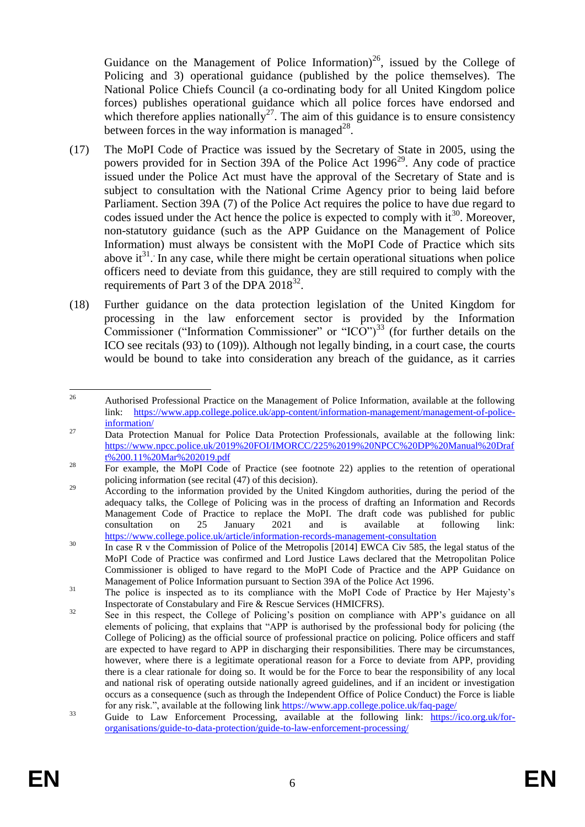<span id="page-6-1"></span>Guidance on the Management of Police Information)<sup>26</sup>, issued by the College of Policing and 3) operational guidance (published by the police themselves). The National Police Chiefs Council (a co-ordinating body for all United Kingdom police forces) publishes operational guidance which all police forces have endorsed and which therefore applies nationally<sup>27</sup>. The aim of this guidance is to ensure consistency between forces in the way information is managed $^{28}$ .

- (17) The MoPI Code of Practice was issued by the Secretary of State in 2005, using the powers provided for in Section 39A of the Police Act  $1996^{29}$ . Any code of practice issued under the Police Act must have the approval of the Secretary of State and is subject to consultation with the National Crime Agency prior to being laid before Parliament. Section 39A (7) of the Police Act requires the police to have due regard to codes issued under the Act hence the police is expected to comply with it<sup>30</sup>. Moreover, non-statutory guidance (such as the APP Guidance on the Management of Police Information) must always be consistent with the MoPI Code of Practice which sits above it<sup>31</sup>. In any case, while there might be certain operational situations when police officers need to deviate from this guidance, they are still required to comply with the requirements of Part 3 of the DPA  $2018^{32}$ .
- <span id="page-6-0"></span>(18) Further guidance on the data protection legislation of the United Kingdom for processing in the law enforcement sector is provided by the Information Commissioner ("Information Commissioner" or "ICO")<sup>33</sup> (for further details on the ICO see recitals (93) to (109)). Although not legally binding, in a court case, the courts would be bound to take into consideration any breach of the guidance, as it carries

<sup>26</sup> <sup>26</sup> Authorised Professional Practice on the Management of Police Information, available at the following link: [https://www.app.college.police.uk/app-content/information-management/management-of-police](https://www.app.college.police.uk/app-content/information-management/management-of-police-information/)[information/](https://www.app.college.police.uk/app-content/information-management/management-of-police-information/)

<sup>&</sup>lt;sup>27</sup> Data Protection Manual for Police Data Protection Professionals, available at the following link: [https://www.npcc.police.uk/2019%20FOI/IMORCC/225%2019%20NPCC%20DP%20Manual%20Draf](https://www.npcc.police.uk/2019%20FOI/IMORCC/225%2019%20NPCC%20DP%20Manual%20Draft%200.11%20Mar%202019.pdf) [t%200.11%20Mar%202019.pdf](https://www.npcc.police.uk/2019%20FOI/IMORCC/225%2019%20NPCC%20DP%20Manual%20Draft%200.11%20Mar%202019.pdf)

<sup>&</sup>lt;sup>28</sup> For example, the MoPI Code of Practice (see footnote [22\)](#page-5-0) applies to the retention of operational policing information (see recital (47) of this decision).

<sup>&</sup>lt;sup>29</sup> According to the information provided by the United Kingdom authorities, during the period of the adequacy talks, the College of Policing was in the process of drafting an Information and Records Management Code of Practice to replace the MoPI. The draft code was published for public consultation on 25 January 2021 and is available at following link: <https://www.college.police.uk/article/information-records-management-consultation>

<sup>&</sup>lt;sup>30</sup> In case R v the Commission of Police of the Metropolis [2014] EWCA Civ 585, the legal status of the MoPI Code of Practice was confirmed and Lord Justice Laws declared that the Metropolitan Police Commissioner is obliged to have regard to the MoPI Code of Practice and the APP Guidance on Management of Police Information pursuant to Section 39A of the Police Act 1996.

<sup>&</sup>lt;sup>31</sup> The police is inspected as to its compliance with the MoPI Code of Practice by Her Majesty's Inspectorate of Constabulary and Fire & Rescue Services (HMICFRS).

<sup>&</sup>lt;sup>32</sup> See in this respect, the College of Policing's position on compliance with APP's guidance on all elements of policing, that explains that "APP is authorised by the professional body for policing (the College of Policing) as the official source of professional practice on policing. Police officers and staff are expected to have regard to APP in discharging their responsibilities. There may be circumstances, however, where there is a legitimate operational reason for a Force to deviate from APP, providing there is a clear rationale for doing so. It would be for the Force to bear the responsibility of any local and national risk of operating outside nationally agreed guidelines, and if an incident or investigation occurs as a consequence (such as through the Independent Office of Police Conduct) the Force is liable for any risk.", available at the following link <https://www.app.college.police.uk/faq-page/>

<sup>&</sup>lt;sup>33</sup> Guide to Law Enforcement Processing, available at the following link: [https://ico.org.uk/for](https://ico.org.uk/for-organisations/guide-to-data-protection/guide-to-law-enforcement-processing/)[organisations/guide-to-data-protection/guide-to-law-enforcement-processing/](https://ico.org.uk/for-organisations/guide-to-data-protection/guide-to-law-enforcement-processing/)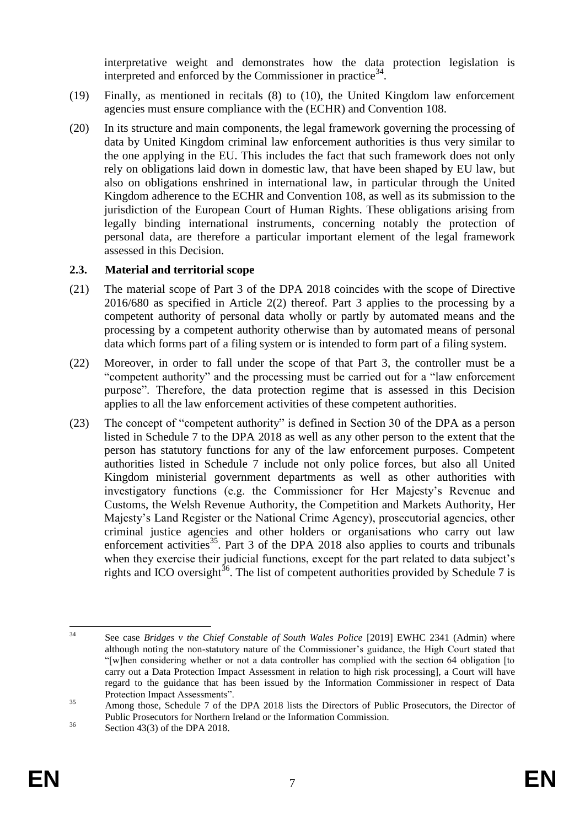interpretative weight and demonstrates how the data protection legislation is interpreted and enforced by the Commissioner in practice $34$ .

- (19) Finally, as mentioned in recitals (8) to (10), the United Kingdom law enforcement agencies must ensure compliance with the (ECHR) and Convention 108.
- (20) In its structure and main components, the legal framework governing the processing of data by United Kingdom criminal law enforcement authorities is thus very similar to the one applying in the EU. This includes the fact that such framework does not only rely on obligations laid down in domestic law, that have been shaped by EU law, but also on obligations enshrined in international law, in particular through the United Kingdom adherence to the ECHR and Convention 108, as well as its submission to the jurisdiction of the European Court of Human Rights. These obligations arising from legally binding international instruments, concerning notably the protection of personal data, are therefore a particular important element of the legal framework assessed in this Decision.

#### **2.3. Material and territorial scope**

- (21) The material scope of Part 3 of the DPA 2018 coincides with the scope of Directive 2016/680 as specified in Article 2(2) thereof. Part 3 applies to the processing by a competent authority of personal data wholly or partly by automated means and the processing by a competent authority otherwise than by automated means of personal data which forms part of a filing system or is intended to form part of a filing system.
- (22) Moreover, in order to fall under the scope of that Part 3, the controller must be a "competent authority" and the processing must be carried out for a "law enforcement purpose". Therefore, the data protection regime that is assessed in this Decision applies to all the law enforcement activities of these competent authorities.
- (23) The concept of "competent authority" is defined in Section 30 of the DPA as a person listed in Schedule 7 to the DPA 2018 as well as any other person to the extent that the person has statutory functions for any of the law enforcement purposes. Competent authorities listed in Schedule 7 include not only police forces, but also all United Kingdom ministerial government departments as well as other authorities with investigatory functions (e.g. the Commissioner for Her Majesty's Revenue and Customs, the Welsh Revenue Authority, the Competition and Markets Authority, Her Majesty's Land Register or the National Crime Agency), prosecutorial agencies, other criminal justice agencies and other holders or organisations who carry out law enforcement activities<sup>35</sup>. Part 3 of the DPA 2018 also applies to courts and tribunals when they exercise their judicial functions, except for the part related to data subject's rights and ICO oversight<sup>36</sup>. The list of competent authorities provided by Schedule 7 is

 $34$ See case *Bridges v the Chief Constable of South Wales Police* [2019] EWHC 2341 (Admin) where although noting the non-statutory nature of the Commissioner's guidance, the High Court stated that "[w]hen considering whether or not a data controller has complied with the section 64 obligation [to carry out a Data Protection Impact Assessment in relation to high risk processing], a Court will have regard to the guidance that has been issued by the Information Commissioner in respect of Data Protection Impact Assessments".

<sup>&</sup>lt;sup>35</sup> Among those, Schedule 7 of the DPA 2018 lists the Directors of Public Prosecutors, the Director of Public Prosecutors for Northern Ireland or the Information Commission.

<sup>&</sup>lt;sup>36</sup> Section 43(3) of the DPA 2018.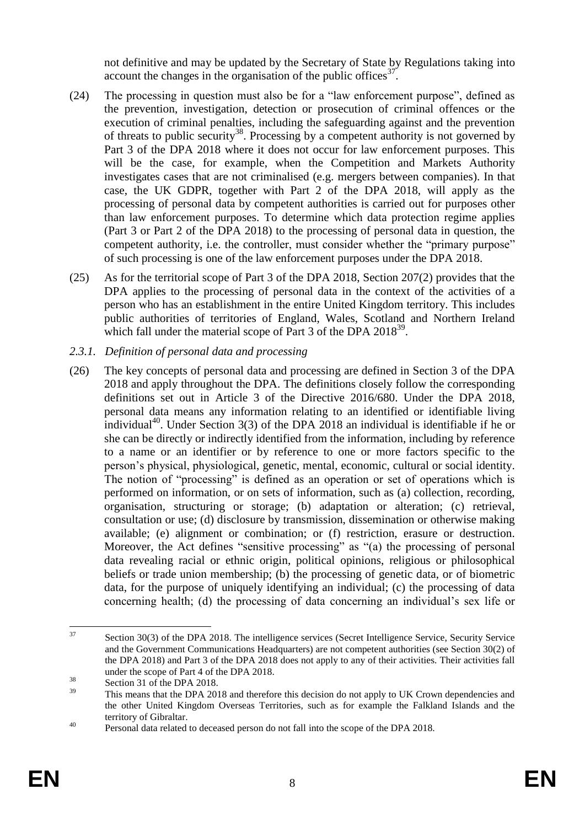not definitive and may be updated by the Secretary of State by Regulations taking into account the changes in the organisation of the public offices $37$ .

- (24) The processing in question must also be for a "law enforcement purpose", defined as the prevention, investigation, detection or prosecution of criminal offences or the execution of criminal penalties, including the safeguarding against and the prevention of threats to public security<sup>38</sup>. Processing by a competent authority is not governed by Part 3 of the DPA 2018 where it does not occur for law enforcement purposes. This will be the case, for example, when the Competition and Markets Authority investigates cases that are not criminalised (e.g. mergers between companies). In that case, the UK GDPR, together with Part 2 of the DPA 2018, will apply as the processing of personal data by competent authorities is carried out for purposes other than law enforcement purposes. To determine which data protection regime applies (Part 3 or Part 2 of the DPA 2018) to the processing of personal data in question, the competent authority, i.e. the controller, must consider whether the "primary purpose" of such processing is one of the law enforcement purposes under the DPA 2018.
- (25) As for the territorial scope of Part 3 of the DPA 2018, Section 207(2) provides that the DPA applies to the processing of personal data in the context of the activities of a person who has an establishment in the entire United Kingdom territory. This includes public authorities of territories of England, Wales, Scotland and Northern Ireland which fall under the material scope of Part 3 of the DPA 2018<sup>39</sup>.
- *2.3.1. Definition of personal data and processing*
- (26) The key concepts of personal data and processing are defined in Section 3 of the DPA 2018 and apply throughout the DPA. The definitions closely follow the corresponding definitions set out in Article 3 of the Directive 2016/680. Under the DPA 2018, personal data means any information relating to an identified or identifiable living individual<sup>40</sup>. Under Section  $3(3)$  of the DPA 2018 an individual is identifiable if he or she can be directly or indirectly identified from the information, including by reference to a name or an identifier or by reference to one or more factors specific to the person's physical, physiological, genetic, mental, economic, cultural or social identity. The notion of "processing" is defined as an operation or set of operations which is performed on information, or on sets of information, such as (a) collection, recording, organisation, structuring or storage; (b) adaptation or alteration; (c) retrieval, consultation or use; (d) disclosure by transmission, dissemination or otherwise making available; (e) alignment or combination; or (f) restriction, erasure or destruction. Moreover, the Act defines "sensitive processing" as "(a) the processing of personal data revealing racial or ethnic origin, political opinions, religious or philosophical beliefs or trade union membership; (b) the processing of genetic data, or of biometric data, for the purpose of uniquely identifying an individual; (c) the processing of data concerning health; (d) the processing of data concerning an individual's sex life or

 $37$ Section 30(3) of the DPA 2018. The intelligence services (Secret Intelligence Service, Security Service and the Government Communications Headquarters) are not competent authorities (see Section 30(2) of the DPA 2018) and Part 3 of the DPA 2018 does not apply to any of their activities. Their activities fall under the scope of Part 4 of the DPA 2018.

 $38 \t\operatorname{Section 31}$  of the DPA 2018.

This means that the DPA 2018 and therefore this decision do not apply to UK Crown dependencies and the other United Kingdom Overseas Territories, such as for example the Falkland Islands and the territory of Gibraltar.

<sup>&</sup>lt;sup>40</sup> Personal data related to deceased person do not fall into the scope of the DPA 2018.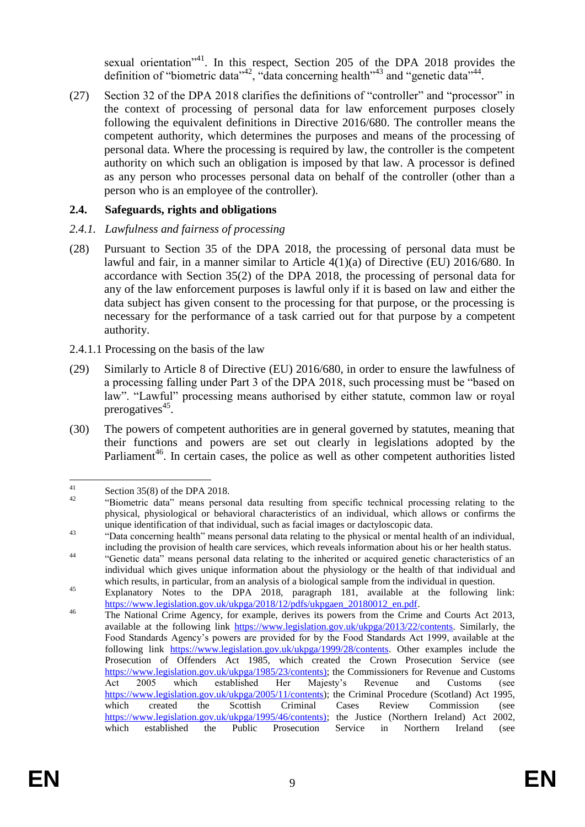sexual orientation<sup>"41</sup>. In this respect, Section 205 of the DPA 2018 provides the definition of "biometric data"<sup>42</sup>, "data concerning health"<sup>43</sup> and "genetic data"<sup>44</sup>.

(27) Section 32 of the DPA 2018 clarifies the definitions of "controller" and "processor" in the context of processing of personal data for law enforcement purposes closely following the equivalent definitions in Directive 2016/680. The controller means the competent authority, which determines the purposes and means of the processing of personal data. Where the processing is required by law, the controller is the competent authority on which such an obligation is imposed by that law. A processor is defined as any person who processes personal data on behalf of the controller (other than a person who is an employee of the controller).

## **2.4. Safeguards, rights and obligations**

## *2.4.1. Lawfulness and fairness of processing*

- (28) Pursuant to Section 35 of the DPA 2018, the processing of personal data must be lawful and fair, in a manner similar to Article 4(1)(a) of Directive (EU) 2016/680. In accordance with Section 35(2) of the DPA 2018, the processing of personal data for any of the law enforcement purposes is lawful only if it is based on law and either the data subject has given consent to the processing for that purpose, or the processing is necessary for the performance of a task carried out for that purpose by a competent authority.
- 2.4.1.1 Processing on the basis of the law
- (29) Similarly to Article 8 of Directive (EU) 2016/680, in order to ensure the lawfulness of a processing falling under Part 3 of the DPA 2018, such processing must be "based on law". "Lawful" processing means authorised by either statute, common law or royal prerogatives<sup>45</sup>.
- <span id="page-9-0"></span>(30) The powers of competent authorities are in general governed by statutes, meaning that their functions and powers are set out clearly in legislations adopted by the Parliament<sup>46</sup>. In certain cases, the police as well as other competent authorities listed

 $41$  $\frac{41}{42}$  Section 35(8) of the DPA 2018.

<sup>&</sup>quot;Biometric data" means personal data resulting from specific technical processing relating to the physical, physiological or behavioral characteristics of an individual, which allows or confirms the unique identification of that individual, such as facial images or dactyloscopic data.

<sup>&</sup>lt;sup>43</sup> "Data concerning health" means personal data relating to the physical or mental health of an individual, including the provision of health care services, which reveals information about his or her health status.

<sup>&</sup>lt;sup>44</sup> "Genetic data" means personal data relating to the inherited or acquired genetic characteristics of an individual which gives unique information about the physiology or the health of that individual and which results, in particular, from an analysis of a biological sample from the individual in question.

<sup>45</sup> Explanatory Notes to the DPA 2018, paragraph 181, available at the following link: [https://www.legislation.gov.uk/ukpga/2018/12/pdfs/ukpgaen\\_20180012\\_en.pdf.](https://www.legislation.gov.uk/ukpga/2018/12/pdfs/ukpgaen_20180012_en.pdf)

<sup>&</sup>lt;sup>46</sup> The National Crime Agency, for example, derives its powers from the Crime and Courts Act 2013, available at the following link [https://www.legislation.gov.uk/ukpga/2013/22/contents.](https://www.legislation.gov.uk/ukpga/2013/22/contents) Similarly, the Food Standards Agency's powers are provided for by the Food Standards Act 1999, available at the following link https://www.legislation.gov.uk/ukpga/1999/28/contents. Other examples include the Prosecution of Offenders Act 1985, which created the Crown Prosecution Service (see [https://www.legislation.gov.uk/ukpga/1985/23/contents\)](https://www.legislation.gov.uk/ukpga/1985/23/contents); the Commissioners for Revenue and Customs Act 2005 which established Her Majesty's Revenue and Customs (see [https://www.legislation.gov.uk/ukpga/2005/11/contents\)](https://www.legislation.gov.uk/ukpga/2005/11/contents); the Criminal Procedure (Scotland) Act 1995, which created the Scottish Criminal Cases Review Commission (see [https://www.legislation.gov.uk/ukpga/1995/46/contents\);](https://www.legislation.gov.uk/ukpga/1995/46/contents)) the Justice (Northern Ireland) Act 2002, which established the Public Prosecution Service in Northern Ireland (see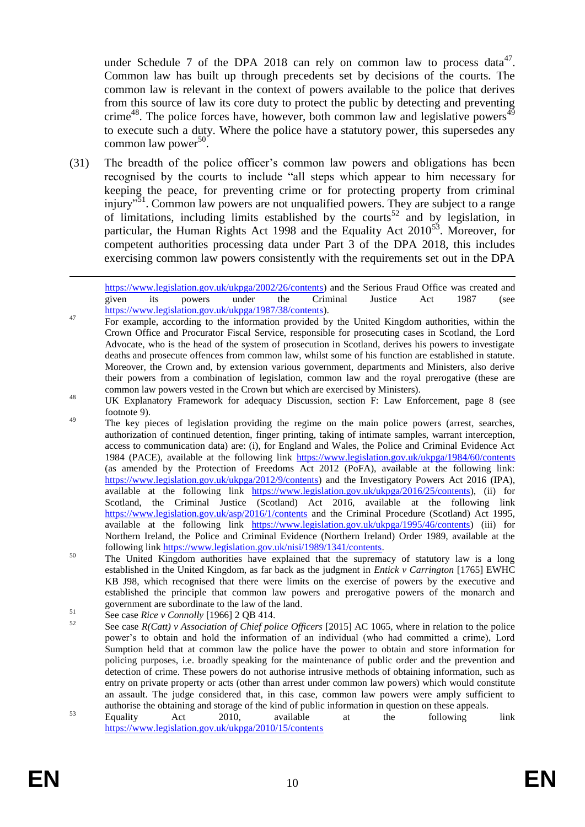under Schedule 7 of the DPA 2018 can rely on common law to process data<sup>47</sup>. Common law has built up through precedents set by decisions of the courts. The common law is relevant in the context of powers available to the police that derives from this source of law its core duty to protect the public by detecting and preventing crime<sup>48</sup>. The police forces have, however, both common law and legislative powers $^{49}$ to execute such a duty. Where the police have a statutory power, this supersedes any common law power<sup>50</sup>.

(31) The breadth of the police officer's common law powers and obligations has been recognised by the courts to include "all steps which appear to him necessary for keeping the peace, for preventing crime or for protecting property from criminal injury"<sup>51</sup>. Common law powers are not unqualified powers. They are subject to a range of limitations, including limits established by the courts<sup>52</sup> and by legislation, in particular, the Human Rights Act 1998 and the Equality Act  $2010^{53}$ . Moreover, for competent authorities processing data under Part 3 of the DPA 2018, this includes exercising common law powers consistently with the requirements set out in the DPA

- <sup>47</sup> For example, according to the information provided by the United Kingdom authorities, within the Crown Office and Procurator Fiscal Service, responsible for prosecuting cases in Scotland, the Lord Advocate, who is the head of the system of prosecution in Scotland, derives his powers to investigate deaths and prosecute offences from common law, whilst some of his function are established in statute. Moreover, the Crown and, by extension various government, departments and Ministers, also derive their powers from a combination of legislation, common law and the royal prerogative (these are common law powers vested in the Crown but which are exercised by Ministers).
- <sup>48</sup> UK Explanatory Framework for adequacy Discussion, section F: Law Enforcement, page 8 (see footnot[e 9\)](#page-3-0).
- <sup>49</sup> The key pieces of legislation providing the regime on the main police powers (arrest, searches, authorization of continued detention, finger printing, taking of intimate samples, warrant interception, access to communication data) are: (i), for England and Wales, the Police and Criminal Evidence Act 1984 (PACE), available at the following link <https://www.legislation.gov.uk/ukpga/1984/60/contents> (as amended by the Protection of Freedoms Act 2012 (PoFA), available at the following link: [https://www.legislation.gov.uk/ukpga/2012/9/contents\)](https://www.legislation.gov.uk/ukpga/2012/9/contents) and the Investigatory Powers Act 2016 (IPA), available at the following link [https://www.legislation.gov.uk/ukpga/2016/25/contents\)](https://www.legislation.gov.uk/ukpga/2016/25/contents), (ii) for Scotland, the Criminal Justice (Scotland) Act 2016, available at the following link <https://www.legislation.gov.uk/asp/2016/1/contents> and the Criminal Procedure (Scotland) Act 1995, available at the following link [https://www.legislation.gov.uk/ukpga/1995/46/contents\)](https://www.legislation.gov.uk/ukpga/1995/46/contents) (iii) for Northern Ireland, the Police and Criminal Evidence (Northern Ireland) Order 1989, available at the following link [https://www.legislation.gov.uk/nisi/1989/1341/contents.](https://www.legislation.gov.uk/nisi/1989/1341/contents)
- <sup>50</sup> The United Kingdom authorities have explained that the supremacy of statutory law is a long established in the United Kingdom, as far back as the judgment in *Entick v Carrington* [1765] EWHC KB J98, which recognised that there were limits on the exercise of powers by the executive and established the principle that common law powers and prerogative powers of the monarch and government are subordinate to the law of the land.

<sup>53</sup> Equality Act 2010, available at the following link <https://www.legislation.gov.uk/ukpga/2010/15/contents>

1

[https://www.legislation.gov.uk/ukpga/2002/26/contents\)](https://www.legislation.gov.uk/ukpga/2002/26/contents) and the Serious Fraud Office was created and given its powers under the Criminal Justice Act 1987 (see given its powers under the Criminal Justice Act 1987 (see [https://www.legislation.gov.uk/ukpga/1987/38/contents\)](https://www.legislation.gov.uk/ukpga/1987/38/contents).

<sup>51</sup> See case *Rice v Connolly* [1966] 2 QB 414.

<sup>52</sup> See case *R(Catt) v Association of Chief police Officers* [2015] AC 1065, where in relation to the police power's to obtain and hold the information of an individual (who had committed a crime), Lord Sumption held that at common law the police have the power to obtain and store information for policing purposes, i.e. broadly speaking for the maintenance of public order and the prevention and detection of crime. These powers do not authorise intrusive methods of obtaining information, such as entry on private property or acts (other than arrest under common law powers) which would constitute an assault. The judge considered that, in this case, common law powers were amply sufficient to authorise the obtaining and storage of the kind of public information in question on these appeals.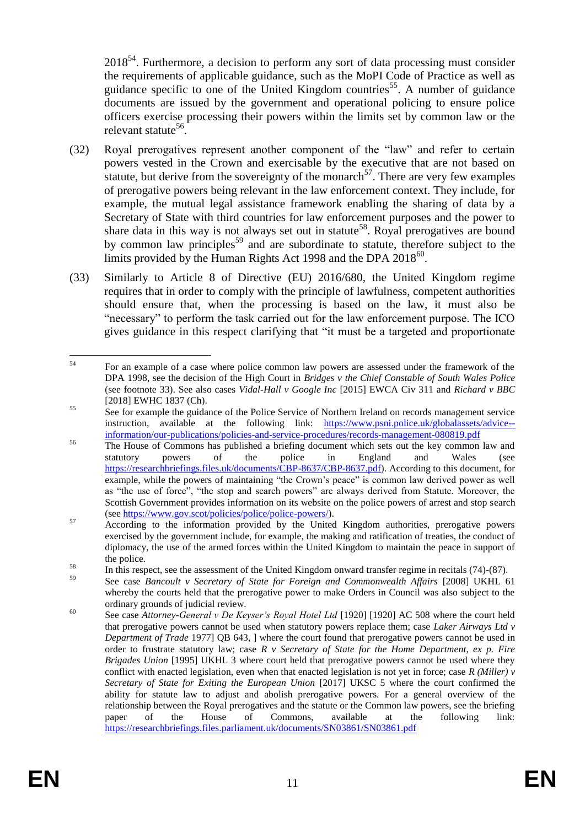$2018<sup>54</sup>$ . Furthermore, a decision to perform any sort of data processing must consider the requirements of applicable guidance, such as the MoPI Code of Practice as well as guidance specific to one of the United Kingdom countries<sup>55</sup>. A number of guidance documents are issued by the government and operational policing to ensure police officers exercise processing their powers within the limits set by common law or the relevant statute<sup>56</sup>.

- (32) Royal prerogatives represent another component of the "law" and refer to certain powers vested in the Crown and exercisable by the executive that are not based on statute, but derive from the sovereignty of the monarch<sup>57</sup>. There are very few examples of prerogative powers being relevant in the law enforcement context. They include, for example, the mutual legal assistance framework enabling the sharing of data by a Secretary of State with third countries for law enforcement purposes and the power to share data in this way is not always set out in statute<sup>58</sup>. Royal prerogatives are bound by common law principles<sup>59</sup> and are subordinate to statute, therefore subject to the limits provided by the Human Rights Act 1998 and the DPA 2018<sup>60</sup>.
- (33) Similarly to Article 8 of Directive (EU) 2016/680, the United Kingdom regime requires that in order to comply with the principle of lawfulness, competent authorities should ensure that, when the processing is based on the law, it must also be "necessary" to perform the task carried out for the law enforcement purpose. The ICO gives guidance in this respect clarifying that "it must be a targeted and proportionate

<sup>54</sup> <sup>54</sup> For an example of a case where police common law powers are assessed under the framework of the DPA 1998, see the decision of the High Court in *Bridges v the Chief Constable of South Wales Police* (see footnote 33). See also cases *Vidal-Hall v Google Inc* [2015] EWCA Civ 311 and *Richard v BBC* [2018] EWHC 1837 (Ch).

<sup>&</sup>lt;sup>55</sup> See for example the guidance of the Police Service of Northern Ireland on records management service instruction, available at the following link: [https://www.psni.police.uk/globalassets/advice-](https://www.psni.police.uk/globalassets/advice--information/our-publications/policies-and-service-procedures/records-management-080819.pdf) [information/our-publications/policies-and-service-procedures/records-management-080819.pdf](https://www.psni.police.uk/globalassets/advice--information/our-publications/policies-and-service-procedures/records-management-080819.pdf)

<sup>&</sup>lt;sup>56</sup> The House of Commons has published a briefing document which sets out the key common law and statutory powers of the police in England and Wales (see [https://researchbriefings.files.uk/documents/CBP-8637/CBP-8637.pdf\)](https://researchbriefings.files.uk/documents/CBP-8637/CBP-8637.pdf). According to this document, for example, while the powers of maintaining "the Crown's peace" is common law derived power as well as "the use of force", "the stop and search powers" are always derived from Statute. Moreover, the Scottish Government provides information on its website on the police powers of arrest and stop search (see [https://www.gov.scot/policies/police/police-powers/\)](https://www.gov.scot/policies/police/police-powers/).

 $\frac{57}{57}$  According to the information provided by the United Kingdom authorities, prerogative powers exercised by the government include, for example, the making and ratification of treaties, the conduct of diplomacy, the use of the armed forces within the United Kingdom to maintain the peace in support of the police.

 $\frac{58}{10}$  In this respect, see the assessment of the United Kingdom onward transfer regime in recitals (74)-(87).

<sup>59</sup> See case *Bancoult v Secretary of State for Foreign and Commonwealth Affairs* [2008] UKHL 61 whereby the courts held that the prerogative power to make Orders in Council was also subject to the ordinary grounds of judicial review.

<sup>&</sup>lt;sup>60</sup> See case *Attorney-General v De Keyser's Royal Hotel Ltd* [1920] [1920] AC 508 where the court held that prerogative powers cannot be used when statutory powers replace them; case *Laker Airways Ltd v Department of Trade* 1977] QB 643, ] where the court found that prerogative powers cannot be used in order to frustrate statutory law; case *R v Secretary of State for the Home Department, ex p. Fire Brigades Union* [1995] UKHL 3 where court held that prerogative powers cannot be used where they conflict with enacted legislation, even when that enacted legislation is not yet in force; case *R (Miller) v Secretary of State for Exiting the European Union* [2017] UKSC 5 where the court confirmed the ability for statute law to adjust and abolish prerogative powers. For a general overview of the relationship between the Royal prerogatives and the statute or the Common law powers, see the briefing paper of the House of Commons, available at the following link: <https://researchbriefings.files.parliament.uk/documents/SN03861/SN03861.pdf>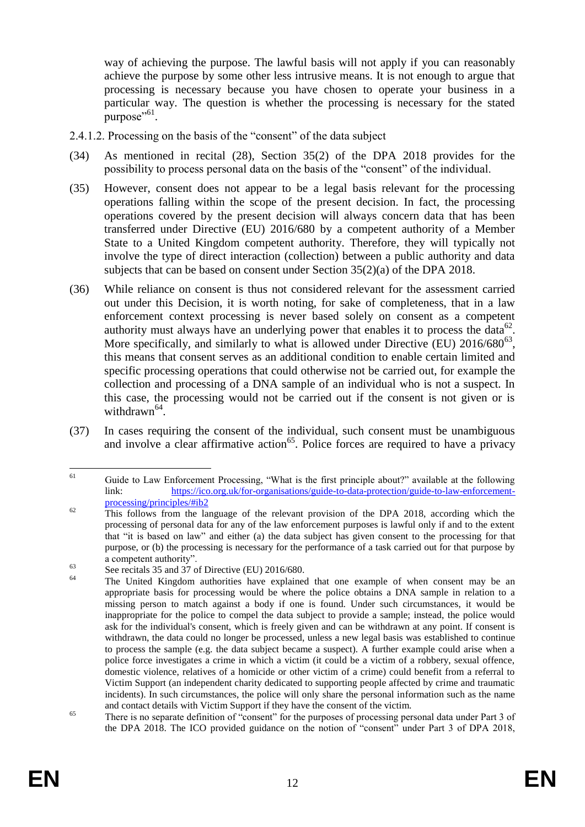way of achieving the purpose. The lawful basis will not apply if you can reasonably achieve the purpose by some other less intrusive means. It is not enough to argue that processing is necessary because you have chosen to operate your business in a particular way. The question is whether the processing is necessary for the stated purpose"<sup>61</sup>.

- 2.4.1.2. Processing on the basis of the "consent" of the data subject
- (34) As mentioned in recital (28), Section 35(2) of the DPA 2018 provides for the possibility to process personal data on the basis of the "consent" of the individual.
- (35) However, consent does not appear to be a legal basis relevant for the processing operations falling within the scope of the present decision. In fact, the processing operations covered by the present decision will always concern data that has been transferred under Directive (EU) 2016/680 by a competent authority of a Member State to a United Kingdom competent authority. Therefore, they will typically not involve the type of direct interaction (collection) between a public authority and data subjects that can be based on consent under Section 35(2)(a) of the DPA 2018.
- (36) While reliance on consent is thus not considered relevant for the assessment carried out under this Decision, it is worth noting, for sake of completeness, that in a law enforcement context processing is never based solely on consent as a competent authority must always have an underlying power that enables it to process the data<sup>62</sup>. More specifically, and similarly to what is allowed under Directive (EU)  $2016/680^{63}$ , this means that consent serves as an additional condition to enable certain limited and specific processing operations that could otherwise not be carried out, for example the collection and processing of a DNA sample of an individual who is not a suspect. In this case, the processing would not be carried out if the consent is not given or is withdrawn<sup>64</sup>.
- (37) In cases requiring the consent of the individual, such consent must be unambiguous and involve a clear affirmative action<sup>65</sup>. Police forces are required to have a privacy

<sup>61</sup> Guide to Law Enforcement Processing, "What is the first principle about?" available at the following link: [https://ico.org.uk/for-organisations/guide-to-data-protection/guide-to-law-enforcement](https://ico.org.uk/for-organisations/guide-to-data-protection/guide-to-law-enforcement-processing/principles/#ib2)[processing/principles/#ib2](https://ico.org.uk/for-organisations/guide-to-data-protection/guide-to-law-enforcement-processing/principles/#ib2)

<sup>&</sup>lt;sup>62</sup> This follows from the language of the relevant provision of the DPA 2018, according which the processing of personal data for any of the law enforcement purposes is lawful only if and to the extent that "it is based on law" and either (a) the data subject has given consent to the processing for that purpose, or (b) the processing is necessary for the performance of a task carried out for that purpose by a competent authority".

 $\frac{63}{64}$  See recitals 35 and 37 of Directive (EU) 2016/680.

<sup>64</sup> The United Kingdom authorities have explained that one example of when consent may be an appropriate basis for processing would be where the police obtains a DNA sample in relation to a missing person to match against a body if one is found. Under such circumstances, it would be inappropriate for the police to compel the data subject to provide a sample; instead, the police would ask for the individual's consent, which is freely given and can be withdrawn at any point. If consent is withdrawn, the data could no longer be processed, unless a new legal basis was established to continue to process the sample (e.g. the data subject became a suspect). A further example could arise when a police force investigates a crime in which a victim (it could be a victim of a robbery, sexual offence, domestic violence, relatives of a homicide or other victim of a crime) could benefit from a referral to Victim Support (an independent charity dedicated to supporting people affected by crime and traumatic incidents). In such circumstances, the police will only share the personal information such as the name and contact details with Victim Support if they have the consent of the victim.

<sup>&</sup>lt;sup>65</sup> There is no separate definition of "consent" for the purposes of processing personal data under Part 3 of the DPA 2018. The ICO provided guidance on the notion of "consent" under Part 3 of DPA 2018,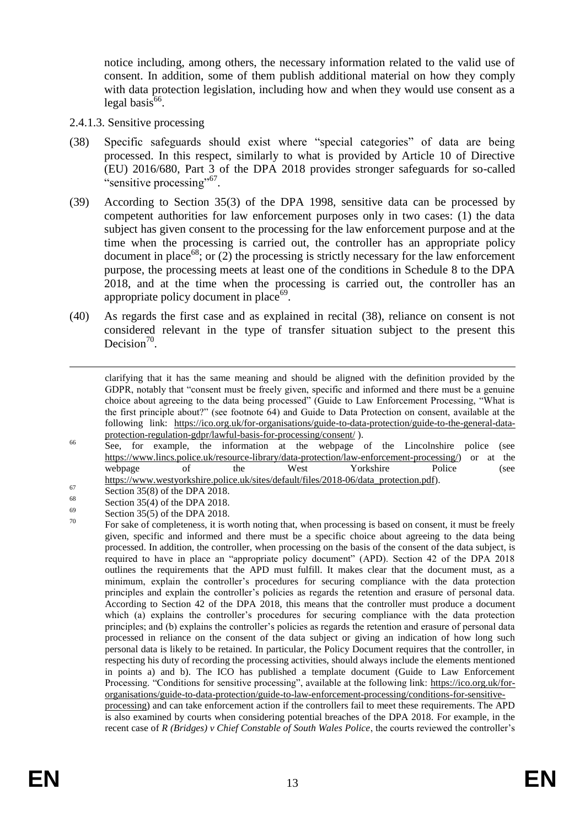notice including, among others, the necessary information related to the valid use of consent. In addition, some of them publish additional material on how they comply with data protection legislation, including how and when they would use consent as a  $\log$ al basis<sup>66</sup>.

- 2.4.1.3. Sensitive processing
- (38) Specific safeguards should exist where "special categories" of data are being processed. In this respect, similarly to what is provided by Article 10 of Directive (EU) 2016/680, Part 3 of the DPA 2018 provides stronger safeguards for so-called "sensitive processing"<sup>67</sup>.
- (39) According to Section 35(3) of the DPA 1998, sensitive data can be processed by competent authorities for law enforcement purposes only in two cases: (1) the data subject has given consent to the processing for the law enforcement purpose and at the time when the processing is carried out, the controller has an appropriate policy document in place<sup>68</sup>; or (2) the processing is strictly necessary for the law enforcement purpose, the processing meets at least one of the conditions in Schedule 8 to the DPA 2018, and at the time when the processing is carried out, the controller has an appropriate policy document in place<sup>69</sup>.
- (40) As regards the first case and as explained in recital (38), reliance on consent is not considered relevant in the type of transfer situation subject to the present this Decision<sup>70</sup>.

- <sup>66</sup> See, for example, the information at the webpage of the Lincolnshire police (see [https://www.lincs.police.uk/resource-library/data-protection/law-enforcement-processing/\)](https://www.lincs.police.uk/resource-library/data-protection/law-enforcement-processing/) or at the webpage of the West Yorkshire Police (see [https://www.westyorkshire.police.uk/sites/default/files/2018-06/data\\_protection.pdf\)](https://www.westyorkshire.police.uk/sites/default/files/2018-06/data_protection.pdf).
- $\frac{67}{68}$  Section 35(8) of the DPA 2018.

1

- <sup>68</sup> Section 35(4) of the DPA 2018.
- $^{69}$  Section 35(5) of the DPA 2018.
- For sake of completeness, it is worth noting that, when processing is based on consent, it must be freely given, specific and informed and there must be a specific choice about agreeing to the data being processed. In addition, the controller, when processing on the basis of the consent of the data subject, is required to have in place an "appropriate policy document" (APD). Section 42 of the DPA 2018 outlines the requirements that the APD must fulfill. It makes clear that the document must, as a minimum, explain the controller's procedures for securing compliance with the data protection principles and explain the controller's policies as regards the retention and erasure of personal data. According to Section 42 of the DPA 2018, this means that the controller must produce a document which (a) explains the controller's procedures for securing compliance with the data protection principles; and (b) explains the controller's policies as regards the retention and erasure of personal data processed in reliance on the consent of the data subject or giving an indication of how long such personal data is likely to be retained. In particular, the Policy Document requires that the controller, in respecting his duty of recording the processing activities, should always include the elements mentioned in points a) and b). The ICO has published a template document (Guide to Law Enforcement Processing. "Conditions for sensitive processing", available at the following link: [https://ico.org.uk/for](https://ico.org.uk/for-organisations/guide-to-data-protection/guide-to-law-enforcement-processing/conditions-for-sensitive-processing)[organisations/guide-to-data-protection/guide-to-law-enforcement-processing/conditions-for-sensitive](https://ico.org.uk/for-organisations/guide-to-data-protection/guide-to-law-enforcement-processing/conditions-for-sensitive-processing)[processing\)](https://ico.org.uk/for-organisations/guide-to-data-protection/guide-to-law-enforcement-processing/conditions-for-sensitive-processing) and can take enforcement action if the controllers fail to meet these requirements. The APD

is also examined by courts when considering potential breaches of the DPA 2018. For example, in the recent case of *R (Bridges) v Chief Constable of South Wales Police*, the courts reviewed the controller's

<span id="page-13-0"></span>clarifying that it has the same meaning and should be aligned with the definition provided by the GDPR, notably that "consent must be freely given, specific and informed and there must be a genuine choice about agreeing to the data being processed" (Guide to Law Enforcement Processing, "What is the first principle about?" (see footnote 64) and Guide to Data Protection on consent, available at the following link: [https://ico.org.uk/for-organisations/guide-to-data-protection/guide-to-the-general-data](https://ico.org.uk/for-organisations/guide-to-data-protection/guide-to-the-general-data-protection-regulation-gdpr/lawful-basis-for-processing/consent/)[protection-regulation-gdpr/lawful-basis-for-processing/consent/](https://ico.org.uk/for-organisations/guide-to-data-protection/guide-to-the-general-data-protection-regulation-gdpr/lawful-basis-for-processing/consent/) ).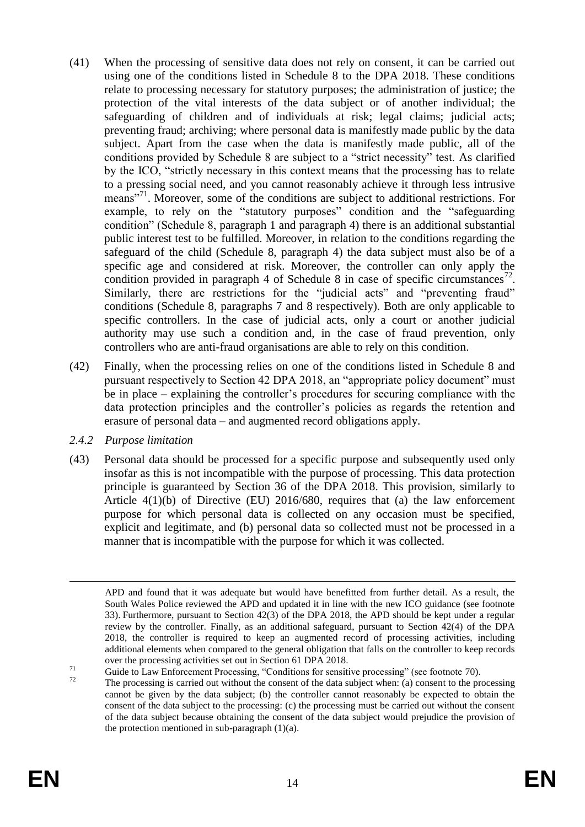- (41) When the processing of sensitive data does not rely on consent, it can be carried out using one of the conditions listed in Schedule 8 to the DPA 2018. These conditions relate to processing necessary for statutory purposes; the administration of justice; the protection of the vital interests of the data subject or of another individual; the safeguarding of children and of individuals at risk; legal claims; judicial acts; preventing fraud; archiving; where personal data is manifestly made public by the data subject. Apart from the case when the data is manifestly made public, all of the conditions provided by Schedule 8 are subject to a "strict necessity" test. As clarified by the ICO, "strictly necessary in this context means that the processing has to relate to a pressing social need, and you cannot reasonably achieve it through less intrusive means"<sup>71</sup>. Moreover, some of the conditions are subject to additional restrictions. For example, to rely on the "statutory purposes" condition and the "safeguarding condition" (Schedule 8, paragraph 1 and paragraph 4) there is an additional substantial public interest test to be fulfilled. Moreover, in relation to the conditions regarding the safeguard of the child (Schedule 8, paragraph 4) the data subject must also be of a specific age and considered at risk. Moreover, the controller can only apply the condition provided in paragraph 4 of Schedule 8 in case of specific circumstances<sup>72</sup>. Similarly, there are restrictions for the "judicial acts" and "preventing fraud" conditions (Schedule 8, paragraphs 7 and 8 respectively). Both are only applicable to specific controllers. In the case of judicial acts, only a court or another judicial authority may use such a condition and, in the case of fraud prevention, only controllers who are anti-fraud organisations are able to rely on this condition.
- (42) Finally, when the processing relies on one of the conditions listed in Schedule 8 and pursuant respectively to Section 42 DPA 2018, an "appropriate policy document" must be in place – explaining the controller's procedures for securing compliance with the data protection principles and the controller's policies as regards the retention and erasure of personal data – and augmented record obligations apply.
- *2.4.2 Purpose limitation*
- (43) Personal data should be processed for a specific purpose and subsequently used only insofar as this is not incompatible with the purpose of processing. This data protection principle is guaranteed by Section 36 of the DPA 2018. This provision, similarly to Article 4(1)(b) of Directive (EU) 2016/680, requires that (a) the law enforcement purpose for which personal data is collected on any occasion must be specified, explicit and legitimate, and (b) personal data so collected must not be processed in a manner that is incompatible with the purpose for which it was collected.

1

APD and found that it was adequate but would have benefitted from further detail. As a result, the South Wales Police reviewed the APD and updated it in line with the new ICO guidance (see footnote [33\)](#page-6-0). Furthermore, pursuant to Section 42(3) of the DPA 2018, the APD should be kept under a regular review by the controller. Finally, as an additional safeguard, pursuant to Section 42(4) of the DPA 2018, the controller is required to keep an augmented record of processing activities, including additional elements when compared to the general obligation that falls on the controller to keep records over the processing activities set out in Section 61 DPA 2018.

 $^{71}$  Guide to Law Enforcement Processing, "Conditions for sensitive processing" (see footnote [70\)](#page-13-0).

The processing is carried out without the consent of the data subject when: (a) consent to the processing cannot be given by the data subject; (b) the controller cannot reasonably be expected to obtain the consent of the data subject to the processing: (c) the processing must be carried out without the consent of the data subject because obtaining the consent of the data subject would prejudice the provision of the protection mentioned in sub-paragraph  $(1)(a)$ .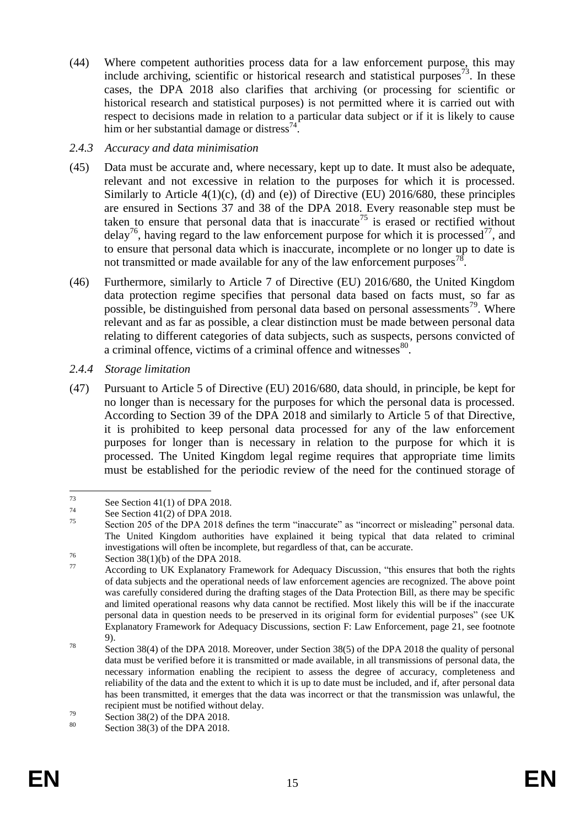- (44) Where competent authorities process data for a law enforcement purpose, this may include archiving, scientific or historical research and statistical purposes<sup>73</sup>. In these cases, the DPA 2018 also clarifies that archiving (or processing for scientific or historical research and statistical purposes) is not permitted where it is carried out with respect to decisions made in relation to a particular data subject or if it is likely to cause him or her substantial damage or distress<sup>74</sup>.
- *2.4.3 Accuracy and data minimisation*
- (45) Data must be accurate and, where necessary, kept up to date. It must also be adequate, relevant and not excessive in relation to the purposes for which it is processed. Similarly to Article  $4(1)(c)$ , (d) and (e)) of Directive (EU) 2016/680, these principles are ensured in Sections 37 and 38 of the DPA 2018. Every reasonable step must be taken to ensure that personal data that is inaccurate<sup>75</sup> is erased or rectified without  $delay^{76}$ , having regard to the law enforcement purpose for which it is processed<sup>77</sup>, and to ensure that personal data which is inaccurate, incomplete or no longer up to date is not transmitted or made available for any of the law enforcement purposes<sup>78</sup>.
- (46) Furthermore, similarly to Article 7 of Directive (EU) 2016/680, the United Kingdom data protection regime specifies that personal data based on facts must, so far as possible, be distinguished from personal data based on personal assessments<sup>79</sup>. Where relevant and as far as possible, a clear distinction must be made between personal data relating to different categories of data subjects, such as suspects, persons convicted of a criminal offence, victims of a criminal offence and witnesses<sup>80</sup>.
- *2.4.4 Storage limitation*
- (47) Pursuant to Article 5 of Directive (EU) 2016/680, data should, in principle, be kept for no longer than is necessary for the purposes for which the personal data is processed. According to Section 39 of the DPA 2018 and similarly to Article 5 of that Directive, it is prohibited to keep personal data processed for any of the law enforcement purposes for longer than is necessary in relation to the purpose for which it is processed. The United Kingdom legal regime requires that appropriate time limits must be established for the periodic review of the need for the continued storage of

<sup>73</sup>  $^{73}$  See Section 41(1) of DPA 2018.

 $7^4$  See Section 41(2) of DPA 2018.

Section 205 of the DPA 2018 defines the term "inaccurate" as "incorrect or misleading" personal data. The United Kingdom authorities have explained it being typical that data related to criminal investigations will often be incomplete, but regardless of that, can be accurate.

 $\frac{76}{27}$  Section 38(1)(b) of the DPA 2018.

According to UK Explanatory Framework for Adequacy Discussion, "this ensures that both the rights of data subjects and the operational needs of law enforcement agencies are recognized. The above point was carefully considered during the drafting stages of the Data Protection Bill, as there may be specific and limited operational reasons why data cannot be rectified. Most likely this will be if the inaccurate personal data in question needs to be preserved in its original form for evidential purposes" (see UK Explanatory Framework for Adequacy Discussions, section F: Law Enforcement, page 21, see footnote [9\)](#page-3-0).

<sup>78</sup> Section 38(4) of the DPA 2018. Moreover, under Section 38(5) of the DPA 2018 the quality of personal data must be verified before it is transmitted or made available, in all transmissions of personal data, the necessary information enabling the recipient to assess the degree of accuracy, completeness and reliability of the data and the extent to which it is up to date must be included, and if, after personal data has been transmitted, it emerges that the data was incorrect or that the transmission was unlawful, the recipient must be notified without delay.

 $^{79}$  Section 38(2) of the DPA 2018.

Section  $38(3)$  of the DPA 2018.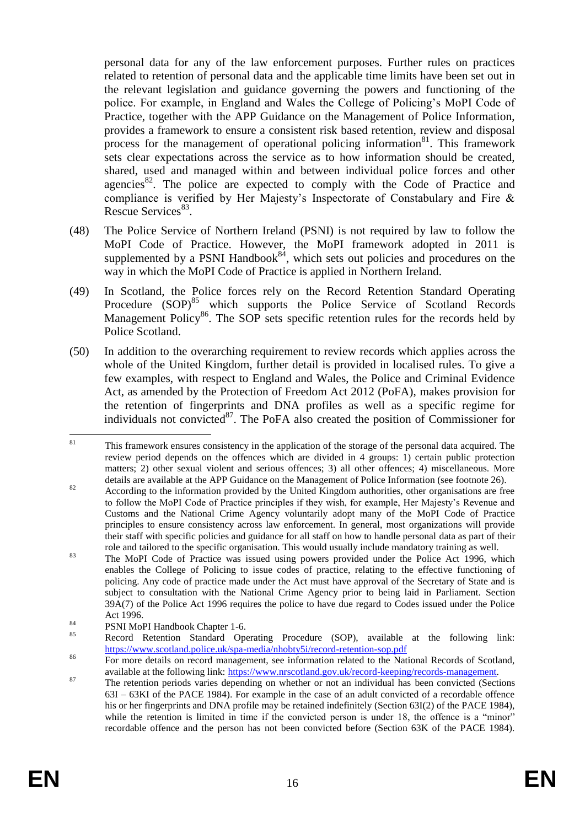personal data for any of the law enforcement purposes. Further rules on practices related to retention of personal data and the applicable time limits have been set out in the relevant legislation and guidance governing the powers and functioning of the police. For example, in England and Wales the College of Policing's MoPI Code of Practice, together with the APP Guidance on the Management of Police Information, provides a framework to ensure a consistent risk based retention, review and disposal process for the management of operational policing information<sup>81</sup>. This framework sets clear expectations across the service as to how information should be created, shared, used and managed within and between individual police forces and other agencies $82$ . The police are expected to comply with the Code of Practice and compliance is verified by Her Majesty's Inspectorate of Constabulary and Fire & Rescue Services<sup>83</sup>.

- (48) The Police Service of Northern Ireland (PSNI) is not required by law to follow the MoPI Code of Practice. However, the MoPI framework adopted in 2011 is supplemented by a PSNI Handbook $84$ , which sets out policies and procedures on the way in which the MoPI Code of Practice is applied in Northern Ireland.
- (49) In Scotland, the Police forces rely on the Record [Retention Standard Operating](https://urldefense.com/v3/__https:/www.scotland.police.uk/spa-media/nhobty5i/record-retention-sop.pdf__;!!DOxrgLBm!TCrr-wG7eCs3Liqm7xU88DgAUj6eUpvIpVJZUmxP6TBQ-c7H-YsGe8VX41pVxQBwtl8EGWI$)  [Procedure](https://urldefense.com/v3/__https:/www.scotland.police.uk/spa-media/nhobty5i/record-retention-sop.pdf__;!!DOxrgLBm!TCrr-wG7eCs3Liqm7xU88DgAUj6eUpvIpVJZUmxP6TBQ-c7H-YsGe8VX41pVxQBwtl8EGWI$) (SOP)<sup>85</sup> which supports the Police Service of Scotland Records [Management Policy](https://urldefense.com/v3/__https:/www.scotland.police.uk/spa-media/2aqecvlj/records-management-policy.pdf?view=Standard__;!!DOxrgLBm!TCrr-wG7eCs3Liqm7xU88DgAUj6eUpvIpVJZUmxP6TBQ-c7H-YsGe8VX41pVxQBwsMxfsbc$)<sup>86</sup>. The SOP sets specific retention rules for the records held by Police Scotland.
- (50) In addition to the overarching requirement to review records which applies across the whole of the United Kingdom, further detail is provided in localised rules. To give a few examples, with respect to England and Wales, the Police and Criminal Evidence Act, as amended by the Protection of Freedom Act 2012 (PoFA), makes provision for the retention of fingerprints and DNA profiles as well as a specific regime for individuals not convicted $^{87}$ . The PoFA also created the position of Commissioner for

<sup>81</sup> This framework ensures consistency in the application of the storage of the personal data acquired. The review period depends on the offences which are divided in 4 groups: 1) certain public protection matters; 2) other sexual violent and serious offences; 3) all other offences; 4) miscellaneous. More details are available at the APP Guidance on the Management of Police Information (see footnote 26).

<sup>&</sup>lt;sup>82</sup> According to the information provided by the United Kingdom authorities, other organisations are free to follow the MoPI Code of Practice principles if they wish, for example, Her Majesty's Revenue and Customs and the National Crime Agency voluntarily adopt many of the MoPI Code of Practice principles to ensure consistency across law enforcement. In general, most organizations will provide their staff with specific policies and guidance for all staff on how to handle personal data as part of their role and tailored to the specific organisation. This would usually include mandatory training as well.

<sup>83</sup> The MoPI Code of Practice was issued using powers provided under the Police Act 1996, which enables the College of Policing to issue codes of practice, relating to the effective functioning of policing. Any code of practice made under the Act must have approval of the Secretary of State and is subject to consultation with the National Crime Agency prior to being laid in Parliament. Section 39A(7) of the Police Act 1996 requires the police to have due regard to Codes issued under the Police Act 1996.

<sup>84</sup> PSNI MoPI Handbook Chapter 1-6.

<sup>85</sup> Record Retention Standard Operating Procedure (SOP), available at the following link: <https://www.scotland.police.uk/spa-media/nhobty5i/record-retention-sop.pdf>

<sup>&</sup>lt;sup>86</sup> For more details on record management, see information related to the National Records of Scotland, available at the following link: [https://www.nrscotland.gov.uk/record-keeping/records-management.](https://www.nrscotland.gov.uk/record-keeping/records-management)

<sup>&</sup>lt;sup>87</sup> The retention periods varies depending on whether or not an individual has been convicted (Sections 63I – 63KI of the PACE 1984). For example in the case of an adult convicted of a recordable offence his or her fingerprints and DNA profile may be retained indefinitely (Section 63I(2) of the PACE 1984), while the retention is limited in time if the convicted person is under 18, the offence is a "minor" recordable offence and the person has not been convicted before (Section 63K of the PACE 1984).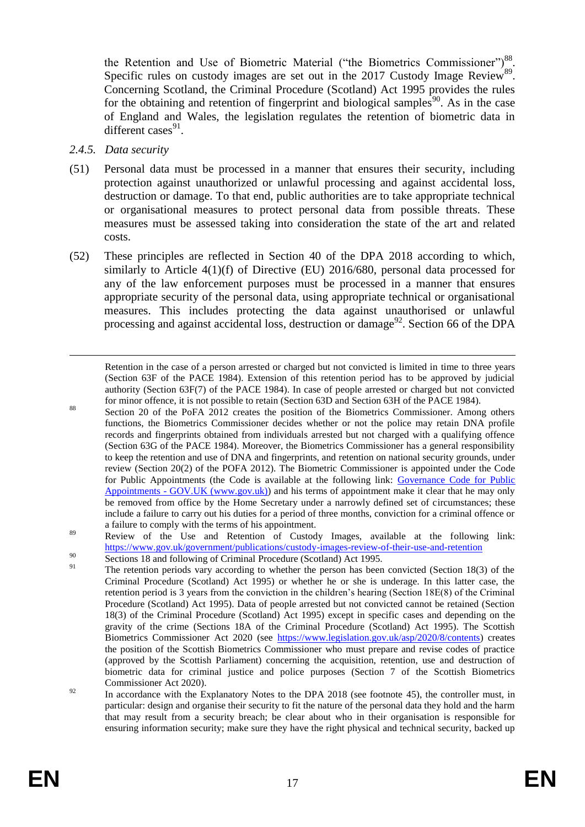the Retention and Use of Biometric Material ("the Biometrics Commissioner")<sup>88</sup>. Specific rules on custody images are set out in the 2017 Custody Image Review $^{89}$ . Concerning Scotland, the Criminal Procedure (Scotland) Act 1995 provides the rules for the obtaining and retention of fingerprint and biological samples<sup>90</sup>. As in the case of England and Wales, the legislation regulates the retention of biometric data in different cases $91$ .

*2.4.5. Data security*

<u>.</u>

- (51) Personal data must be processed in a manner that ensures their security, including protection against unauthorized or unlawful processing and against accidental loss, destruction or damage. To that end, public authorities are to take appropriate technical or organisational measures to protect personal data from possible threats. These measures must be assessed taking into consideration the state of the art and related costs.
- (52) These principles are reflected in Section 40 of the DPA 2018 according to which, similarly to Article 4(1)(f) of Directive (EU) 2016/680, personal data processed for any of the law enforcement purposes must be processed in a manner that ensures appropriate security of the personal data, using appropriate technical or organisational measures. This includes protecting the data against unauthorised or unlawful processing and against accidental loss, destruction or damage<sup>92</sup>. Section 66 of the DPA

Retention in the case of a person arrested or charged but not convicted is limited in time to three years (Section 63F of the PACE 1984). Extension of this retention period has to be approved by judicial authority (Section 63F(7) of the PACE 1984). In case of people arrested or charged but not convicted for minor offence, it is not possible to retain (Section 63D and Section 63H of the PACE 1984).

<sup>88</sup> Section 20 of the PoFA 2012 creates the position of the Biometrics Commissioner. Among others functions, the Biometrics Commissioner decides whether or not the police may retain DNA profile records and fingerprints obtained from individuals arrested but not charged with a qualifying offence (Section 63G of the PACE 1984). Moreover, the Biometrics Commissioner has a general responsibility to keep the retention and use of DNA and fingerprints, and retention on national security grounds, under review (Section 20(2) of the POFA 2012). The Biometric Commissioner is appointed under the Code for Public Appointments (the Code is available at the following link: [Governance Code for Public](https://www.gov.uk/government/publications/governance-code-for-public-appointments)  Appointments - [GOV.UK \(www.gov.uk\)\)](https://www.gov.uk/government/publications/governance-code-for-public-appointments) and his terms of appointment make it clear that he may only be removed from office by the Home Secretary under a narrowly defined set of circumstances; these include a failure to carry out his duties for a period of three months, conviction for a criminal offence or a failure to comply with the terms of his appointment.

<sup>89</sup> Review of the Use and Retention of Custody Images, available at the following link: <https://www.gov.uk/government/publications/custody-images-review-of-their-use-and-retention>

- 90 Sections 18 and following of Criminal Procedure (Scotland) Act 1995.
- The retention periods vary according to whether the person has been convicted (Section  $18(3)$  of the Criminal Procedure (Scotland) Act 1995) or whether he or she is underage. In this latter case, the retention period is 3 years from the conviction in the children's hearing (Section 18E(8) of the Criminal Procedure (Scotland) Act 1995). Data of people arrested but not convicted cannot be retained (Section 18(3) of the Criminal Procedure (Scotland) Act 1995) except in specific cases and depending on the gravity of the crime (Sections 18A of the Criminal Procedure (Scotland) Act 1995). The Scottish Biometrics Commissioner Act 2020 (see [https://www.legislation.gov.uk/asp/2020/8/contents\)](https://www.legislation.gov.uk/asp/2020/8/contents) creates the position of the Scottish Biometrics Commissioner who must prepare and revise codes of practice (approved by the Scottish Parliament) concerning the acquisition, retention, use and destruction of biometric data for criminal justice and police purposes (Section 7 of the Scottish Biometrics Commissioner Act 2020).
- <sup>92</sup> In accordance with the Explanatory Notes to the DPA 2018 (see footnote [45\)](#page-9-0), the controller must, in particular: design and organise their security to fit the nature of the personal data they hold and the harm that may result from a security breach; be clear about who in their organisation is responsible for ensuring information security; make sure they have the right physical and technical security, backed up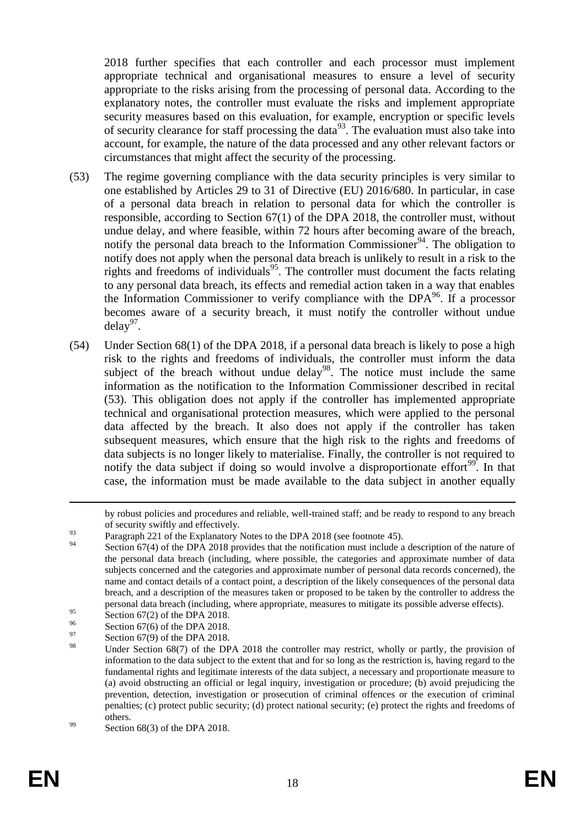2018 further specifies that each controller and each processor must implement appropriate technical and organisational measures to ensure a level of security appropriate to the risks arising from the processing of personal data. According to the explanatory notes, the controller must evaluate the risks and implement appropriate security measures based on this evaluation, for example, encryption or specific levels of security clearance for staff processing the data<sup>93</sup>. The evaluation must also take into account, for example, the nature of the data processed and any other relevant factors or circumstances that might affect the security of the processing.

- (53) The regime governing compliance with the data security principles is very similar to one established by Articles 29 to 31 of Directive (EU) 2016/680. In particular, in case of a personal data breach in relation to personal data for which the controller is responsible, according to Section 67(1) of the DPA 2018, the controller must, without undue delay, and where feasible, within 72 hours after becoming aware of the breach, notify the personal data breach to the Information Commissioner<sup>94</sup>. The obligation to notify does not apply when the personal data breach is unlikely to result in a risk to the rights and freedoms of individuals<sup>95</sup>. The controller must document the facts relating to any personal data breach, its effects and remedial action taken in a way that enables the Information Commissioner to verify compliance with the  $DPA<sup>96</sup>$ . If a processor becomes aware of a security breach, it must notify the controller without undue  $delay^{97}$ .
- (54) Under Section 68(1) of the DPA 2018, if a personal data breach is likely to pose a high risk to the rights and freedoms of individuals, the controller must inform the data subject of the breach without undue delay<sup>98</sup>. The notice must include the same information as the notification to the Information Commissioner described in recital (53). This obligation does not apply if the controller has implemented appropriate technical and organisational protection measures, which were applied to the personal data affected by the breach. It also does not apply if the controller has taken subsequent measures, which ensure that the high risk to the rights and freedoms of data subjects is no longer likely to materialise. Finally, the controller is not required to notify the data subject if doing so would involve a disproportionate effort<sup>99</sup>. In that case, the information must be made available to the data subject in another equally

1

by robust policies and procedures and reliable, well-trained staff; and be ready to respond to any breach of security swiftly and effectively.

 $\frac{93}{24}$  Paragraph 221 of the Explanatory Notes to the DPA 2018 (see footnote [45\)](#page-9-0).

Section 67(4) of the DPA 2018 provides that the notification must include a description of the nature of the personal data breach (including, where possible, the categories and approximate number of data subjects concerned and the categories and approximate number of personal data records concerned), the name and contact details of a contact point, a description of the likely consequences of the personal data breach, and a description of the measures taken or proposed to be taken by the controller to address the personal data breach (including, where appropriate, measures to mitigate its possible adverse effects).

<sup>95</sup> Section 67(2) of the DPA 2018.

 $^{96}$  Section 67(6) of the DPA 2018.

<sup>97</sup> Section 67(9) of the DPA 2018.

Under Section  $68(7)$  of the DPA 2018 the controller may restrict, wholly or partly, the provision of information to the data subject to the extent that and for so long as the restriction is, having regard to the fundamental rights and legitimate interests of the data subject, a necessary and proportionate measure to (a) avoid obstructing an official or legal inquiry, investigation or procedure; (b) avoid prejudicing the prevention, detection, investigation or prosecution of criminal offences or the execution of criminal penalties; (c) protect public security; (d) protect national security; (e) protect the rights and freedoms of others.

 $^{99}$  Section 68(3) of the DPA 2018.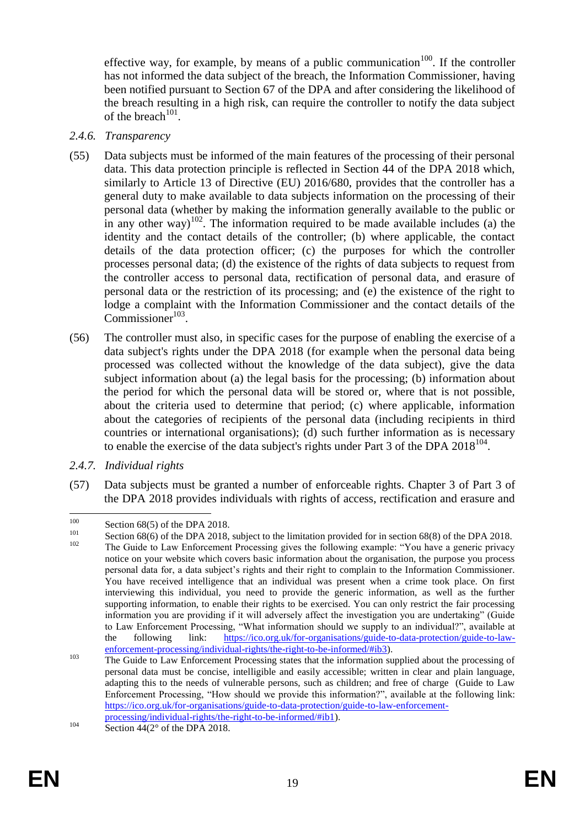effective way, for example, by means of a public communication<sup>100</sup>. If the controller has not informed the data subject of the breach, the Information Commissioner, having been notified pursuant to Section 67 of the DPA and after considering the likelihood of the breach resulting in a high risk, can require the controller to notify the data subject of the breach $101$ .

#### *2.4.6. Transparency*

- (55) Data subjects must be informed of the main features of the processing of their personal data. This data protection principle is reflected in Section 44 of the DPA 2018 which, similarly to Article 13 of Directive (EU) 2016/680, provides that the controller has a general duty to make available to data subjects information on the processing of their personal data (whether by making the information generally available to the public or in any other way)<sup>102</sup>. The information required to be made available includes (a) the identity and the contact details of the controller; (b) where applicable, the contact details of the data protection officer; (c) the purposes for which the controller processes personal data; (d) the existence of the rights of data subjects to request from the controller access to personal data, rectification of personal data, and erasure of personal data or the restriction of its processing; and (e) the existence of the right to lodge a complaint with the Information Commissioner and the contact details of the  $Commissioner<sup>103</sup>$ .
- (56) The controller must also, in specific cases for the purpose of enabling the exercise of a data subject's rights under the DPA 2018 (for example when the personal data being processed was collected without the knowledge of the data subject), give the data subject information about (a) the legal basis for the processing; (b) information about the period for which the personal data will be stored or, where that is not possible, about the criteria used to determine that period; (c) where applicable, information about the categories of recipients of the personal data (including recipients in third countries or international organisations); (d) such further information as is necessary to enable the exercise of the data subject's rights under Part 3 of the DPA  $2018^{104}$ .
- *2.4.7. Individual rights*
- (57) Data subjects must be granted a number of enforceable rights. Chapter 3 of Part 3 of the DPA 2018 provides individuals with rights of access, rectification and erasure and

 $100$  $\frac{100}{101}$  Section 68(5) of the DPA 2018.

<sup>&</sup>lt;sup>101</sup> Section 68(6) of the DPA 2018, subject to the limitation provided for in section 68(8) of the DPA 2018.

The Guide to Law Enforcement Processing gives the following example: "You have a generic privacy notice on your website which covers basic information about the organisation, the purpose you process personal data for, a data subject's rights and their right to complain to the Information Commissioner. You have received intelligence that an individual was present when a crime took place. On first interviewing this individual, you need to provide the generic information, as well as the further supporting information, to enable their rights to be exercised. You can only restrict the fair processing information you are providing if it will adversely affect the investigation you are undertaking" (Guide to Law Enforcement Processing, "What information should we supply to an individual?", available at the following link: [https://ico.org.uk/for-organisations/guide-to-data-protection/guide-to-law](https://ico.org.uk/for-organisations/guide-to-data-protection/guide-to-law-enforcement-processing/individual-rights/the-right-to-be-informed/#ib3)[enforcement-processing/individual-rights/the-right-to-be-informed/#ib3\)](https://ico.org.uk/for-organisations/guide-to-data-protection/guide-to-law-enforcement-processing/individual-rights/the-right-to-be-informed/#ib3).

<sup>&</sup>lt;sup>103</sup> The Guide to Law Enforcement Processing states that the information supplied about the processing of personal data must be concise, intelligible and easily accessible; written in clear and plain language, adapting this to the needs of vulnerable persons, such as children; and free of charge (Guide to Law Enforcement Processing, "How should we provide this information?", available at the following link: [https://ico.org.uk/for-organisations/guide-to-data-protection/guide-to-law-enforcement](https://ico.org.uk/for-organisations/guide-to-data-protection/guide-to-law-enforcement-processing/individual-rights/the-right-to-be-informed/#ib1)[processing/individual-rights/the-right-to-be-informed/#ib1\)](https://ico.org.uk/for-organisations/guide-to-data-protection/guide-to-law-enforcement-processing/individual-rights/the-right-to-be-informed/#ib1).

 $104$  Section  $44(2^\circ)$  of the DPA 2018.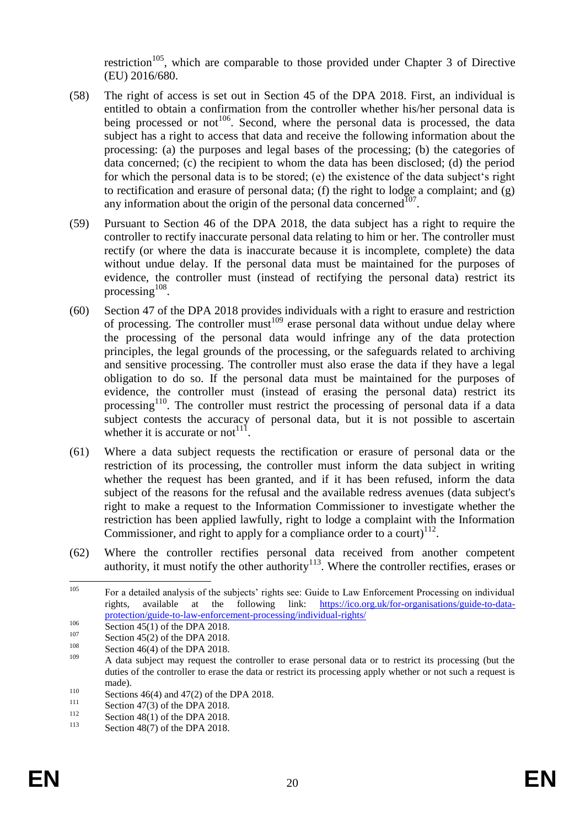restriction<sup>105</sup>, which are comparable to those provided under Chapter 3 of Directive (EU) 2016/680.

- (58) The right of access is set out in Section 45 of the DPA 2018. First, an individual is entitled to obtain a confirmation from the controller whether his/her personal data is being processed or not<sup>106</sup>. Second, where the personal data is processed, the data subject has a right to access that data and receive the following information about the processing: (a) the purposes and legal bases of the processing; (b) the categories of data concerned; (c) the recipient to whom the data has been disclosed; (d) the period for which the personal data is to be stored; (e) the existence of the data subject's right to rectification and erasure of personal data; (f) the right to lodge a complaint; and (g) any information about the origin of the personal data concerned<sup>107</sup>.
- (59) Pursuant to Section 46 of the DPA 2018, the data subject has a right to require the controller to rectify inaccurate personal data relating to him or her. The controller must rectify (or where the data is inaccurate because it is incomplete, complete) the data without undue delay. If the personal data must be maintained for the purposes of evidence, the controller must (instead of rectifying the personal data) restrict its processing  $108$ .
- (60) Section 47 of the DPA 2018 provides individuals with a right to erasure and restriction of processing. The controller must<sup>109</sup> erase personal data without undue delay where the processing of the personal data would infringe any of the data protection principles, the legal grounds of the processing, or the safeguards related to archiving and sensitive processing. The controller must also erase the data if they have a legal obligation to do so. If the personal data must be maintained for the purposes of evidence, the controller must (instead of erasing the personal data) restrict its processing<sup>110</sup>. The controller must restrict the processing of personal data if a data subject contests the accuracy of personal data, but it is not possible to ascertain whether it is accurate or not<sup>111</sup>.
- (61) Where a data subject requests the rectification or erasure of personal data or the restriction of its processing, the controller must inform the data subject in writing whether the request has been granted, and if it has been refused, inform the data subject of the reasons for the refusal and the available redress avenues (data subject's right to make a request to the Information Commissioner to investigate whether the restriction has been applied lawfully, right to lodge a complaint with the Information Commissioner, and right to apply for a compliance order to a court) $^{112}$ .
- (62) Where the controller rectifies personal data received from another competent authority, it must notify the other authority<sup>113</sup>. Where the controller rectifies, erases or

<sup>105</sup> <sup>105</sup> For a detailed analysis of the subjects' rights see: Guide to Law Enforcement Processing on individual rights, available at the following link: [https://ico.org.uk/for-organisations/guide-to-data](https://ico.org.uk/for-organisations/guide-to-data-protection/guide-to-law-enforcement-processing/individual-rights/)[protection/guide-to-law-enforcement-processing/individual-rights/](https://ico.org.uk/for-organisations/guide-to-data-protection/guide-to-law-enforcement-processing/individual-rights/)

 $\frac{106}{2}$  Section 45(1) of the DPA 2018.

 $^{107}$  Section 45(2) of the DPA 2018.

 $^{108}$  Section 46(4) of the DPA 2018.

A data subject may request the controller to erase personal data or to restrict its processing (but the duties of the controller to erase the data or restrict its processing apply whether or not such a request is made).

<sup>110</sup> Sections 46(4) and 47(2) of the DPA 2018.

<sup>&</sup>lt;sup>111</sup> Section 47(3) of the DPA 2018.<br>Section 48(1) of the DPA 2018.

 $\frac{112}{113}$  Section 48(1) of the DPA 2018.

Section  $48(7)$  of the DPA 2018.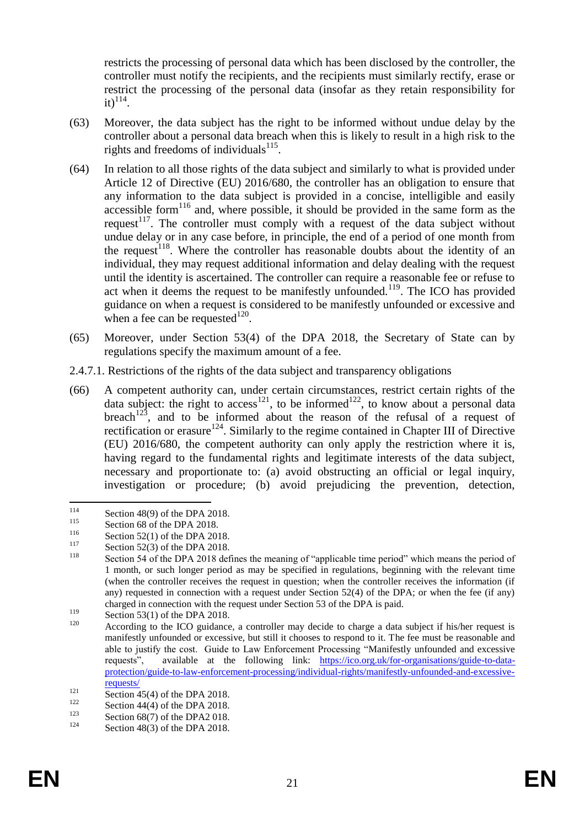restricts the processing of personal data which has been disclosed by the controller, the controller must notify the recipients, and the recipients must similarly rectify, erase or restrict the processing of the personal data (insofar as they retain responsibility for  $\mathrm{it})^{114}$ .

- (63) Moreover, the data subject has the right to be informed without undue delay by the controller about a personal data breach when this is likely to result in a high risk to the rights and freedoms of individuals $^{115}$ .
- (64) In relation to all those rights of the data subject and similarly to what is provided under Article 12 of Directive (EU) 2016/680, the controller has an obligation to ensure that any information to the data subject is provided in a concise, intelligible and easily accessible form<sup>116</sup> and, where possible, it should be provided in the same form as the request<sup>117</sup>. The controller must comply with a request of the data subject without undue delay or in any case before, in principle, the end of a period of one month from the request<sup>118</sup>. Where the controller has reasonable doubts about the identity of an individual, they may request additional information and delay dealing with the request until the identity is ascertained. The controller can require a reasonable fee or refuse to act when it deems the request to be manifestly unfounded.<sup>119</sup>. The ICO has provided guidance on when a request is considered to be manifestly unfounded or excessive and when a fee can be requested $^{120}$ .
- (65) Moreover, under Section 53(4) of the DPA 2018, the Secretary of State can by regulations specify the maximum amount of a fee.
- 2.4.7.1. Restrictions of the rights of the data subject and transparency obligations
- (66) A competent authority can, under certain circumstances, restrict certain rights of the data subject: the right to access<sup>121</sup>, to be informed<sup>122</sup>, to know about a personal data breach<sup>123</sup>, and to be informed about the reason of the refusal of a request of rectification or erasure<sup>124</sup>. Similarly to the regime contained in Chapter III of Directive (EU) 2016/680, the competent authority can only apply the restriction where it is, having regard to the fundamental rights and legitimate interests of the data subject, necessary and proportionate to: (a) avoid obstructing an official or legal inquiry, investigation or procedure; (b) avoid prejudicing the prevention, detection,

<sup>114</sup>  $\frac{114}{115}$  Section 48(9) of the DPA 2018.

 $\frac{115}{116}$  Section 68 of the DPA 2018.

 $\frac{116}{117}$  Section 52(1) of the DPA 2018.

 $\frac{117}{118}$  Section 52(3) of the DPA 2018.

Section 54 of the DPA 2018 defines the meaning of "applicable time period" which means the period of 1 month, or such longer period as may be specified in regulations, beginning with the relevant time (when the controller receives the request in question; when the controller receives the information (if any) requested in connection with a request under Section 52(4) of the DPA; or when the fee (if any) charged in connection with the request under Section 53 of the DPA is paid.

 $\frac{119}{120}$  Section 53(1) of the DPA 2018.

According to the ICO guidance, a controller may decide to charge a data subject if his/her request is manifestly unfounded or excessive, but still it chooses to respond to it. The fee must be reasonable and able to justify the cost. Guide to Law Enforcement Processing "Manifestly unfounded and excessive requests", available at the following link: [https://ico.org.uk/for-organisations/guide-to-data](https://ico.org.uk/for-organisations/guide-to-data-protection/guide-to-law-enforcement-processing/individual-rights/manifestly-unfounded-and-excessive-requests/)[protection/guide-to-law-enforcement-processing/individual-rights/manifestly-unfounded-and-excessive](https://ico.org.uk/for-organisations/guide-to-data-protection/guide-to-law-enforcement-processing/individual-rights/manifestly-unfounded-and-excessive-requests/)[requests/](https://ico.org.uk/for-organisations/guide-to-data-protection/guide-to-law-enforcement-processing/individual-rights/manifestly-unfounded-and-excessive-requests/)

<sup>&</sup>lt;sup>121</sup> Section 45(4) of the DPA 2018.<br><sup>122</sup> Section 44(4) of the DPA 2018.

<sup>&</sup>lt;sup>122</sup> Section 44(4) of the DPA 2018.<br>Section 68(7) of the DPA2, 018

<sup>&</sup>lt;sup>123</sup> Section 68(7) of the DPA2 018.

Section  $48(3)$  of the DPA 2018.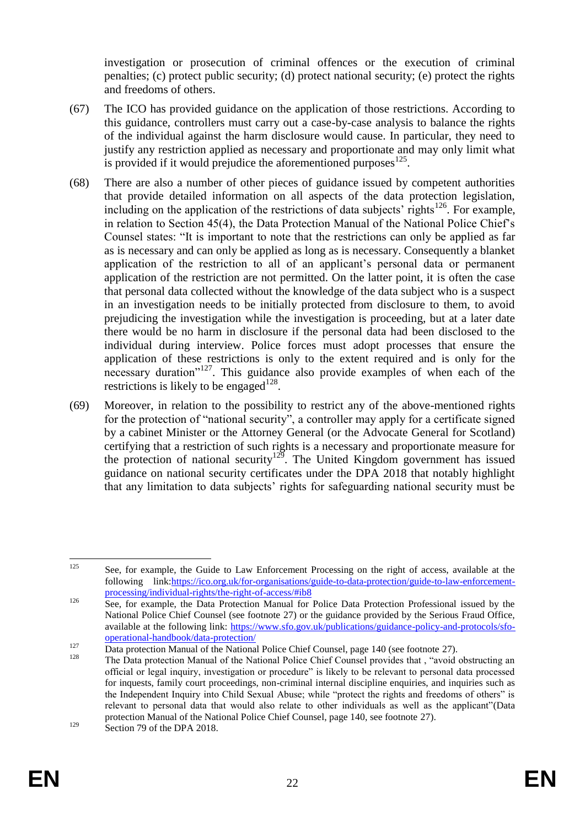investigation or prosecution of criminal offences or the execution of criminal penalties; (c) protect public security; (d) protect national security; (e) protect the rights and freedoms of others.

- (67) The ICO has provided guidance on the application of those restrictions. According to this guidance, controllers must carry out a case-by-case analysis to balance the rights of the individual against the harm disclosure would cause. In particular, they need to justify any restriction applied as necessary and proportionate and may only limit what is provided if it would prejudice the aforementioned purposes $^{125}$ .
- (68) There are also a number of other pieces of guidance issued by competent authorities that provide detailed information on all aspects of the data protection legislation, including on the application of the restrictions of data subjects' rights<sup>126</sup>. For example, in relation to Section 45(4), the Data Protection Manual of the National Police Chief's Counsel states: "It is important to note that the restrictions can only be applied as far as is necessary and can only be applied as long as is necessary. Consequently a blanket application of the restriction to all of an applicant's personal data or permanent application of the restriction are not permitted. On the latter point, it is often the case that personal data collected without the knowledge of the data subject who is a suspect in an investigation needs to be initially protected from disclosure to them, to avoid prejudicing the investigation while the investigation is proceeding, but at a later date there would be no harm in disclosure if the personal data had been disclosed to the individual during interview. Police forces must adopt processes that ensure the application of these restrictions is only to the extent required and is only for the necessary duration<sup> $n^{127}$ </sup>. This guidance also provide examples of when each of the restrictions is likely to be engaged<sup>128</sup>.
- (69) Moreover, in relation to the possibility to restrict any of the above-mentioned rights for the protection of "national security", a controller may apply for a certificate signed by a cabinet Minister or the Attorney General (or the Advocate General for Scotland) certifying that a restriction of such rights is a necessary and proportionate measure for the protection of national security<sup>129</sup>. The United Kingdom government has issued guidance on national security certificates under the DPA 2018 that notably highlight that any limitation to data subjects' rights for safeguarding national security must be

<sup>125</sup> See, for example, the Guide to Law Enforcement Processing on the right of access, available at the following link[:https://ico.org.uk/for-organisations/guide-to-data-protection/guide-to-law-enforcement](https://ico.org.uk/for-organisations/guide-to-data-protection/guide-to-law-enforcement-processing/individual-rights/the-right-of-access/#ib8)[processing/individual-rights/the-right-of-access/#ib8](https://ico.org.uk/for-organisations/guide-to-data-protection/guide-to-law-enforcement-processing/individual-rights/the-right-of-access/#ib8)

<sup>126</sup> See, for example, the Data Protection Manual for Police Data Protection Professional issued by the National Police Chief Counsel (see footnote [27\)](#page-6-1) or the guidance provided by the Serious Fraud Office, available at the following link: [https://www.sfo.gov.uk/publications/guidance-policy-and-protocols/sfo](https://www.sfo.gov.uk/publications/guidance-policy-and-protocols/sfo-operational-handbook/data-protection/)[operational-handbook/data-protection/](https://www.sfo.gov.uk/publications/guidance-policy-and-protocols/sfo-operational-handbook/data-protection/) 

 $\frac{127}{\text{Data protection Manual of the National Police Chief Council, page 140 (see footnote 27).}$  $\frac{127}{\text{Data protection Manual of the National Police Chief Council, page 140 (see footnote 27).}$  $\frac{127}{\text{Data protection Manual of the National Police Chief Council, page 140 (see footnote 27).}$ 

The Data protection Manual of the National Police Chief Counsel provides that, "avoid obstructing an official or legal inquiry, investigation or procedure" is likely to be relevant to personal data processed for inquests, family court proceedings, non-criminal internal discipline enquiries, and inquiries such as the Independent Inquiry into Child Sexual Abuse; while "protect the rights and freedoms of others" is relevant to personal data that would also relate to other individuals as well as the applicant"(Data protection Manual of the National Police Chief Counsel, page 140, see footnote [27\)](#page-6-1). <sup>129</sup> Section 79 of the DPA 2018.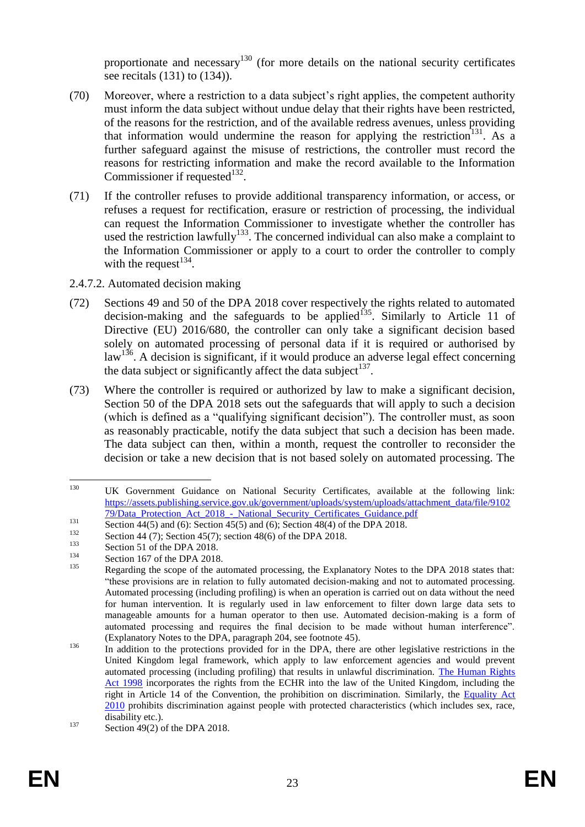proportionate and necessary<sup>130</sup> (for more details on the national security certificates see recitals (131) to (134)).

- (70) Moreover, where a restriction to a data subject's right applies, the competent authority must inform the data subject without undue delay that their rights have been restricted, of the reasons for the restriction, and of the available redress avenues, unless providing that information would undermine the reason for applying the restriction<sup>131</sup>. As a further safeguard against the misuse of restrictions, the controller must record the reasons for restricting information and make the record available to the Information Commissioner if requested $^{132}$ .
- (71) If the controller refuses to provide additional transparency information, or access, or refuses a request for rectification, erasure or restriction of processing, the individual can request the Information Commissioner to investigate whether the controller has used the restriction lawfully<sup>133</sup>. The concerned individual can also make a complaint to the Information Commissioner or apply to a court to order the controller to comply with the request $^{134}$ .
- 2.4.7.2. Automated decision making
- (72) Sections 49 and 50 of the DPA 2018 cover respectively the rights related to automated decision-making and the safeguards to be applied<sup>135</sup>. Similarly to Article 11 of Directive (EU) 2016/680, the controller can only take a significant decision based solely on automated processing of personal data if it is required or authorised by  $law<sup>136</sup>$ . A decision is significant, if it would produce an adverse legal effect concerning the data subject or significantly affect the data subject<sup>137</sup>.
- (73) Where the controller is required or authorized by law to make a significant decision, Section 50 of the DPA 2018 sets out the safeguards that will apply to such a decision (which is defined as a "qualifying significant decision"). The controller must, as soon as reasonably practicable, notify the data subject that such a decision has been made. The data subject can then, within a month, request the controller to reconsider the decision or take a new decision that is not based solely on automated processing. The

<sup>130</sup> UK Government Guidance on National Security Certificates, available at the following link: [https://assets.publishing.service.gov.uk/government/uploads/system/uploads/attachment\\_data/file/9102](https://assets.publishing.service.gov.uk/government/uploads/system/uploads/attachment_data/file/910279/Data_Protection_Act_2018_-_National_Security_Certificates_Guidance.pdf) [79/Data\\_Protection\\_Act\\_2018\\_-\\_National\\_Security\\_Certificates\\_Guidance.pdf](https://assets.publishing.service.gov.uk/government/uploads/system/uploads/attachment_data/file/910279/Data_Protection_Act_2018_-_National_Security_Certificates_Guidance.pdf)

<sup>131</sup> Section 44(5) and (6): Section 45(5) and (6); Section 48(4) of the DPA 2018.

<sup>132</sup> Section 44 (7); Section 45(7); section 48(6) of the DPA 2018.

 $133$  Section 51 of the DPA 2018.

 $^{134}$  Section 167 of the DPA 2018.

Regarding the scope of the automated processing, the Explanatory Notes to the DPA 2018 states that: "these provisions are in relation to fully automated decision-making and not to automated processing. Automated processing (including profiling) is when an operation is carried out on data without the need for human intervention. It is regularly used in law enforcement to filter down large data sets to manageable amounts for a human operator to then use. Automated decision-making is a form of automated processing and requires the final decision to be made without human interference". (Explanatory Notes to the DPA, paragraph 204, see footnote [45\)](#page-9-0).

<sup>&</sup>lt;sup>136</sup> In addition to the protections provided for in the DPA, there are other legislative restrictions in the United Kingdom legal framework, which apply to law enforcement agencies and would prevent automated processing (including profiling) that results in unlawful discrimination. [The Human Rights](https://www.legislation.gov.uk/ukpga/1998/42/contents)  [Act 1998](https://www.legislation.gov.uk/ukpga/1998/42/contents) incorporates the rights from the ECHR into the law of the United Kingdom, including the right in Article 14 of the Convention, the prohibition on discrimination. Similarly, the [Equality Act](https://www.legislation.gov.uk/ukpga/2010/15/contents)  [2010](https://www.legislation.gov.uk/ukpga/2010/15/contents) prohibits discrimination against people with protected characteristics (which includes sex, race, disability etc.).

 $137$  Section 49(2) of the DPA 2018.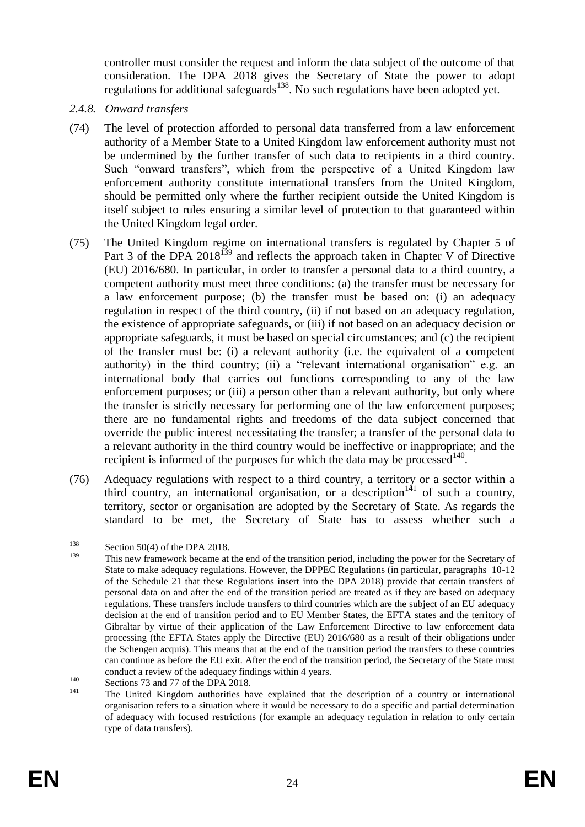controller must consider the request and inform the data subject of the outcome of that consideration. The DPA 2018 gives the Secretary of State the power to adopt regulations for additional safeguards<sup>138</sup>. No such regulations have been adopted yet.

- *2.4.8. Onward transfers*
- (74) The level of protection afforded to personal data transferred from a law enforcement authority of a Member State to a United Kingdom law enforcement authority must not be undermined by the further transfer of such data to recipients in a third country. Such "onward transfers", which from the perspective of a United Kingdom law enforcement authority constitute international transfers from the United Kingdom, should be permitted only where the further recipient outside the United Kingdom is itself subject to rules ensuring a similar level of protection to that guaranteed within the United Kingdom legal order.
- (75) The United Kingdom regime on international transfers is regulated by Chapter 5 of Part 3 of the DPA 2018<sup>139</sup> and reflects the approach taken in Chapter V of Directive (EU) 2016/680. In particular, in order to transfer a personal data to a third country, a competent authority must meet three conditions: (a) the transfer must be necessary for a law enforcement purpose; (b) the transfer must be based on: (i) an adequacy regulation in respect of the third country, (ii) if not based on an adequacy regulation, the existence of appropriate safeguards, or (iii) if not based on an adequacy decision or appropriate safeguards, it must be based on special circumstances; and (c) the recipient of the transfer must be: (i) a relevant authority (i.e. the equivalent of a competent authority) in the third country; (ii) a "relevant international organisation" e.g. an international body that carries out functions corresponding to any of the law enforcement purposes; or (iii) a person other than a relevant authority, but only where the transfer is strictly necessary for performing one of the law enforcement purposes; there are no fundamental rights and freedoms of the data subject concerned that override the public interest necessitating the transfer; a transfer of the personal data to a relevant authority in the third country would be ineffective or inappropriate; and the recipient is informed of the purposes for which the data may be processed<sup>140</sup>.
- (76) Adequacy regulations with respect to a third country, a territory or a sector within a third country, an international organisation, or a description<sup>141</sup> of such a country, territory, sector or organisation are adopted by the Secretary of State. As regards the standard to be met, the Secretary of State has to assess whether such a

<sup>138</sup>  $^{138}$  Section 50(4) of the DPA 2018.

This new framework became at the end of the transition period, including the power for the Secretary of State to make adequacy regulations. However, the DPPEC Regulations (in particular, paragraphs 10-12 of the Schedule 21 that these Regulations insert into the DPA 2018) provide that certain transfers of personal data on and after the end of the transition period are treated as if they are based on adequacy regulations. These transfers include transfers to third countries which are the subject of an EU adequacy decision at the end of transition period and to EU Member States, the EFTA states and the territory of Gibraltar by virtue of their application of the Law Enforcement Directive to law enforcement data processing (the EFTA States apply the Directive (EU) 2016/680 as a result of their obligations under the Schengen acquis). This means that at the end of the transition period the transfers to these countries can continue as before the EU exit. After the end of the transition period, the Secretary of the State must conduct a review of the adequacy findings within 4 years.

 $^{140}$  Sections 73 and 77 of the DPA 2018.

The United Kingdom authorities have explained that the description of a country or international organisation refers to a situation where it would be necessary to do a specific and partial determination of adequacy with focused restrictions (for example an adequacy regulation in relation to only certain type of data transfers).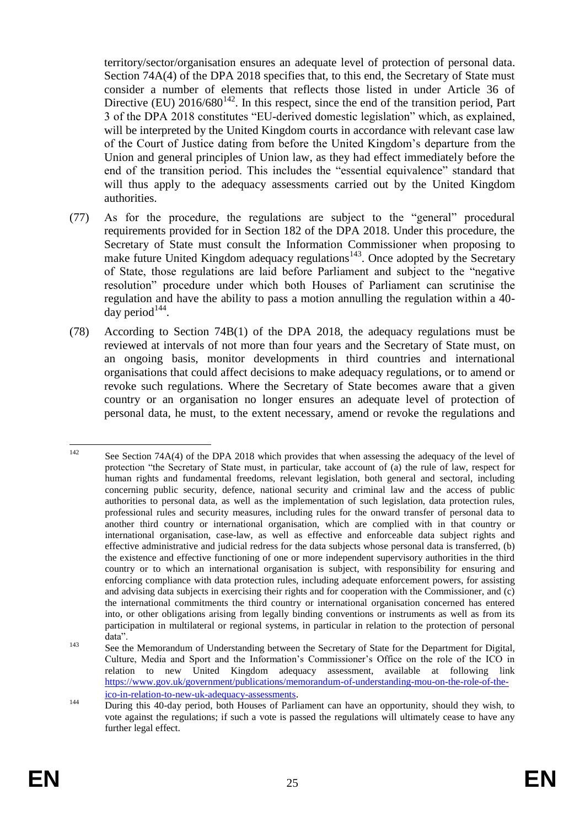territory/sector/organisation ensures an adequate level of protection of personal data. Section 74A(4) of the DPA 2018 specifies that, to this end, the Secretary of State must consider a number of elements that reflects those listed in under Article 36 of Directive (EU)  $2016/680^{142}$ . In this respect, since the end of the transition period, Part 3 of the DPA 2018 constitutes "EU-derived domestic legislation" which, as explained, will be interpreted by the United Kingdom courts in accordance with relevant case law of the Court of Justice dating from before the United Kingdom's departure from the Union and general principles of Union law, as they had effect immediately before the end of the transition period. This includes the "essential equivalence" standard that will thus apply to the adequacy assessments carried out by the United Kingdom authorities.

- (77) As for the procedure, the regulations are subject to the "general" procedural requirements provided for in Section 182 of the DPA 2018. Under this procedure, the Secretary of State must consult the Information Commissioner when proposing to make future United Kingdom adequacy regulations<sup>143</sup>. Once adopted by the Secretary of State, those regulations are laid before Parliament and subject to the "negative resolution" procedure under which both Houses of Parliament can scrutinise the regulation and have the ability to pass a motion annulling the regulation within a 40 day period $^{144}$ .
- (78) According to Section 74B(1) of the DPA 2018, the adequacy regulations must be reviewed at intervals of not more than four years and the Secretary of State must, on an ongoing basis, monitor developments in third countries and international organisations that could affect decisions to make adequacy regulations, or to amend or revoke such regulations. Where the Secretary of State becomes aware that a given country or an organisation no longer ensures an adequate level of protection of personal data, he must, to the extent necessary, amend or revoke the regulations and

 $142$ See Section 74A(4) of the DPA 2018 which provides that when assessing the adequacy of the level of protection "the Secretary of State must, in particular, take account of (a) the rule of law, respect for human rights and fundamental freedoms, relevant legislation, both general and sectoral, including concerning public security, defence, national security and criminal law and the access of public authorities to personal data, as well as the implementation of such legislation, data protection rules, professional rules and security measures, including rules for the onward transfer of personal data to another third country or international organisation, which are complied with in that country or international organisation, case-law, as well as effective and enforceable data subject rights and effective administrative and judicial redress for the data subjects whose personal data is transferred, (b) the existence and effective functioning of one or more independent supervisory authorities in the third country or to which an international organisation is subject, with responsibility for ensuring and enforcing compliance with data protection rules, including adequate enforcement powers, for assisting and advising data subjects in exercising their rights and for cooperation with the Commissioner, and (c) the international commitments the third country or international organisation concerned has entered into, or other obligations arising from legally binding conventions or instruments as well as from its participation in multilateral or regional systems, in particular in relation to the protection of personal data".

<sup>&</sup>lt;sup>143</sup> See the Memorandum of Understanding between the Secretary of State for the Department for Digital, Culture, Media and Sport and the Information's Commissioner's Office on the role of the ICO in relation to new United Kingdom adequacy assessment, available at following link [https://www.gov.uk/government/publications/memorandum-of-understanding-mou-on-the-role-of-the](https://www.gov.uk/government/publications/memorandum-of-understanding-mou-on-the-role-of-the-ico-in-relation-to-new-uk-adequacy-assessments)[ico-in-relation-to-new-uk-adequacy-assessments](https://www.gov.uk/government/publications/memorandum-of-understanding-mou-on-the-role-of-the-ico-in-relation-to-new-uk-adequacy-assessments).

<sup>&</sup>lt;sup>144</sup> During this 40-day period, both Houses of Parliament can have an opportunity, should they wish, to vote against the regulations; if such a vote is passed the regulations will ultimately cease to have any further legal effect.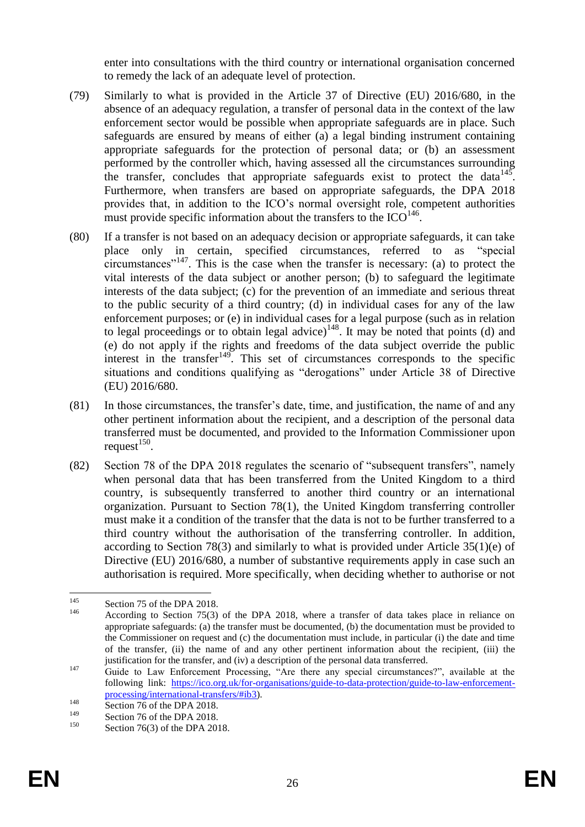enter into consultations with the third country or international organisation concerned to remedy the lack of an adequate level of protection.

- (79) Similarly to what is provided in the Article 37 of Directive (EU) 2016/680, in the absence of an adequacy regulation, a transfer of personal data in the context of the law enforcement sector would be possible when appropriate safeguards are in place. Such safeguards are ensured by means of either (a) a legal binding instrument containing appropriate safeguards for the protection of personal data; or (b) an assessment performed by the controller which, having assessed all the circumstances surrounding the transfer, concludes that appropriate safeguards exist to protect the data<sup>145</sup>. Furthermore, when transfers are based on appropriate safeguards, the DPA 2018 provides that, in addition to the ICO's normal oversight role, competent authorities must provide specific information about the transfers to the  $\text{ICO}^{146}$ .
- (80) If a transfer is not based on an adequacy decision or appropriate safeguards, it can take place only in certain, specified circumstances, referred to as "special circumstances<sup> $147$ </sup>. This is the case when the transfer is necessary: (a) to protect the vital interests of the data subject or another person; (b) to safeguard the legitimate interests of the data subject; (c) for the prevention of an immediate and serious threat to the public security of a third country; (d) in individual cases for any of the law enforcement purposes; or (e) in individual cases for a legal purpose (such as in relation to legal proceedings or to obtain legal advice)<sup>148</sup>. It may be noted that points (d) and (e) do not apply if the rights and freedoms of the data subject override the public interest in the transfer<sup>149</sup>. This set of circumstances corresponds to the specific situations and conditions qualifying as "derogations" under Article 38 of Directive (EU) 2016/680.
- (81) In those circumstances, the transfer's date, time, and justification, the name of and any other pertinent information about the recipient, and a description of the personal data transferred must be documented, and provided to the Information Commissioner upon  $request^{150}$ .
- (82) Section 78 of the DPA 2018 regulates the scenario of "subsequent transfers", namely when personal data that has been transferred from the United Kingdom to a third country, is subsequently transferred to another third country or an international organization. Pursuant to Section 78(1), the United Kingdom transferring controller must make it a condition of the transfer that the data is not to be further transferred to a third country without the authorisation of the transferring controller. In addition, according to Section 78(3) and similarly to what is provided under Article  $35(1)(e)$  of Directive (EU) 2016/680, a number of substantive requirements apply in case such an authorisation is required. More specifically, when deciding whether to authorise or not

<sup>145</sup> <sup>145</sup> Section 75 of the DPA 2018.

According to Section 75(3) of the DPA 2018, where a transfer of data takes place in reliance on appropriate safeguards: (a) the transfer must be documented, (b) the documentation must be provided to the Commissioner on request and (c) the documentation must include, in particular (i) the date and time of the transfer, (ii) the name of and any other pertinent information about the recipient, (iii) the justification for the transfer, and (iv) a description of the personal data transferred.

<sup>&</sup>lt;sup>147</sup> Guide to Law Enforcement Processing, "Are there any special circumstances?", available at the following link: [https://ico.org.uk/for-organisations/guide-to-data-protection/guide-to-law-enforcement](https://ico.org.uk/for-organisations/guide-to-data-protection/guide-to-law-enforcement-processing/international-transfers/#ib3)[processing/international-transfers/#ib3\)](https://ico.org.uk/for-organisations/guide-to-data-protection/guide-to-law-enforcement-processing/international-transfers/#ib3).

<sup>&</sup>lt;sup>148</sup> Section 76 of the DPA 2018.

<sup>&</sup>lt;sup>149</sup> Section 76 of the DPA 2018.

Section  $76(3)$  of the DPA 2018.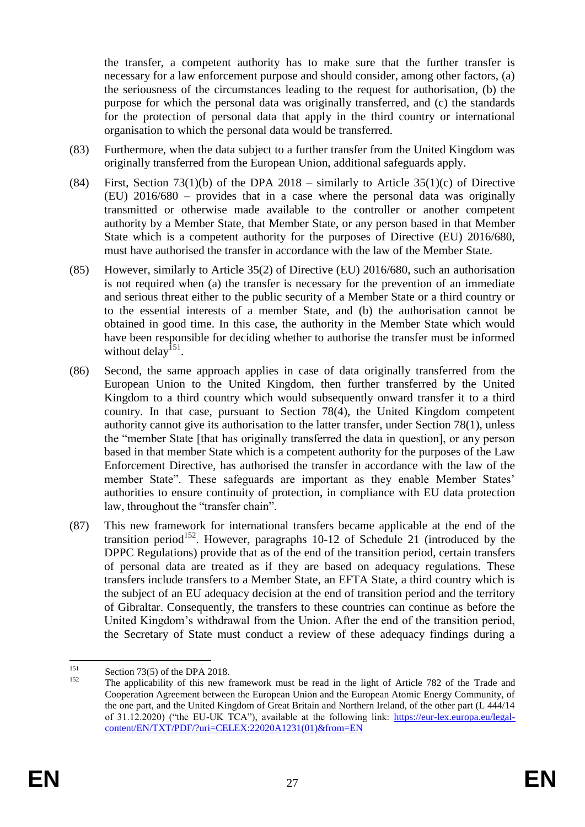the transfer, a competent authority has to make sure that the further transfer is necessary for a law enforcement purpose and should consider, among other factors, (a) the seriousness of the circumstances leading to the request for authorisation, (b) the purpose for which the personal data was originally transferred, and (c) the standards for the protection of personal data that apply in the third country or international organisation to which the personal data would be transferred.

- (83) Furthermore, when the data subject to a further transfer from the United Kingdom was originally transferred from the European Union, additional safeguards apply.
- (84) First, Section 73(1)(b) of the DPA 2018 similarly to Article 35(1)(c) of Directive (EU) 2016/680 – provides that in a case where the personal data was originally transmitted or otherwise made available to the controller or another competent authority by a Member State, that Member State, or any person based in that Member State which is a competent authority for the purposes of Directive (EU) 2016/680, must have authorised the transfer in accordance with the law of the Member State.
- (85) However, similarly to Article 35(2) of Directive (EU) 2016/680, such an authorisation is not required when (a) the transfer is necessary for the prevention of an immediate and serious threat either to the public security of a Member State or a third country or to the essential interests of a member State, and (b) the authorisation cannot be obtained in good time. In this case, the authority in the Member State which would have been responsible for deciding whether to authorise the transfer must be informed without delay<sup>151</sup>.
- (86) Second, the same approach applies in case of data originally transferred from the European Union to the United Kingdom, then further transferred by the United Kingdom to a third country which would subsequently onward transfer it to a third country. In that case, pursuant to Section 78(4), the United Kingdom competent authority cannot give its authorisation to the latter transfer, under Section 78(1), unless the "member State [that has originally transferred the data in question], or any person based in that member State which is a competent authority for the purposes of the Law Enforcement Directive, has authorised the transfer in accordance with the law of the member State". These safeguards are important as they enable Member States' authorities to ensure continuity of protection, in compliance with EU data protection law, throughout the "transfer chain".
- (87) This new framework for international transfers became applicable at the end of the transition period<sup>152</sup>. However, paragraphs 10-12 of Schedule 21 (introduced by the DPPC Regulations) provide that as of the end of the transition period, certain transfers of personal data are treated as if they are based on adequacy regulations. These transfers include transfers to a Member State, an EFTA State, a third country which is the subject of an EU adequacy decision at the end of transition period and the territory of Gibraltar. Consequently, the transfers to these countries can continue as before the United Kingdom's withdrawal from the Union. After the end of the transition period, the Secretary of State must conduct a review of these adequacy findings during a

1

 $\frac{151}{152}$  Section 73(5) of the DPA 2018.

The applicability of this new framework must be read in the light of Article 782 of the Trade and Cooperation Agreement between the European Union and the European Atomic Energy Community, of the one part, and the United Kingdom of Great Britain and Northern Ireland, of the other part (L 444/14 of 31.12.2020) ("the EU-UK TCA"), available at the following link: [https://eur-lex.europa.eu/legal](https://eur-lex.europa.eu/legal-content/EN/TXT/PDF/?uri=CELEX:22020A1231(01)&from=EN)[content/EN/TXT/PDF/?uri=CELEX:22020A1231\(01\)&from=EN](https://eur-lex.europa.eu/legal-content/EN/TXT/PDF/?uri=CELEX:22020A1231(01)&from=EN)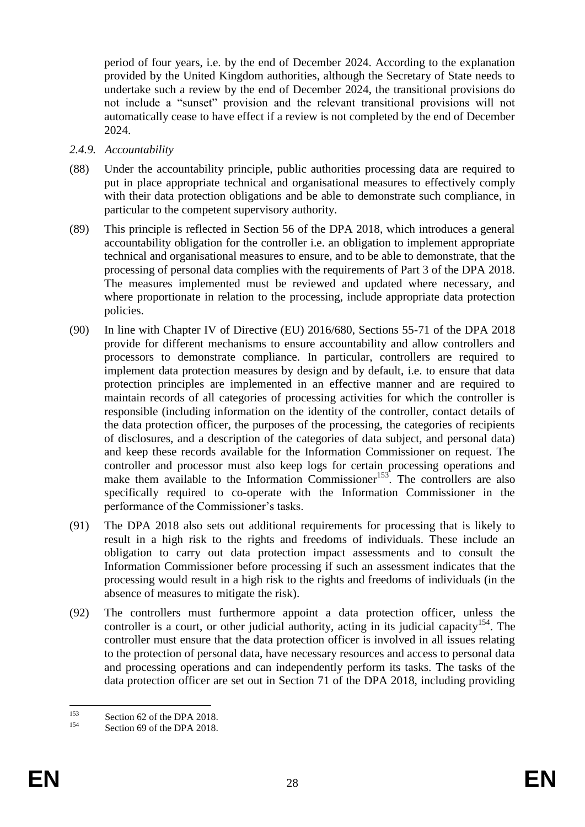period of four years, i.e. by the end of December 2024. According to the explanation provided by the United Kingdom authorities, although the Secretary of State needs to undertake such a review by the end of December 2024, the transitional provisions do not include a "sunset" provision and the relevant transitional provisions will not automatically cease to have effect if a review is not completed by the end of December 2024.

- *2.4.9. Accountability*
- (88) Under the accountability principle, public authorities processing data are required to put in place appropriate technical and organisational measures to effectively comply with their data protection obligations and be able to demonstrate such compliance, in particular to the competent supervisory authority.
- (89) This principle is reflected in Section 56 of the DPA 2018, which introduces a general accountability obligation for the controller i.e. an obligation to implement appropriate technical and organisational measures to ensure, and to be able to demonstrate, that the processing of personal data complies with the requirements of Part 3 of the DPA 2018. The measures implemented must be reviewed and updated where necessary, and where proportionate in relation to the processing, include appropriate data protection policies.
- (90) In line with Chapter IV of Directive (EU) 2016/680, Sections 55-71 of the DPA 2018 provide for different mechanisms to ensure accountability and allow controllers and processors to demonstrate compliance. In particular, controllers are required to implement data protection measures by design and by default, i.e. to ensure that data protection principles are implemented in an effective manner and are required to maintain records of all categories of processing activities for which the controller is responsible (including information on the identity of the controller, contact details of the data protection officer, the purposes of the processing, the categories of recipients of disclosures, and a description of the categories of data subject, and personal data) and keep these records available for the Information Commissioner on request. The controller and processor must also keep logs for certain processing operations and make them available to the Information Commissioner<sup>153</sup>. The controllers are also specifically required to co-operate with the Information Commissioner in the performance of the Commissioner's tasks.
- (91) The DPA 2018 also sets out additional requirements for processing that is likely to result in a high risk to the rights and freedoms of individuals. These include an obligation to carry out data protection impact assessments and to consult the Information Commissioner before processing if such an assessment indicates that the processing would result in a high risk to the rights and freedoms of individuals (in the absence of measures to mitigate the risk).
- (92) The controllers must furthermore appoint a data protection officer, unless the controller is a court, or other judicial authority, acting in its judicial capacity<sup>154</sup>. The controller must ensure that the data protection officer is involved in all issues relating to the protection of personal data, have necessary resources and access to personal data and processing operations and can independently perform its tasks. The tasks of the data protection officer are set out in Section 71 of the DPA 2018, including providing

<sup>153</sup>  $153$  Section 62 of the DPA 2018.

Section 69 of the DPA 2018.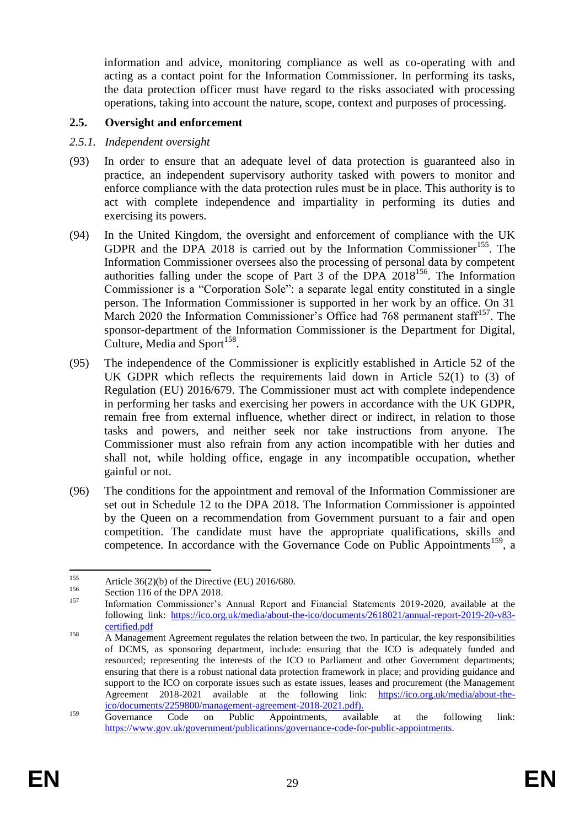information and advice, monitoring compliance as well as co-operating with and acting as a contact point for the Information Commissioner. In performing its tasks, the data protection officer must have regard to the risks associated with processing operations, taking into account the nature, scope, context and purposes of processing.

## **2.5. Oversight and enforcement**

#### *2.5.1. Independent oversight*

- (93) In order to ensure that an adequate level of data protection is guaranteed also in practice, an independent supervisory authority tasked with powers to monitor and enforce compliance with the data protection rules must be in place. This authority is to act with complete independence and impartiality in performing its duties and exercising its powers.
- (94) In the United Kingdom, the oversight and enforcement of compliance with the UK GDPR and the DPA 2018 is carried out by the Information Commissioner<sup>155</sup>. The Information Commissioner oversees also the processing of personal data by competent authorities falling under the scope of Part  $\overline{3}$  of the DPA 2018<sup>156</sup>. The Information Commissioner is a "Corporation Sole": a separate legal entity constituted in a single person. The Information Commissioner is supported in her work by an office. On 31 March 2020 the Information Commissioner's Office had 768 permanent staff<sup>157</sup>. The sponsor-department of the Information Commissioner is the Department for Digital, Culture, Media and Sport $158$ .
- <span id="page-29-1"></span><span id="page-29-0"></span>(95) The independence of the Commissioner is explicitly established in Article 52 of the UK GDPR which reflects the requirements laid down in Article 52(1) to (3) of Regulation (EU) 2016/679. The Commissioner must act with complete independence in performing her tasks and exercising her powers in accordance with the UK GDPR, remain free from external influence, whether direct or indirect, in relation to those tasks and powers, and neither seek nor take instructions from anyone. The Commissioner must also refrain from any action incompatible with her duties and shall not, while holding office, engage in any incompatible occupation, whether gainful or not.
- (96) The conditions for the appointment and removal of the Information Commissioner are set out in Schedule 12 to the DPA 2018. The Information Commissioner is appointed by the Queen on a recommendation from Government pursuant to a fair and open competition. The candidate must have the appropriate qualifications, skills and competence. In accordance with the Governance Code on Public Appointments<sup>159</sup>, a

 $155$ <sup>155</sup> Article 36(2)(b) of the Directive (EU) 2016/680.

 $156$  Section 116 of the DPA 2018.

<sup>157</sup> Information Commissioner's Annual Report and Financial Statements 2019-2020, available at the following link: [https://ico.org.uk/media/about-the-ico/documents/2618021/annual-report-2019-20-v83](https://ico.org.uk/media/about-the-ico/documents/2618021/annual-report-2019-20-v83-certified.pdf) [certified.pdf](https://ico.org.uk/media/about-the-ico/documents/2618021/annual-report-2019-20-v83-certified.pdf)

<sup>&</sup>lt;sup>158</sup> A Management Agreement regulates the relation between the two. In particular, the key responsibilities of DCMS, as sponsoring department, include: ensuring that the ICO is adequately funded and resourced; representing the interests of the ICO to Parliament and other Government departments; ensuring that there is a robust national data protection framework in place; and providing guidance and support to the ICO on corporate issues such as estate issues, leases and procurement (the Management Agreement 2018-2021 available at the following link: [https://ico.org.uk/media/about-the](https://ico.org.uk/media/about-the-ico/documents/2259800/management-agreement-2018-2021.pdf)[ico/documents/2259800/management-agreement-2018-2021.pdf\)](https://ico.org.uk/media/about-the-ico/documents/2259800/management-agreement-2018-2021.pdf).

<sup>&</sup>lt;sup>159</sup> Governance Code on Public Appointments, available at the following link: [https://www.gov.uk/government/publications/governance-code-for-public-appointments.](https://www.gov.uk/government/publications/governance-code-for-public-appointments)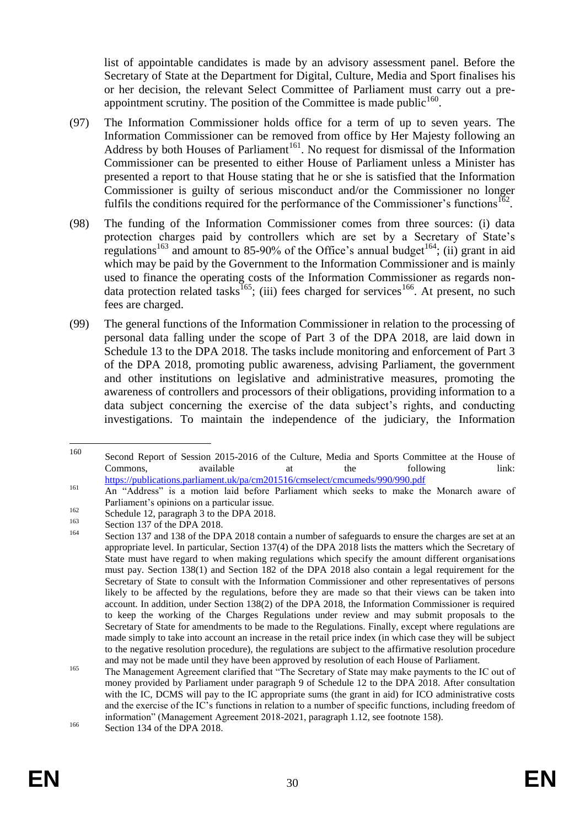list of appointable candidates is made by an advisory assessment panel. Before the Secretary of State at the Department for Digital, Culture, Media and Sport finalises his or her decision, the relevant Select Committee of Parliament must carry out a preappointment scrutiny. The position of the Committee is made public  $160$ .

- (97) The Information Commissioner holds office for a term of up to seven years. The Information Commissioner can be removed from office by Her Majesty following an Address by both Houses of Parliament<sup>161</sup>. No request for dismissal of the Information Commissioner can be presented to either House of Parliament unless a Minister has presented a report to that House stating that he or she is satisfied that the Information Commissioner is guilty of serious misconduct and/or the Commissioner no longer fulfils the conditions required for the performance of the Commissioner's functions  $162$ .
- (98) The funding of the Information Commissioner comes from three sources: (i) data protection charges paid by controllers which are set by a Secretary of State's regulations<sup>163</sup> and amount to 85-90% of the Office's annual budget<sup>164</sup>; (ii) grant in aid which may be paid by the Government to the Information Commissioner and is mainly used to finance the operating costs of the Information Commissioner as regards nondata protection related tasks<sup>165</sup>; (iii) fees charged for services<sup>166</sup>. At present, no such fees are charged.
- (99) The general functions of the Information Commissioner in relation to the processing of personal data falling under the scope of Part 3 of the DPA 2018, are laid down in Schedule 13 to the DPA 2018. The tasks include monitoring and enforcement of Part 3 of the DPA 2018, promoting public awareness, advising Parliament, the government and other institutions on legislative and administrative measures, promoting the awareness of controllers and processors of their obligations, providing information to a data subject concerning the exercise of the data subject's rights, and conducting investigations. To maintain the independence of the judiciary, the Information

<sup>160</sup> Second Report of Session 2015-2016 of the Culture, Media and Sports Committee at the House of Commons, available at the following link: <https://publications.parliament.uk/pa/cm201516/cmselect/cmcumeds/990/990.pdf>

<sup>&</sup>lt;sup>161</sup> An "Address" is a motion laid before Parliament which seeks to make the Monarch aware of Parliament's opinions on a particular issue.

<sup>&</sup>lt;sup>162</sup> Schedule 12, paragraph 3 to the DPA 2018.

 $^{163}$  Section 137 of the DPA 2018.

Section 137 and 138 of the DPA 2018 contain a number of safeguards to ensure the charges are set at an appropriate level. In particular, Section 137(4) of the DPA 2018 lists the matters which the Secretary of State must have regard to when making regulations which specify the amount different organisations must pay. Section 138(1) and Section 182 of the DPA 2018 also contain a legal requirement for the Secretary of State to consult with the Information Commissioner and other representatives of persons likely to be affected by the regulations, before they are made so that their views can be taken into account. In addition, under Section 138(2) of the DPA 2018, the Information Commissioner is required to keep the working of the Charges Regulations under review and may submit proposals to the Secretary of State for amendments to be made to the Regulations. Finally, except where regulations are made simply to take into account an increase in the retail price index (in which case they will be subject to the negative resolution procedure), the regulations are subject to the affirmative resolution procedure and may not be made until they have been approved by resolution of each House of Parliament.

<sup>&</sup>lt;sup>165</sup> The Management Agreement clarified that "The Secretary of State may make payments to the IC out of money provided by Parliament under paragraph 9 of Schedule 12 to the DPA 2018. After consultation with the IC, DCMS will pay to the IC appropriate sums (the grant in aid) for ICO administrative costs and the exercise of the IC's functions in relation to a number of specific functions, including freedom of information" (Management Agreement 2018-2021, paragraph 1.12, see footnote [158\)](#page-29-0). <sup>166</sup> Section 134 of the DPA 2018.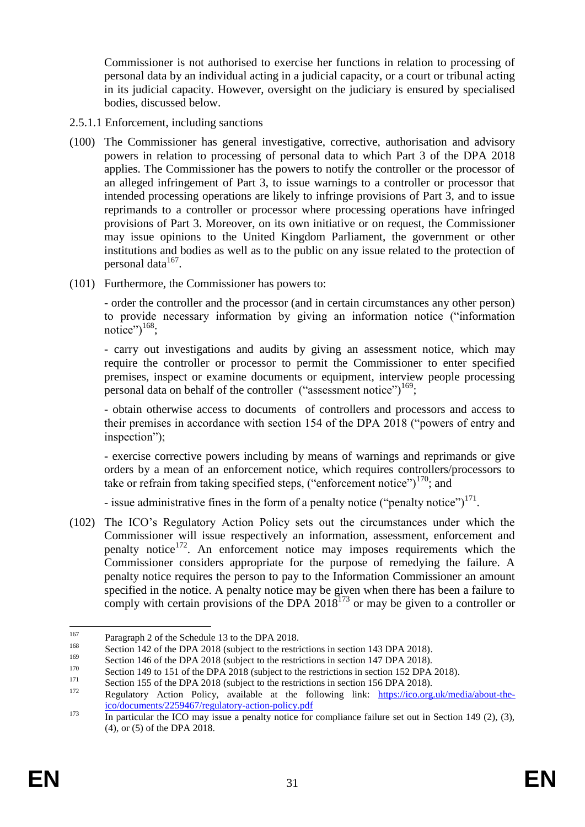Commissioner is not authorised to exercise her functions in relation to processing of personal data by an individual acting in a judicial capacity, or a court or tribunal acting in its judicial capacity. However, oversight on the judiciary is ensured by specialised bodies, discussed below.

- 2.5.1.1 Enforcement, including sanctions
- (100) The Commissioner has general investigative, corrective, authorisation and advisory powers in relation to processing of personal data to which Part 3 of the DPA 2018 applies. The Commissioner has the powers to notify the controller or the processor of an alleged infringement of Part 3, to issue warnings to a controller or processor that intended processing operations are likely to infringe provisions of Part 3, and to issue reprimands to a controller or processor where processing operations have infringed provisions of Part 3. Moreover, on its own initiative or on request, the Commissioner may issue opinions to the United Kingdom Parliament, the government or other institutions and bodies as well as to the public on any issue related to the protection of personal data<sup>167</sup>.
- (101) Furthermore, the Commissioner has powers to:

- order the controller and the processor (and in certain circumstances any other person) to provide necessary information by giving an information notice ("information notice") $^{168}$ ;

- carry out investigations and audits by giving an assessment notice, which may require the controller or processor to permit the Commissioner to enter specified premises, inspect or examine documents or equipment, interview people processing personal data on behalf of the controller  $("assessment notice")^{169}$ ;

- obtain otherwise access to documents of controllers and processors and access to their premises in accordance with section 154 of the DPA 2018 ("powers of entry and inspection");

- exercise corrective powers including by means of warnings and reprimands or give orders by a mean of an enforcement notice, which requires controllers/processors to take or refrain from taking specified steps, ("enforcement notice") $170$ ; and

- issue administrative fines in the form of a penalty notice ("penalty notice") $171$ .

(102) The ICO's Regulatory Action Policy sets out the circumstances under which the Commissioner will issue respectively an information, assessment, enforcement and penalty notice<sup>172</sup>. An enforcement notice may imposes requirements which the Commissioner considers appropriate for the purpose of remedying the failure. A penalty notice requires the person to pay to the Information Commissioner an amount specified in the notice. A penalty notice may be given when there has been a failure to comply with certain provisions of the DPA  $2018^{173}$  or may be given to a controller or

<sup>167</sup> <sup>167</sup> Paragraph 2 of the Schedule 13 to the DPA 2018.

<sup>&</sup>lt;sup>168</sup> Section 142 of the DPA 2018 (subject to the restrictions in section 143 DPA 2018).

<sup>&</sup>lt;sup>169</sup> Section 146 of the DPA 2018 (subject to the restrictions in section 147 DPA 2018).

<sup>&</sup>lt;sup>170</sup> Section 149 to 151 of the DPA 2018 (subject to the restrictions in section 152 DPA 2018).

<sup>&</sup>lt;sup>171</sup> Section 155 of the DPA 2018 (subject to the restrictions in section 156 DPA 2018).

Regulatory Action Policy, available at the following link: [https://ico.org.uk/media/about-the](https://ico.org.uk/media/about-the-ico/documents/2259467/regulatory-action-policy.pdf)[ico/documents/2259467/regulatory-action-policy.pdf](https://ico.org.uk/media/about-the-ico/documents/2259467/regulatory-action-policy.pdf)

<sup>&</sup>lt;sup>173</sup> In particular the ICO may issue a penalty notice for compliance failure set out in Section 149 (2), (3), (4), or (5) of the DPA 2018.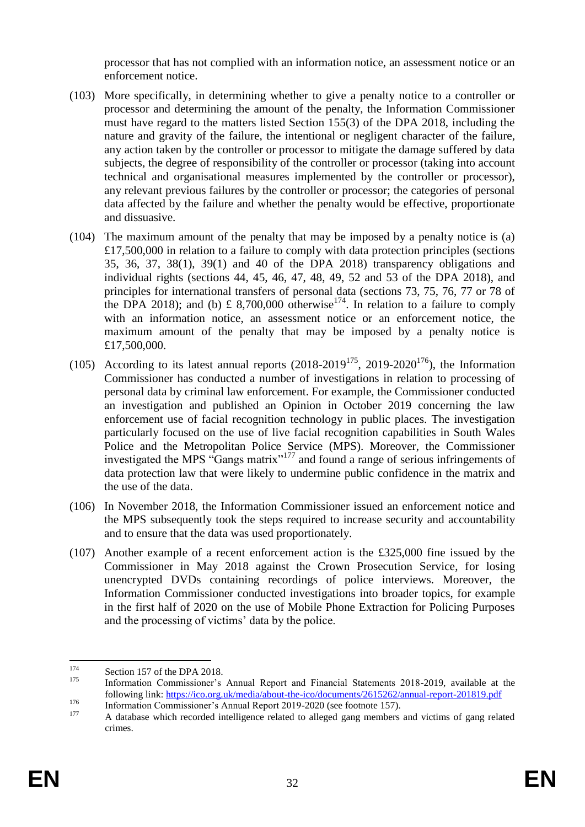processor that has not complied with an information notice, an assessment notice or an enforcement notice.

- (103) More specifically, in determining whether to give a penalty notice to a controller or processor and determining the amount of the penalty, the Information Commissioner must have regard to the matters listed Section 155(3) of the DPA 2018, including the nature and gravity of the failure, the intentional or negligent character of the failure, any action taken by the controller or processor to mitigate the damage suffered by data subjects, the degree of responsibility of the controller or processor (taking into account technical and organisational measures implemented by the controller or processor), any relevant previous failures by the controller or processor; the categories of personal data affected by the failure and whether the penalty would be effective, proportionate and dissuasive.
- (104) The maximum amount of the penalty that may be imposed by a penalty notice is (a) £17,500,000 in relation to a failure to comply with data protection principles (sections 35, 36, 37, 38(1), 39(1) and 40 of the DPA 2018) transparency obligations and individual rights (sections 44, 45, 46, 47, 48, 49, 52 and 53 of the DPA 2018), and principles for international transfers of personal data (sections 73, 75, 76, 77 or 78 of the DPA 2018); and (b) £ 8,700,000 otherwise<sup>174</sup>. In relation to a failure to comply with an information notice, an assessment notice or an enforcement notice, the maximum amount of the penalty that may be imposed by a penalty notice is £17,500,000.
- (105) According to its latest annual reports  $(2018-2019^{175}, 2019-2020^{176})$ , the Information Commissioner has conducted a number of investigations in relation to processing of personal data by criminal law enforcement. For example, the Commissioner conducted an investigation and published an Opinion in October 2019 concerning the law enforcement use of facial recognition technology in public places. The investigation particularly focused on the use of live facial recognition capabilities in South Wales Police and the Metropolitan Police Service (MPS). Moreover, the Commissioner investigated the MPS "Gangs matrix"<sup>177</sup> and found a range of serious infringements of data protection law that were likely to undermine public confidence in the matrix and the use of the data.
- (106) In November 2018, the Information Commissioner issued an enforcement notice and the MPS subsequently took the steps required to increase security and accountability and to ensure that the data was used proportionately.
- (107) Another example of a recent enforcement action is the £325,000 fine issued by the Commissioner in May 2018 against the Crown Prosecution Service, for losing unencrypted DVDs containing recordings of police interviews. Moreover, the Information Commissioner conducted investigations into broader topics, for example in the first half of 2020 on the use of Mobile Phone Extraction for Policing Purposes and the processing of victims' data by the police.

<sup>174</sup>  $174$  Section 157 of the DPA 2018.

<sup>175</sup> Information Commissioner's Annual Report and Financial Statements 2018-2019, available at the following link:<https://ico.org.uk/media/about-the-ico/documents/2615262/annual-report-201819.pdf>

<sup>176</sup> Information Commissioner's Annual Report 2019-2020 (see footnote [157\)](#page-29-1).

<sup>177</sup> A database which recorded intelligence related to alleged gang members and victims of gang related crimes.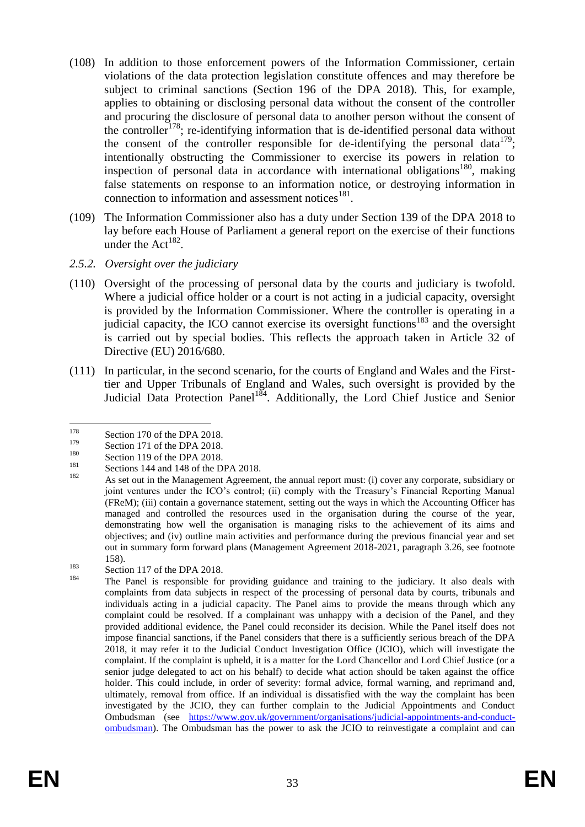- (108) In addition to those enforcement powers of the Information Commissioner, certain violations of the data protection legislation constitute offences and may therefore be subject to criminal sanctions (Section 196 of the DPA 2018). This, for example, applies to obtaining or disclosing personal data without the consent of the controller and procuring the disclosure of personal data to another person without the consent of the controller<sup>178</sup>; re-identifying information that is de-identified personal data without the consent of the controller responsible for de-identifying the personal data<sup>179</sup>; intentionally obstructing the Commissioner to exercise its powers in relation to inspection of personal data in accordance with international obligations<sup>180</sup>, making false statements on response to an information notice, or destroying information in connection to information and assessment notices $181$ .
- (109) The Information Commissioner also has a duty under Section 139 of the DPA 2018 to lay before each House of Parliament a general report on the exercise of their functions under the Act<sup>182</sup>.
- *2.5.2. Oversight over the judiciary*
- (110) Oversight of the processing of personal data by the courts and judiciary is twofold. Where a judicial office holder or a court is not acting in a judicial capacity, oversight is provided by the Information Commissioner. Where the controller is operating in a judicial capacity, the ICO cannot exercise its oversight functions<sup>183</sup> and the oversight is carried out by special bodies. This reflects the approach taken in Article 32 of Directive (EU) 2016/680.
- (111) In particular, in the second scenario, for the courts of England and Wales and the Firsttier and Upper Tribunals of England and Wales, such oversight is provided by the Judicial Data Protection Panel<sup>184</sup>. Additionally, the Lord Chief Justice and Senior

<sup>181</sup> Sections 144 and 148 of the DPA 2018.

 $\frac{183}{184}$  Section 117 of the DPA 2018.

<sup>178</sup>  $178$  Section 170 of the DPA 2018.

 $179$  Section 171 of the DPA 2018.

 $^{180}$  Section 119 of the DPA 2018.

<sup>182</sup> As set out in the Management Agreement, the annual report must: (i) cover any corporate, subsidiary or joint ventures under the ICO's control; (ii) comply with the Treasury's Financial Reporting Manual (FReM); (iii) contain a governance statement, setting out the ways in which the Accounting Officer has managed and controlled the resources used in the organisation during the course of the year, demonstrating how well the organisation is managing risks to the achievement of its aims and objectives; and (iv) outline main activities and performance during the previous financial year and set out in summary form forward plans (Management Agreement 2018-2021, paragraph 3.26, see footnote [158\)](#page-29-0).

The Panel is responsible for providing guidance and training to the judiciary. It also deals with complaints from data subjects in respect of the processing of personal data by courts, tribunals and individuals acting in a judicial capacity. The Panel aims to provide the means through which any complaint could be resolved. If a complainant was unhappy with a decision of the Panel, and they provided additional evidence, the Panel could reconsider its decision. While the Panel itself does not impose financial sanctions, if the Panel considers that there is a sufficiently serious breach of the DPA 2018, it may refer it to the Judicial Conduct Investigation Office (JCIO), which will investigate the complaint. If the complaint is upheld, it is a matter for the Lord Chancellor and Lord Chief Justice (or a senior judge delegated to act on his behalf) to decide what action should be taken against the office holder. This could include, in order of severity: formal advice, formal warning, and reprimand and, ultimately, removal from office. If an individual is dissatisfied with the way the complaint has been investigated by the JCIO, they can further complain to the Judicial Appointments and Conduct Ombudsman (see [https://www.gov.uk/government/organisations/judicial-appointments-and-conduct](https://www.gov.uk/government/organisations/judicial-appointments-and-conduct-ombudsman)[ombudsman\)](https://www.gov.uk/government/organisations/judicial-appointments-and-conduct-ombudsman). The Ombudsman has the power to ask the JCIO to reinvestigate a complaint and can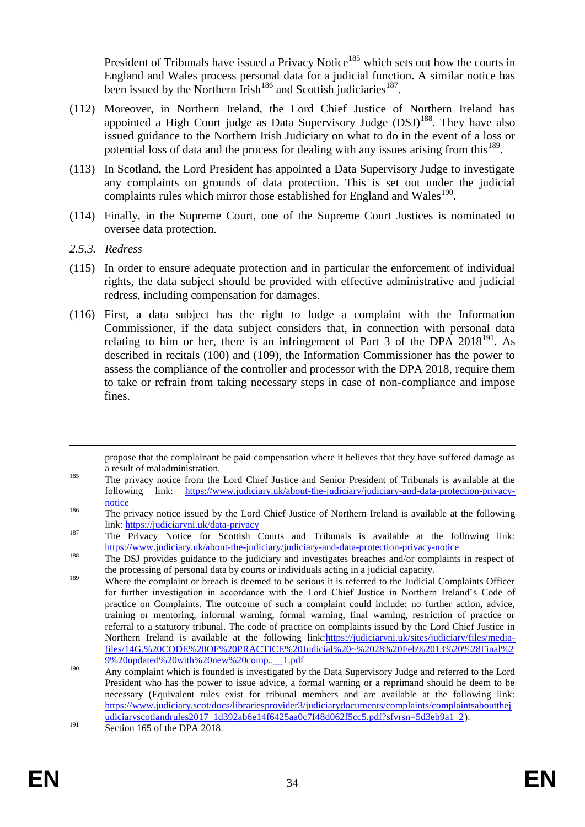President of Tribunals have issued a Privacy Notice<sup>185</sup> which sets out how the courts in England and Wales process personal data for a judicial function. A similar notice has been issued by the Northern Irish<sup>186</sup> and Scottish judiciaries<sup>187</sup>.

- (112) Moreover, in Northern Ireland, the Lord Chief Justice of Northern Ireland has appointed a High Court judge as Data Supervisory Judge (DSJ)<sup>188</sup>. They have also issued guidance to the Northern Irish Judiciary on what to do in the event of a loss or potential loss of data and the process for dealing with any issues arising from this<sup>189</sup>.
- (113) In Scotland, the Lord President has appointed a Data Supervisory Judge to investigate any complaints on grounds of data protection. This is set out under the judicial complaints rules which mirror those established for England and Wales<sup>190</sup>.
- (114) Finally, in the Supreme Court, one of the Supreme Court Justices is nominated to oversee data protection.
- *2.5.3. Redress*

1

- (115) In order to ensure adequate protection and in particular the enforcement of individual rights, the data subject should be provided with effective administrative and judicial redress, including compensation for damages.
- (116) First, a data subject has the right to lodge a complaint with the Information Commissioner, if the data subject considers that, in connection with personal data relating to him or her, there is an infringement of Part  $3$  of the DPA  $2018^{191}$ . As described in recitals (100) and (109), the Information Commissioner has the power to assess the compliance of the controller and processor with the DPA 2018, require them to take or refrain from taking necessary steps in case of non-compliance and impose fines.

<sup>185</sup> The privacy notice from the Lord Chief Justice and Senior President of Tribunals is available at the following link: [https://www.judiciary.uk/about-the-judiciary/judiciary-and-data-protection-privacy](https://www.judiciary.uk/about-the-judiciary/judiciary-and-data-protection-privacy-notice)[notice](https://www.judiciary.uk/about-the-judiciary/judiciary-and-data-protection-privacy-notice)

propose that the complainant be paid compensation where it believes that they have suffered damage as a result of maladministration.

<sup>&</sup>lt;sup>186</sup> The privacy notice issued by the Lord Chief Justice of Northern Ireland is available at the following link[: https://judiciaryni.uk/data-privacy](https://judiciaryni.uk/data-privacy)

<sup>&</sup>lt;sup>187</sup> The Privacy Notice for Scottish Courts and Tribunals is available at the following link: <https://www.judiciary.uk/about-the-judiciary/judiciary-and-data-protection-privacy-notice>

<sup>&</sup>lt;sup>188</sup> The DSJ provides guidance to the judiciary and investigates breaches and/or complaints in respect of the processing of personal data by courts or individuals acting in a judicial capacity.

<sup>&</sup>lt;sup>189</sup> Where the complaint or breach is deemed to be serious it is referred to the Judicial Complaints Officer for further investigation in accordance with the Lord Chief Justice in Northern Ireland's Code of practice on Complaints. The outcome of such a complaint could include: no further action, advice, training or mentoring, informal warning, formal warning, final warning, restriction of practice or referral to a statutory tribunal. The code of practice on complaints issued by the Lord Chief Justice in Northern Ireland is available at the following link[:https://judiciaryni.uk/sites/judiciary/files/media](https://judiciaryni.uk/sites/judiciary/files/media-files/14G.%20CODE%20OF%20PRACTICE%20Judicial%20~%2028%20Feb%2013%20%28Final%29%20updated%20with%20new%20comp..__1.pdf)[files/14G.%20CODE%20OF%20PRACTICE%20Judicial%20~%2028%20Feb%2013%20%28Final%2](https://judiciaryni.uk/sites/judiciary/files/media-files/14G.%20CODE%20OF%20PRACTICE%20Judicial%20~%2028%20Feb%2013%20%28Final%29%20updated%20with%20new%20comp..__1.pdf) [9%20updated%20with%20new%20comp..\\_\\_1.pdf](https://judiciaryni.uk/sites/judiciary/files/media-files/14G.%20CODE%20OF%20PRACTICE%20Judicial%20~%2028%20Feb%2013%20%28Final%29%20updated%20with%20new%20comp..__1.pdf)

<sup>&</sup>lt;sup>190</sup> Any complaint which is founded is investigated by the Data Supervisory Judge and referred to the Lord President who has the power to issue advice, a formal warning or a reprimand should he deem to be necessary (Equivalent rules exist for tribunal members and are available at the following link: [https://www.judiciary.scot/docs/librariesprovider3/judiciarydocuments/complaints/complaintsaboutthej](https://www.judiciary.scot/docs/librariesprovider3/judiciarydocuments/complaints/complaintsaboutthejudiciaryscotlandrules2017_1d392ab6e14f6425aa0c7f48d062f5cc5.pdf?sfvrsn=5d3eb9a1_2) [udiciaryscotlandrules2017\\_1d392ab6e14f6425aa0c7f48d062f5cc5.pdf?sfvrsn=5d3eb9a1\\_2\)](https://www.judiciary.scot/docs/librariesprovider3/judiciarydocuments/complaints/complaintsaboutthejudiciaryscotlandrules2017_1d392ab6e14f6425aa0c7f48d062f5cc5.pdf?sfvrsn=5d3eb9a1_2).  $\frac{191}{\text{Section 165 of the DPA }2018.}$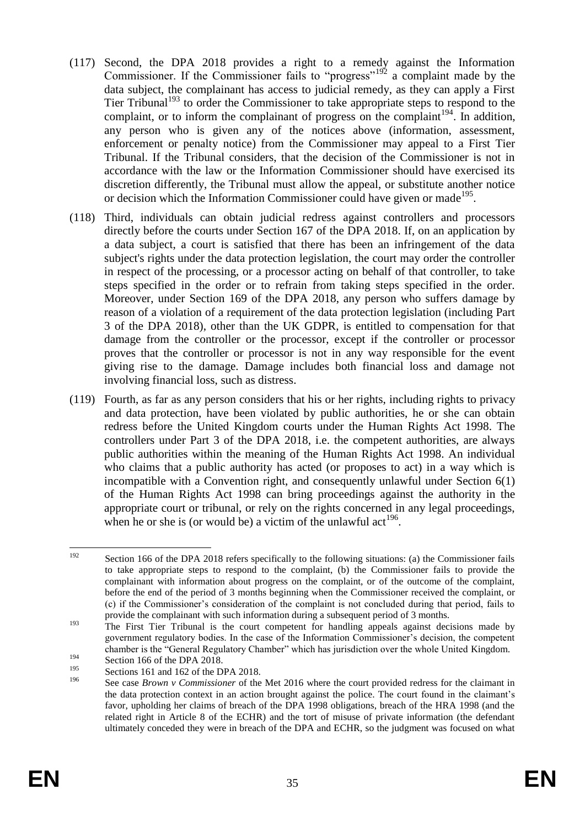- (117) Second, the DPA 2018 provides a right to a remedy against the Information Commissioner. If the Commissioner fails to "progress"<sup>192</sup> a complaint made by the data subject, the complainant has access to judicial remedy, as they can apply a First Tier Tribunal<sup>193</sup> to order the Commissioner to take appropriate steps to respond to the complaint, or to inform the complainant of progress on the complaint<sup>194</sup>. In addition, any person who is given any of the notices above (information, assessment, enforcement or penalty notice) from the Commissioner may appeal to a First Tier Tribunal. If the Tribunal considers, that the decision of the Commissioner is not in accordance with the law or the Information Commissioner should have exercised its discretion differently, the Tribunal must allow the appeal, or substitute another notice or decision which the Information Commissioner could have given or made  $195$ .
- (118) Third, individuals can obtain judicial redress against controllers and processors directly before the courts under Section 167 of the DPA 2018. If, on an application by a data subject, a court is satisfied that there has been an infringement of the data subject's rights under the data protection legislation, the court may order the controller in respect of the processing, or a processor acting on behalf of that controller, to take steps specified in the order or to refrain from taking steps specified in the order. Moreover, under Section 169 of the DPA 2018, any person who suffers damage by reason of a violation of a requirement of the data protection legislation (including Part 3 of the DPA 2018), other than the UK GDPR, is entitled to compensation for that damage from the controller or the processor, except if the controller or processor proves that the controller or processor is not in any way responsible for the event giving rise to the damage. Damage includes both financial loss and damage not involving financial loss, such as distress.
- (119) Fourth, as far as any person considers that his or her rights, including rights to privacy and data protection, have been violated by public authorities, he or she can obtain redress before the United Kingdom courts under the Human Rights Act 1998. The controllers under Part 3 of the DPA 2018, i.e. the competent authorities, are always public authorities within the meaning of the Human Rights Act 1998. An individual who claims that a public authority has acted (or proposes to act) in a way which is incompatible with a Convention right, and consequently unlawful under Section 6(1) of the Human Rights Act 1998 can bring proceedings against the authority in the appropriate court or tribunal, or rely on the rights concerned in any legal proceedings, when he or she is (or would be) a victim of the unlawful act<sup>196</sup>.

<sup>192</sup> Section 166 of the DPA 2018 refers specifically to the following situations: (a) the Commissioner fails to take appropriate steps to respond to the complaint, (b) the Commissioner fails to provide the complainant with information about progress on the complaint, or of the outcome of the complaint, before the end of the period of 3 months beginning when the Commissioner received the complaint, or (c) if the Commissioner's consideration of the complaint is not concluded during that period, fails to provide the complainant with such information during a subsequent period of 3 months.

<sup>&</sup>lt;sup>193</sup> The First Tier Tribunal is the court competent for handling appeals against decisions made by government regulatory bodies. In the case of the Information Commissioner's decision, the competent chamber is the "General Regulatory Chamber" which has jurisdiction over the whole United Kingdom.

 $\frac{194}{195}$  Section 166 of the DPA 2018.

<sup>&</sup>lt;sup>195</sup> Sections 161 and 162 of the DPA 2018.

See case *Brown v Commissioner* of the Met 2016 where the court provided redress for the claimant in the data protection context in an action brought against the police. The court found in the claimant's favor, upholding her claims of breach of the DPA 1998 obligations, breach of the HRA 1998 (and the related right in Article 8 of the ECHR) and the tort of misuse of private information (the defendant ultimately conceded they were in breach of the DPA and ECHR, so the judgment was focused on what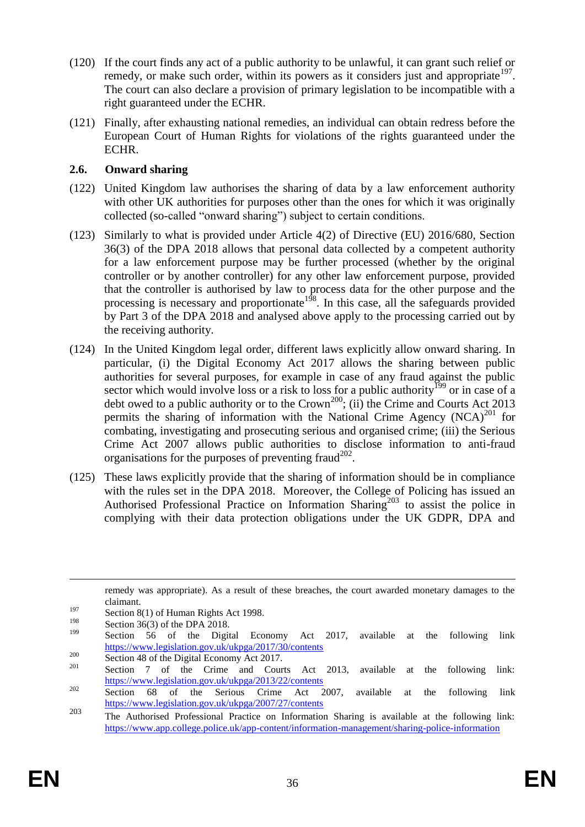- (120) If the court finds any act of a public authority to be unlawful, it can grant such relief or remedy, or make such order, within its powers as it considers just and appropriate  $197$ . The court can also declare a provision of primary legislation to be incompatible with a right guaranteed under the ECHR.
- (121) Finally, after exhausting national remedies, an individual can obtain redress before the European Court of Human Rights for violations of the rights guaranteed under the ECHR.

## **2.6. Onward sharing**

- (122) United Kingdom law authorises the sharing of data by a law enforcement authority with other UK authorities for purposes other than the ones for which it was originally collected (so-called "onward sharing") subject to certain conditions.
- (123) Similarly to what is provided under Article 4(2) of Directive (EU) 2016/680, Section 36(3) of the DPA 2018 allows that personal data collected by a competent authority for a law enforcement purpose may be further processed (whether by the original controller or by another controller) for any other law enforcement purpose, provided that the controller is authorised by law to process data for the other purpose and the processing is necessary and proportionate<sup>198</sup>. In this case, all the safeguards provided by Part 3 of the DPA 2018 and analysed above apply to the processing carried out by the receiving authority.
- (124) In the United Kingdom legal order, different laws explicitly allow onward sharing. In particular, (i) the Digital Economy Act 2017 allows the sharing between public authorities for several purposes, for example in case of any fraud against the public sector which would involve loss or a risk to loss for a public authority<sup>199</sup> or in case of a debt owed to a public authority or to the  $Crown<sup>200</sup>$ ; (ii) the Crime and Courts Act 2013 permits the sharing of information with the National Crime Agency  $(NCA)^{201}$  for combating, investigating and prosecuting serious and organised crime; (iii) the Serious Crime Act 2007 allows public authorities to disclose information to anti-fraud organisations for the purposes of preventing fraud<sup>202</sup>.
- (125) These laws explicitly provide that the sharing of information should be in compliance with the rules set in the DPA 2018. Moreover, the College of Policing has issued an Authorised Professional Practice on Information Sharing<sup>203</sup> to assist the police in complying with their data protection obligations under the UK GDPR, DPA and

1

remedy was appropriate). As a result of these breaches, the court awarded monetary damages to the claimant.

 $\frac{197}{198}$  Section 8(1) of Human Rights Act 1998.

 $\frac{198}{199}$  Section 36(3) of the DPA 2018.

Section 56 of the Digital Economy Act 2017, available at the following link <https://www.legislation.gov.uk/ukpga/2017/30/contents>

<sup>&</sup>lt;sup>200</sup> Section 48 of the Digital Economy Act 2017.

Section 7 of the Crime and Courts Act 2013, available at the following link: <https://www.legislation.gov.uk/ukpga/2013/22/contents>

<sup>&</sup>lt;sup>202</sup> Section 68 of the Serious Crime Act 2007, available at the following link <https://www.legislation.gov.uk/ukpga/2007/27/contents>

<sup>203</sup> The Authorised Professional Practice on Information Sharing is available at the following link: <https://www.app.college.police.uk/app-content/information-management/sharing-police-information>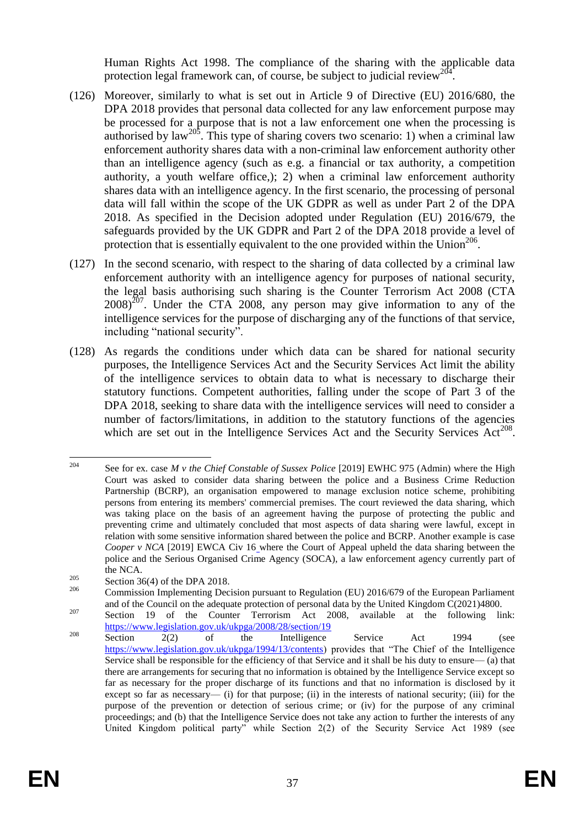Human Rights Act 1998. The compliance of the sharing with the applicable data protection legal framework can, of course, be subject to judicial review<sup>204</sup> .

- (126) Moreover, similarly to what is set out in Article 9 of Directive (EU) 2016/680, the DPA 2018 provides that personal data collected for any law enforcement purpose may be processed for a purpose that is not a law enforcement one when the processing is authorised by law<sup>205</sup>. This type of sharing covers two scenario: 1) when a criminal law enforcement authority shares data with a non-criminal law enforcement authority other than an intelligence agency (such as e.g. a financial or tax authority, a competition authority, a youth welfare office,); 2) when a criminal law enforcement authority shares data with an intelligence agency. In the first scenario, the processing of personal data will fall within the scope of the UK GDPR as well as under Part 2 of the DPA 2018. As specified in the Decision adopted under Regulation (EU) 2016/679, the safeguards provided by the UK GDPR and Part 2 of the DPA 2018 provide a level of protection that is essentially equivalent to the one provided within the Union<sup>206</sup>.
- (127) In the second scenario, with respect to the sharing of data collected by a criminal law enforcement authority with an intelligence agency for purposes of national security, the legal basis authorising such sharing is the Counter Terrorism Act 2008 (CTA  $2008$ <sup>207</sup>. Under the CTA 2008, any person may give information to any of the intelligence services for the purpose of discharging any of the functions of that service, including "national security".
- (128) As regards the conditions under which data can be shared for national security purposes, the Intelligence Services Act and the Security Services Act limit the ability of the intelligence services to obtain data to what is necessary to discharge their statutory functions. Competent authorities, falling under the scope of Part 3 of the DPA 2018, seeking to share data with the intelligence services will need to consider a number of factors/limitations, in addition to the statutory functions of the agencies which are set out in the Intelligence Services Act and the Security Services  $Act^{208}$ .

 $204$ <sup>204</sup> See for ex. case *M v the Chief Constable of Sussex Police* [2019] EWHC 975 (Admin) where the High Court was asked to consider data sharing between the police and a Business Crime Reduction Partnership (BCRP), an organisation empowered to manage exclusion notice scheme, prohibiting persons from entering its members' commercial premises. The court reviewed the data sharing, which was taking place on the basis of an agreement having the purpose of protecting the public and preventing crime and ultimately concluded that most aspects of data sharing were lawful, except in relation with some sensitive information shared between the police and BCRP. Another example is case Cooper v NCA <sup>[2019]</sup> EWCA Civ 16\_where the Court of Appeal upheld the data sharing between the police and the Serious Organised Crime Agency (SOCA), a law enforcement agency currently part of the NCA.

<sup>&</sup>lt;sup>205</sup> Section 36(4) of the DPA 2018.

<sup>206</sup> Commission Implementing Decision pursuant to Regulation (EU) 2016/679 of the European Parliament and of the Council on the adequate protection of personal data by the United Kingdom C(2021)4800.

<sup>&</sup>lt;sup>207</sup> Section 19 of the Counter Terrorism Act 2008, available at the following link: <https://www.legislation.gov.uk/ukpga/2008/28/section/19>

<sup>&</sup>lt;sup>208</sup> Section 2(2) of the Intelligence Service Act 1994 (see [https://www.legislation.gov.uk/ukpga/1994/13/contents\)](https://www.legislation.gov.uk/ukpga/1994/13/contents) provides that "The Chief of the Intelligence Service shall be responsible for the efficiency of that Service and it shall be his duty to ensure— (a) that there are arrangements for securing that no information is obtained by the Intelligence Service except so far as necessary for the proper discharge of its functions and that no information is disclosed by it except so far as necessary— (i) for that purpose; (ii) in the interests of national security; (iii) for the purpose of the prevention or detection of serious crime; or (iv) for the purpose of any criminal proceedings; and (b) that the Intelligence Service does not take any action to further the interests of any United Kingdom political party" while Section 2(2) of the Security Service Act 1989 (see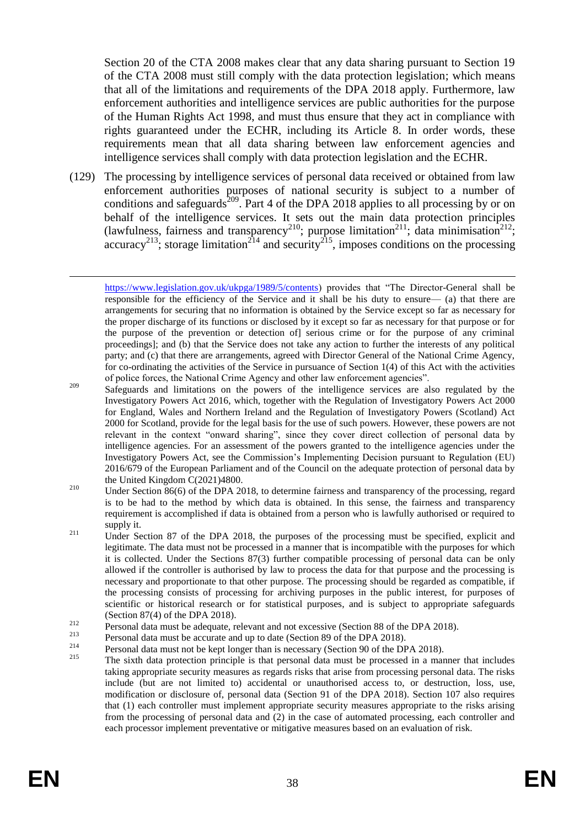Section 20 of the CTA 2008 makes clear that any data sharing pursuant to Section 19 of the CTA 2008 must still comply with the data protection legislation; which means that all of the limitations and requirements of the DPA 2018 apply. Furthermore, law enforcement authorities and intelligence services are public authorities for the purpose of the Human Rights Act 1998, and must thus ensure that they act in compliance with rights guaranteed under the ECHR, including its Article 8. In order words, these requirements mean that all data sharing between law enforcement agencies and intelligence services shall comply with data protection legislation and the ECHR.

(129) The processing by intelligence services of personal data received or obtained from law enforcement authorities purposes of national security is subject to a number of conditions and safeguards<sup>209</sup>. Part 4 of the DPA 2018 applies to all processing by or on behalf of the intelligence services. It sets out the main data protection principles (lawfulness, fairness and transparency<sup>210</sup>; purpose limitation<sup>211</sup>; data minimisation<sup>212</sup>; accuracy<sup>213</sup>; storage limitation<sup>214</sup> and security<sup>215</sup>, imposes conditions on the processing

- <sup>212</sup> Personal data must be adequate, relevant and not excessive (Section 88 of the DPA 2018).
- <sup>213</sup> Personal data must be accurate and up to date (Section 89 of the DPA 2018).
- <sup>214</sup> Personal data must not be kept longer than is necessary (Section 90 of the DPA 2018).
- The sixth data protection principle is that personal data must be processed in a manner that includes taking appropriate security measures as regards risks that arise from processing personal data. The risks include (but are not limited to) accidental or unauthorised access to, or destruction, loss, use, modification or disclosure of, personal data (Section 91 of the DPA 2018). Section 107 also requires that (1) each controller must implement appropriate security measures appropriate to the risks arising from the processing of personal data and (2) in the case of automated processing, each controller and each processor implement preventative or mitigative measures based on an evaluation of risk.

1

[https://www.legislation.gov.uk/ukpga/1989/5/contents\)](https://www.legislation.gov.uk/ukpga/1989/5/contents) provides that "The Director-General shall be responsible for the efficiency of the Service and it shall be his duty to ensure— (a) that there are arrangements for securing that no information is obtained by the Service except so far as necessary for the proper discharge of its functions or disclosed by it except so far as necessary for that purpose or for the purpose of the prevention or detection of] serious crime or for the purpose of any criminal proceedings]; and (b) that the Service does not take any action to further the interests of any political party; and (c) that there are arrangements, agreed with Director General of the National Crime Agency, for co-ordinating the activities of the Service in pursuance of Section 1(4) of this Act with the activities of police forces, the National Crime Agency and other law enforcement agencies".

<sup>&</sup>lt;sup>209</sup> Safeguards and limitations on the powers of the intelligence services are also regulated by the Investigatory Powers Act 2016, which, together with the Regulation of Investigatory Powers Act 2000 for England, Wales and Northern Ireland and the Regulation of Investigatory Powers (Scotland) Act 2000 for Scotland, provide for the legal basis for the use of such powers. However, these powers are not relevant in the context "onward sharing", since they cover direct collection of personal data by intelligence agencies. For an assessment of the powers granted to the intelligence agencies under the Investigatory Powers Act, see the Commission's Implementing Decision pursuant to Regulation (EU) 2016/679 of the European Parliament and of the Council on the adequate protection of personal data by the United Kingdom C(2021)4800.

<sup>&</sup>lt;sup>210</sup> Under Section 86(6) of the DPA 2018, to determine fairness and transparency of the processing, regard is to be had to the method by which data is obtained. In this sense, the fairness and transparency requirement is accomplished if data is obtained from a person who is lawfully authorised or required to supply it.

<sup>&</sup>lt;sup>211</sup> Under Section 87 of the DPA 2018, the purposes of the processing must be specified, explicit and legitimate. The data must not be processed in a manner that is incompatible with the purposes for which it is collected. Under the Sections 87(3) further compatible processing of personal data can be only allowed if the controller is authorised by law to process the data for that purpose and the processing is necessary and proportionate to that other purpose. The processing should be regarded as compatible, if the processing consists of processing for archiving purposes in the public interest, for purposes of scientific or historical research or for statistical purposes, and is subject to appropriate safeguards (Section 87(4) of the DPA 2018).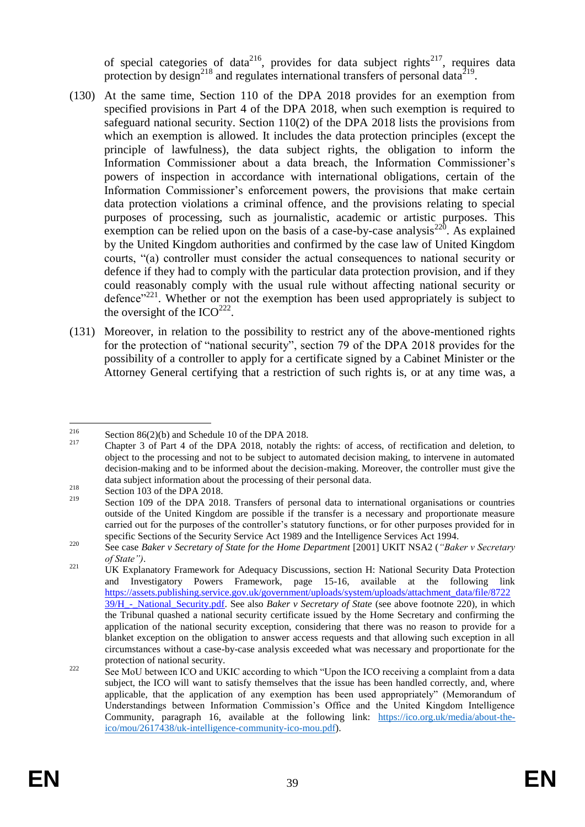<span id="page-39-0"></span>of special categories of data<sup>216</sup>, provides for data subject rights<sup>217</sup>, requires data protection by design<sup>218</sup> and regulates international transfers of personal data<sup>219</sup>.

- (130) At the same time, Section 110 of the DPA 2018 provides for an exemption from specified provisions in Part 4 of the DPA 2018, when such exemption is required to safeguard national security. Section 110(2) of the DPA 2018 lists the provisions from which an exemption is allowed. It includes the data protection principles (except the principle of lawfulness), the data subject rights, the obligation to inform the Information Commissioner about a data breach, the Information Commissioner's powers of inspection in accordance with international obligations, certain of the Information Commissioner's enforcement powers, the provisions that make certain data protection violations a criminal offence, and the provisions relating to special purposes of processing, such as journalistic, academic or artistic purposes. This exemption can be relied upon on the basis of a case-by-case analysis<sup>220</sup>. As explained by the United Kingdom authorities and confirmed by the case law of United Kingdom courts, "(a) controller must consider the actual consequences to national security or defence if they had to comply with the particular data protection provision, and if they could reasonably comply with the usual rule without affecting national security or defence"<sup>221</sup>. Whether or not the exemption has been used appropriately is subject to the oversight of the  $ICO^{222}$ .
- <span id="page-39-1"></span>(131) Moreover, in relation to the possibility to restrict any of the above-mentioned rights for the protection of "national security", section 79 of the DPA 2018 provides for the possibility of a controller to apply for a certificate signed by a Cabinet Minister or the Attorney General certifying that a restriction of such rights is, or at any time was, a

<sup>216</sup> <sup>216</sup> Section 86(2)(b) and Schedule 10 of the DPA 2018.

<sup>217</sup> Chapter 3 of Part 4 of the DPA 2018, notably the rights: of access, of rectification and deletion, to object to the processing and not to be subject to automated decision making, to intervene in automated decision-making and to be informed about the decision-making. Moreover, the controller must give the data subject information about the processing of their personal data.

<sup>218</sup> Section 103 of the DPA 2018.<br>
Section 100 of the DPA 2019

Section 109 of the DPA 2018. Transfers of personal data to international organisations or countries outside of the United Kingdom are possible if the transfer is a necessary and proportionate measure carried out for the purposes of the controller's statutory functions, or for other purposes provided for in specific Sections of the Security Service Act 1989 and the Intelligence Services Act 1994.

<sup>220</sup> See case *Baker v Secretary of State for the Home Department* [2001] UKIT NSA2 (*"Baker v Secretary of State")*.

<sup>&</sup>lt;sup>221</sup> UK Explanatory Framework for Adequacy Discussions, section H: National Security Data Protection and Investigatory Powers Framework, page 15-16, available at the following link [https://assets.publishing.service.gov.uk/government/uploads/system/uploads/attachment\\_data/file/8722](https://assets.publishing.service.gov.uk/government/uploads/system/uploads/attachment_data/file/872239/H_-_National_Security.pdf) [39/H\\_-\\_National\\_Security.pdf.](https://assets.publishing.service.gov.uk/government/uploads/system/uploads/attachment_data/file/872239/H_-_National_Security.pdf) See also *Baker v Secretary of State* (see above footnote [220\)](#page-39-0), in which the Tribunal quashed a national security certificate issued by the Home Secretary and confirming the application of the national security exception, considering that there was no reason to provide for a blanket exception on the obligation to answer access requests and that allowing such exception in all circumstances without a case-by-case analysis exceeded what was necessary and proportionate for the protection of national security.

<sup>&</sup>lt;sup>222</sup> See MoU between ICO and UKIC according to which "Upon the ICO receiving a complaint from a data subject, the ICO will want to satisfy themselves that the issue has been handled correctly, and, where applicable, that the application of any exemption has been used appropriately" (Memorandum of Understandings between Information Commission's Office and the United Kingdom Intelligence Community, paragraph 16, available at the following link: [https://ico.org.uk/media/about-the](https://ico.org.uk/media/about-the-ico/mou/2617438/uk-intelligence-community-ico-mou.pdf)[ico/mou/2617438/uk-intelligence-community-ico-mou.pdf\)](https://ico.org.uk/media/about-the-ico/mou/2617438/uk-intelligence-community-ico-mou.pdf).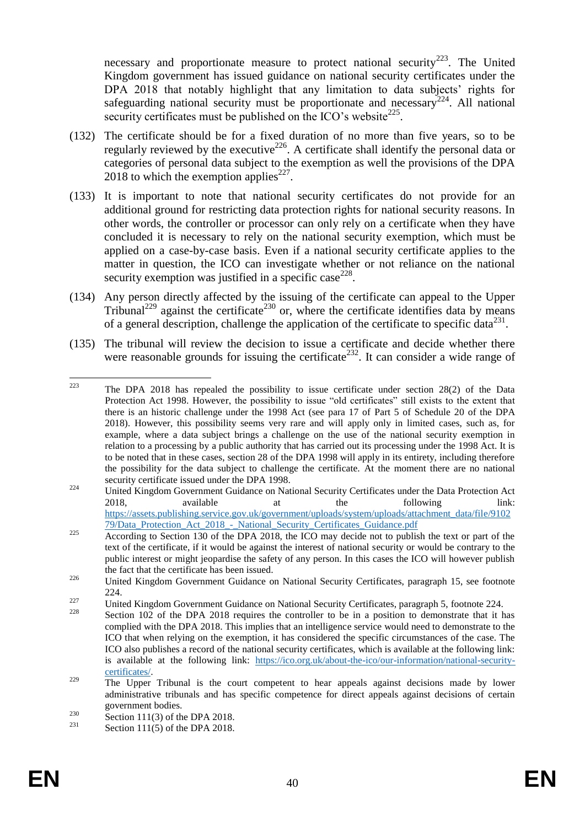<span id="page-40-0"></span>necessary and proportionate measure to protect national security<sup>223</sup>. The United Kingdom government has issued guidance on national security certificates under the DPA 2018 that notably highlight that any limitation to data subjects' rights for safeguarding national security must be proportionate and necessary<sup>224</sup>. All national security certificates must be published on the ICO's website $^{225}$ .

- (132) The certificate should be for a fixed duration of no more than five years, so to be regularly reviewed by the executive<sup>226</sup>. A certificate shall identify the personal data or categories of personal data subject to the exemption as well the provisions of the DPA  $2018$  to which the exemption applies<sup>227</sup>.
- (133) It is important to note that national security certificates do not provide for an additional ground for restricting data protection rights for national security reasons. In other words, the controller or processor can only rely on a certificate when they have concluded it is necessary to rely on the national security exemption, which must be applied on a case-by-case basis. Even if a national security certificate applies to the matter in question, the ICO can investigate whether or not reliance on the national security exemption was justified in a specific case<sup>228</sup>.
- (134) Any person directly affected by the issuing of the certificate can appeal to the Upper Tribunal<sup>229</sup> against the certificate<sup>230</sup> or, where the certificate identifies data by means of a general description, challenge the application of the certificate to specific data $^{231}$ .
- (135) The tribunal will review the decision to issue a certificate and decide whether there were reasonable grounds for issuing the certificate<sup>232</sup>. It can consider a wide range of

<sup>223</sup> The DPA 2018 has repealed the possibility to issue certificate under section 28(2) of the Data Protection Act 1998. However, the possibility to issue "old certificates" still exists to the extent that there is an historic challenge under the 1998 Act (see para 17 of [Part 5 of Schedule 20](https://urldefense.com/v3/__https:/gbr01.safelinks.protection.outlook.com/?url=https*3A*2F*2Fwww.legislation.gov.uk*2Fukpga*2F2018*2F12*2Fschedule*2F20*2Fpart*2F5*2Fenacted&data=04*7C01*7CMartin.Kelly2*40homeoffice.gov.uk*7C8cd255b7fd5748731d0708d8fdb1fb16*7Cf24d93ecb2914192a08af182245945c2*7C0*7C0*7C637538288143165869*7CUnknown*7CTWFpbGZsb3d8eyJWIjoiMC4wLjAwMDAiLCJQIjoiV2luMzIiLCJBTiI6Ik1haWwiLCJXVCI6Mn0*3D*7C1000&sdata=BX9yhobvBB8F*2FvLLLTgLHn3YoMNwHiiQqY8mBCrHuf0*3D&reserved=0__;JSUlJSUlJSUlJSUlJSUlJSUlJSUlJSUlJQ!!DOxrgLBm!R6Cx_0eH6jxy9dbDxxKEvlnrb3N6gt_1BWkwYUSnzvsx1omatUnyd94-5jO5ZbPv1NcTSC0$) of the DPA 2018). However, this possibility seems very rare and will apply only in limited cases, such as, for example, where a data subject brings a challenge on the use of the national security exemption in relation to a processing by a public authority that has carried out its processing under the 1998 Act. It is to be noted that in these cases, section 28 of the DPA 1998 will apply in its entirety, including therefore the possibility for the data subject to challenge the certificate. At the moment there are no national security certificate issued under the DPA 1998.

<sup>&</sup>lt;sup>224</sup> United Kingdom Government Guidance on National Security Certificates under the Data Protection Act 2018, available at the following link: [https://assets.publishing.service.gov.uk/government/uploads/system/uploads/attachment\\_data/file/9102](https://assets.publishing.service.gov.uk/government/uploads/system/uploads/attachment_data/file/910279/Data_Protection_Act_2018_-_National_Security_Certificates_Guidance.pdf) [79/Data\\_Protection\\_Act\\_2018\\_-\\_National\\_Security\\_Certificates\\_Guidance.pdf](https://assets.publishing.service.gov.uk/government/uploads/system/uploads/attachment_data/file/910279/Data_Protection_Act_2018_-_National_Security_Certificates_Guidance.pdf)

<sup>225</sup> According to Section 130 of the DPA 2018, the ICO may decide not to publish the text or part of the text of the certificate, if it would be against the interest of national security or would be contrary to the public interest or might jeopardise the safety of any person. In this cases the ICO will however publish the fact that the certificate has been issued.

<sup>&</sup>lt;sup>226</sup> United Kingdom Government Guidance on National Security Certificates, paragraph 15, see footnote  $224$ 

<sup>&</sup>lt;sup>227</sup> United Kingdom Government Guidance on National Security Certificates, paragraph 5, footnote [224.](#page-40-0)

Section 102 of the DPA 2018 requires the controller to be in a position to demonstrate that it has complied with the DPA 2018. This implies that an intelligence service would need to demonstrate to the ICO that when relying on the exemption, it has considered the specific circumstances of the case. The ICO also publishes a record of the national security certificates, which is available at the following link: is available at the following link: [https://ico.org.uk/about-the-ico/our-information/national-security](https://ico.org.uk/about-the-ico/our-information/national-security-certificates/)[certificates/.](https://ico.org.uk/about-the-ico/our-information/national-security-certificates/)

<sup>&</sup>lt;sup>229</sup> The Upper Tribunal is the court competent to hear appeals against decisions made by lower administrative tribunals and has specific competence for direct appeals against decisions of certain government bodies.

<sup>&</sup>lt;sup>230</sup> Section 111(3) of the DPA 2018.

Section  $11(5)$  of the DPA 2018.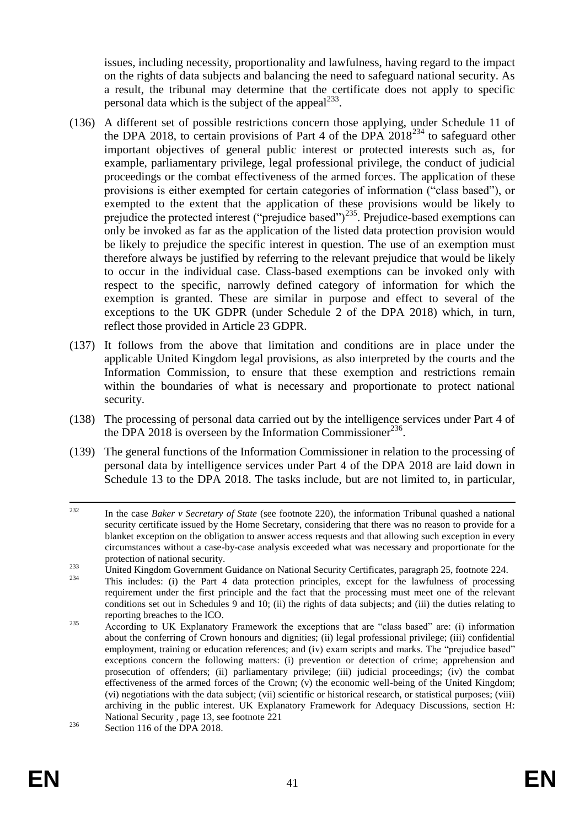issues, including necessity, proportionality and lawfulness, having regard to the impact on the rights of data subjects and balancing the need to safeguard national security. As a result, the tribunal may determine that the certificate does not apply to specific personal data which is the subject of the appeal $^{233}$ .

- (136) A different set of possible restrictions concern those applying, under Schedule 11 of the DPA 2018, to certain provisions of Part 4 of the DPA  $2018^{234}$  to safeguard other important objectives of general public interest or protected interests such as, for example, parliamentary privilege, legal professional privilege, the conduct of judicial proceedings or the combat effectiveness of the armed forces. The application of these provisions is either exempted for certain categories of information ("class based"), or exempted to the extent that the application of these provisions would be likely to prejudice the protected interest ("prejudice based")<sup>235</sup>. Prejudice-based exemptions can only be invoked as far as the application of the listed data protection provision would be likely to prejudice the specific interest in question. The use of an exemption must therefore always be justified by referring to the relevant prejudice that would be likely to occur in the individual case. Class-based exemptions can be invoked only with respect to the specific, narrowly defined category of information for which the exemption is granted. These are similar in purpose and effect to several of the exceptions to the UK GDPR (under Schedule 2 of the DPA 2018) which, in turn, reflect those provided in Article 23 GDPR.
- (137) It follows from the above that limitation and conditions are in place under the applicable United Kingdom legal provisions, as also interpreted by the courts and the Information Commission, to ensure that these exemption and restrictions remain within the boundaries of what is necessary and proportionate to protect national security.
- (138) The processing of personal data carried out by the intelligence services under Part 4 of the DPA 2018 is overseen by the Information Commissioner $^{236}$ .
- (139) The general functions of the Information Commissioner in relation to the processing of personal data by intelligence services under Part 4 of the DPA 2018 are laid down in Schedule 13 to the DPA 2018. The tasks include, but are not limited to, in particular,

<sup>232</sup> <sup>232</sup> In the case *Baker v Secretary of State* (see footnote [220\)](#page-39-0), the information Tribunal quashed a national security certificate issued by the Home Secretary, considering that there was no reason to provide for a blanket exception on the obligation to answer access requests and that allowing such exception in every circumstances without a case-by-case analysis exceeded what was necessary and proportionate for the protection of national security.

<sup>&</sup>lt;sup>233</sup><br>United Kingdom Government Guidance on National Security Certificates, paragraph 25, footnote [224.](#page-40-0)

<sup>234</sup> This includes: (i) the Part 4 data protection principles, except for the lawfulness of processing requirement under the first principle and the fact that the processing must meet one of the relevant conditions set out in Schedules 9 and 10; (ii) the rights of data subjects; and (iii) the duties relating to reporting breaches to the ICO.

<sup>&</sup>lt;sup>235</sup> According to UK Explanatory Framework the exceptions that are "class based" are: (i) information about the conferring of Crown honours and dignities; (ii) legal professional privilege; (iii) confidential employment, training or education references; and (iv) exam scripts and marks. The "prejudice based" exceptions concern the following matters: (i) prevention or detection of crime; apprehension and prosecution of offenders; (ii) parliamentary privilege; (iii) judicial proceedings; (iv) the combat effectiveness of the armed forces of the Crown; (v) the economic well-being of the United Kingdom; (vi) negotiations with the data subject; (vii) scientific or historical research, or statistical purposes; (viii) archiving in the public interest. UK Explanatory Framework for Adequacy Discussions, section H: National Security , page 13, see footnote [221](#page-39-1)

<sup>&</sup>lt;sup>236</sup> Section 116 of the DPA 2018.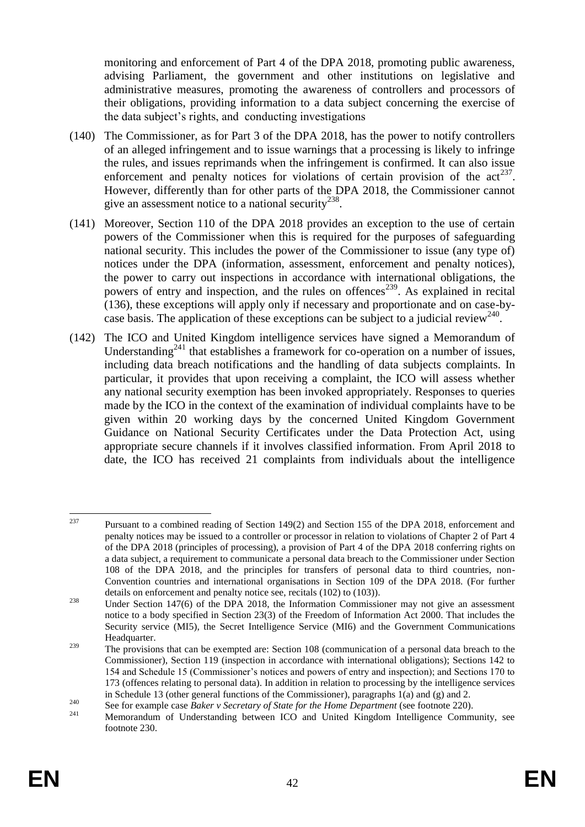monitoring and enforcement of Part 4 of the DPA 2018, promoting public awareness, advising Parliament, the government and other institutions on legislative and administrative measures, promoting the awareness of controllers and processors of their obligations, providing information to a data subject concerning the exercise of the data subject's rights, and conducting investigations

- (140) The Commissioner, as for Part 3 of the DPA 2018, has the power to notify controllers of an alleged infringement and to issue warnings that a processing is likely to infringe the rules, and issues reprimands when the infringement is confirmed. It can also issue enforcement and penalty notices for violations of certain provision of the  $act^{237}$ . However, differently than for other parts of the DPA 2018, the Commissioner cannot give an assessment notice to a national security<sup>238</sup>.
- (141) Moreover, Section 110 of the DPA 2018 provides an exception to the use of certain powers of the Commissioner when this is required for the purposes of safeguarding national security. This includes the power of the Commissioner to issue (any type of) notices under the DPA (information, assessment, enforcement and penalty notices), the power to carry out inspections in accordance with international obligations, the powers of entry and inspection, and the rules on offences<sup>239</sup>. As explained in recital (136), these exceptions will apply only if necessary and proportionate and on case-bycase basis. The application of these exceptions can be subject to a judicial review<sup>240</sup>.
- (142) The ICO and United Kingdom intelligence services have signed a Memorandum of Understanding<sup>241</sup> that establishes a framework for co-operation on a number of issues, including data breach notifications and the handling of data subjects complaints. In particular, it provides that upon receiving a complaint, the ICO will assess whether any national security exemption has been invoked appropriately. Responses to queries made by the ICO in the context of the examination of individual complaints have to be given within 20 working days by the concerned United Kingdom Government Guidance on National Security Certificates under the Data Protection Act, using appropriate secure channels if it involves classified information. From April 2018 to date, the ICO has received 21 complaints from individuals about the intelligence

<sup>237</sup> <sup>237</sup> Pursuant to a combined reading of Section 149(2) and Section 155 of the DPA 2018, enforcement and penalty notices may be issued to a controller or processor in relation to violations of Chapter 2 of Part 4 of the DPA 2018 (principles of processing), a provision of Part 4 of the DPA 2018 conferring rights on a data subject, a requirement to communicate a personal data breach to the Commissioner under Section 108 of the DPA 2018, and the principles for transfers of personal data to third countries, non-Convention countries and international organisations in Section 109 of the DPA 2018. (For further details on enforcement and penalty notice see, recitals (102) to (103)).

<sup>&</sup>lt;sup>238</sup> Under Section 147(6) of the DPA 2018, the Information Commissioner may not give an assessment notice to a body specified in Section 23(3) of the Freedom of Information Act 2000. That includes the Security service (MI5), the Secret Intelligence Service (MI6) and the Government Communications Headquarter.

<sup>&</sup>lt;sup>239</sup> The provisions that can be exempted are: Section 108 (communication of a personal data breach to the Commissioner), Section 119 (inspection in accordance with international obligations); Sections 142 to 154 and Schedule 15 (Commissioner's notices and powers of entry and inspection); and Sections 170 to 173 (offences relating to personal data). In addition in relation to processing by the intelligence services in Schedule 13 (other general functions of the Commissioner), paragraphs  $1(a)$  and  $(g)$  and 2.

<sup>240&</sup>lt;br>
See for example case *Baker v Secretary of State for the Home Department* (see footnote [220\)](#page-39-0).

<sup>241</sup> Memorandum of Understanding between ICO and United Kingdom Intelligence Community, see footnote 230.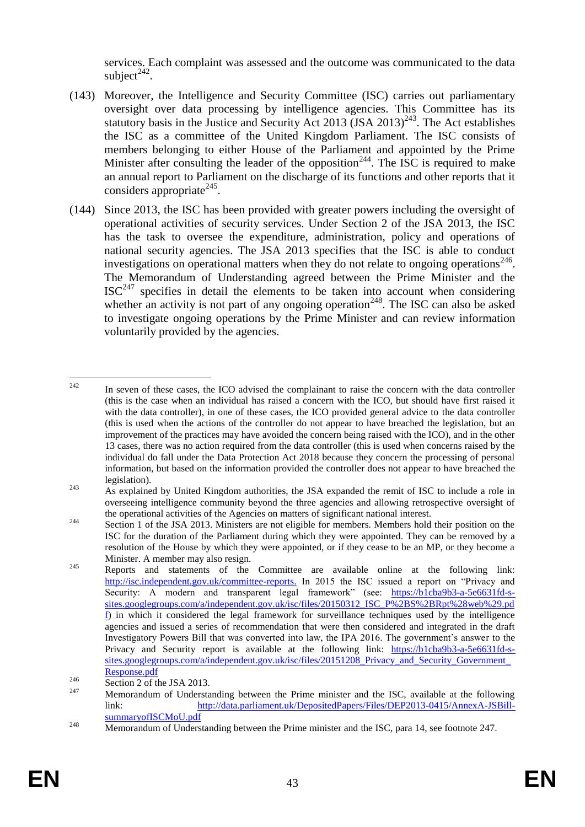services. Each complaint was assessed and the outcome was communicated to the data subject $^{242}$ .

- (143) Moreover, the Intelligence and Security Committee (ISC) carries out parliamentary oversight over data processing by intelligence agencies. This Committee has its statutory basis in the Justice and Security Act 2013 (JSA 2013)<sup>243</sup>. The Act establishes the ISC as a committee of the United Kingdom Parliament. The ISC consists of members belonging to either House of the Parliament and appointed by the Prime Minister after consulting the leader of the opposition<sup>244</sup>. The ISC is required to make an annual report to Parliament on the discharge of its functions and other reports that it considers appropriate<sup>245</sup>.
- <span id="page-43-0"></span>(144) Since 2013, the ISC has been provided with greater powers including the oversight of operational activities of security services. Under Section 2 of the JSA 2013, the ISC has the task to oversee the expenditure, administration, policy and operations of national security agencies. The JSA 2013 specifies that the ISC is able to conduct investigations on operational matters when they do not relate to ongoing operations<sup>246</sup>. The Memorandum of Understanding agreed between the Prime Minister and the  $ISC^{247}$  specifies in detail the elements to be taken into account when considering whether an activity is not part of any ongoing operation<sup>248</sup>. The ISC can also be asked to investigate ongoing operations by the Prime Minister and can review information voluntarily provided by the agencies.

 $242$ In seven of these cases, the ICO advised the complainant to raise the concern with the data controller (this is the case when an individual has raised a concern with the ICO, but should have first raised it with the data controller), in one of these cases, the ICO provided general advice to the data controller (this is used when the actions of the controller do not appear to have breached the legislation, but an improvement of the practices may have avoided the concern being raised with the ICO), and in the other 13 cases, there was no action required from the data controller (this is used when concerns raised by the individual do fall under the Data Protection Act 2018 because they concern the processing of personal information, but based on the information provided the controller does not appear to have breached the legislation).

<sup>&</sup>lt;sup>243</sup> As explained by United Kingdom authorities, the JSA expanded the remit of ISC to include a role in overseeing intelligence community beyond the three agencies and allowing retrospective oversight of the operational activities of the Agencies on matters of significant national interest.

<sup>&</sup>lt;sup>244</sup> Section 1 of the JSA 2013. Ministers are not eligible for members. Members hold their position on the ISC for the duration of the Parliament during which they were appointed. They can be removed by a resolution of the House by which they were appointed, or if they cease to be an MP, or they become a Minister. A member may also resign.

<sup>&</sup>lt;sup>245</sup> Reports and statements of the Committee are available online at the following link: [http://isc.independent.gov.uk/committee-reports.](http://isc.independent.gov.uk/committee-reports) In 2015 the ISC issued a report on "Privacy and Security: A modern and transparent legal framework" (see: [https://b1cba9b3-a-5e6631fd-s](https://b1cba9b3-a-5e6631fd-s-sites.googlegroups.com/a/independent.gov.uk/isc/files/20150312_ISC_P%2BS%2BRpt%28web%29.pdf)[sites.googlegroups.com/a/independent.gov.uk/isc/files/20150312\\_ISC\\_P%2BS%2BRpt%28web%29.pd](https://b1cba9b3-a-5e6631fd-s-sites.googlegroups.com/a/independent.gov.uk/isc/files/20150312_ISC_P%2BS%2BRpt%28web%29.pdf)  $\hat{p}$  in which it considered the legal framework for surveillance techniques used by the intelligence agencies and issued a series of recommendation that were then considered and integrated in the draft Investigatory Powers Bill that was converted into law, the IPA 2016. The government's answer to the Privacy and Security report is available at the following link: [https://b1cba9b3-a-5e6631fd-s](https://b1cba9b3-a-5e6631fd-s-sites.googlegroups.com/a/independent.gov.uk/isc/files/20151208_Privacy_and_Security_Government_Response.pdf)sites.googlegroups.com/a/independent.gov.uk/isc/files/20151208\_Privacy\_and\_Security\_Government [Response.pdf](https://b1cba9b3-a-5e6631fd-s-sites.googlegroups.com/a/independent.gov.uk/isc/files/20151208_Privacy_and_Security_Government_Response.pdf)

 $\frac{246}{\text{Section 2 of the JSA 2013}}$ .

<sup>247</sup> Memorandum of Understanding between the Prime minister and the ISC, available at the following link: [http://data.parliament.uk/DepositedPapers/Files/DEP2013-0415/AnnexA-JSBill](http://data.parliament.uk/DepositedPapers/Files/DEP2013-0415/AnnexA-JSBill-summaryofISCMoU.pdf)[summaryofISCMoU.pdf](http://data.parliament.uk/DepositedPapers/Files/DEP2013-0415/AnnexA-JSBill-summaryofISCMoU.pdf)

 $\frac{248}{\text{Memon}}$  Memorandum of Understanding between the Prime minister and the ISC, para 14, see footnote [247.](#page-43-0)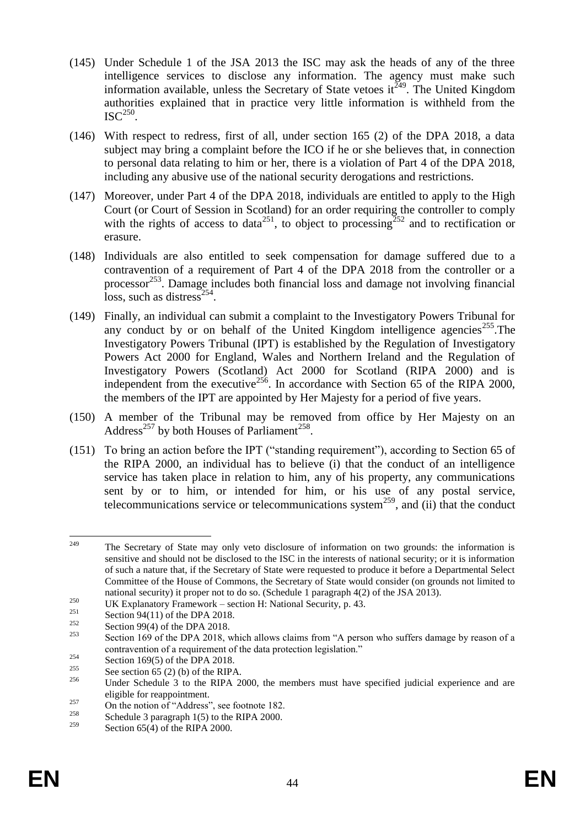- (145) Under Schedule 1 of the JSA 2013 the ISC may ask the heads of any of the three intelligence services to disclose any information. The agency must make such information available, unless the Secretary of State vetoes  $it^{249}$ . The United Kingdom authorities explained that in practice very little information is withheld from the  $\mathrm{ISC}^{250}$ .
- (146) With respect to redress, first of all, under section 165 (2) of the DPA 2018, a data subject may bring a complaint before the ICO if he or she believes that, in connection to personal data relating to him or her, there is a violation of Part 4 of the DPA 2018, including any abusive use of the national security derogations and restrictions.
- (147) Moreover, under Part 4 of the DPA 2018, individuals are entitled to apply to the High Court (or Court of Session in Scotland) for an order requiring the controller to comply with the rights of access to data<sup>251</sup>, to object to processing<sup>252</sup> and to rectification or erasure.
- (148) Individuals are also entitled to seek compensation for damage suffered due to a contravention of a requirement of Part 4 of the DPA 2018 from the controller or a processor<sup>253</sup>. Damage includes both financial loss and damage not involving financial  $\cos$ , such as distress<sup>254</sup>.
- (149) Finally, an individual can submit a complaint to the Investigatory Powers Tribunal for any conduct by or on behalf of the United Kingdom intelligence agencies<sup>255</sup>. The Investigatory Powers Tribunal (IPT) is established by the Regulation of Investigatory Powers Act 2000 for England, Wales and Northern Ireland and the Regulation of Investigatory Powers (Scotland) Act 2000 for Scotland (RIPA 2000) and is independent from the executive<sup>256</sup>. In accordance with Section 65 of the RIPA 2000, the members of the IPT are appointed by Her Majesty for a period of five years.
- (150) A member of the Tribunal may be removed from office by Her Majesty on an Address<sup>257</sup> by both Houses of Parliament<sup>258</sup>.
- (151) To bring an action before the IPT ("standing requirement"), according to Section 65 of the RIPA 2000, an individual has to believe (i) that the conduct of an intelligence service has taken place in relation to him, any of his property, any communications sent by or to him, or intended for him, or his use of any postal service, telecommunications service or telecommunications system<sup>259</sup>, and (ii) that the conduct

<sup>249</sup> The Secretary of State may only veto disclosure of information on two grounds: the information is sensitive and should not be disclosed to the ISC in the interests of national security; or it is information of such a nature that, if the Secretary of State were requested to produce it before a Departmental Select Committee of the House of Commons, the Secretary of State would consider (on grounds not limited to national security) it proper not to do so. (Schedule 1 paragraph 4(2) of the JSA 2013).

<sup>&</sup>lt;sup>250</sup> UK Explanatory Framework – section H: National Security, p. 43.

<sup>&</sup>lt;sup>251</sup> Section 94(11) of the DPA 2018.

<sup>&</sup>lt;sup>252</sup> Section 99(4) of the DPA 2018.

Section 169 of the DPA 2018, which allows claims from "A person who suffers damage by reason of a contravention of a requirement of the data protection legislation."

<sup>&</sup>lt;sup>254</sup> Section 169(5) of the DPA 2018.

<sup>&</sup>lt;sup>255</sup> See section 65 (2) (b) of the RIPA.

Under Schedule 3 to the RIPA 2000, the members must have specified judicial experience and are eligible for reappointment.

<sup>&</sup>lt;sup>257</sup> On the notion of "Address", see footnote 182.<br><sup>258</sup> Caba dela 2 on manual 1(5) to the PIDA 2000.

<sup>&</sup>lt;sup>258</sup> Schedule 3 paragraph 1(5) to the RIPA 2000.

Section  $65(4)$  of the RIPA 2000.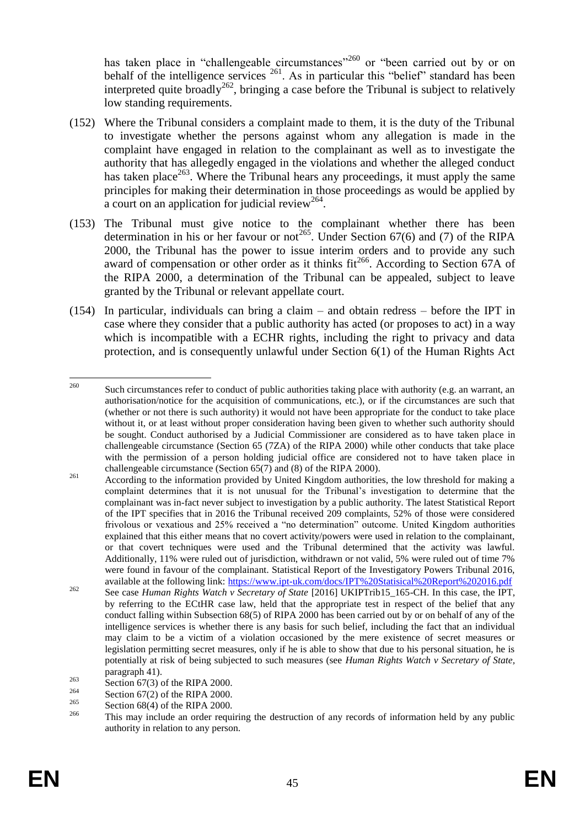has taken place in "challengeable circumstances"<sup>260</sup> or "been carried out by or on behalf of the intelligence services  $^{261}$ . As in particular this "belief" standard has been interpreted quite broadly<sup>262</sup>, bringing a case before the Tribunal is subject to relatively low standing requirements.

- (152) Where the Tribunal considers a complaint made to them, it is the duty of the Tribunal to investigate whether the persons against whom any allegation is made in the complaint have engaged in relation to the complainant as well as to investigate the authority that has allegedly engaged in the violations and whether the alleged conduct has taken place<sup>263</sup>. Where the Tribunal hears any proceedings, it must apply the same principles for making their determination in those proceedings as would be applied by  $\alpha$  court on an application for judicial review<sup>264</sup>.
- (153) The Tribunal must give notice to the complainant whether there has been determination in his or her favour or not<sup>265</sup>. Under Section 67(6) and (7) of the RIPA 2000, the Tribunal has the power to issue interim orders and to provide any such award of compensation or other order as it thinks  $fit^{266}$ . According to Section 67A of the RIPA 2000, a determination of the Tribunal can be appealed, subject to leave granted by the Tribunal or relevant appellate court.
- (154) In particular, individuals can bring a claim and obtain redress before the IPT in case where they consider that a public authority has acted (or proposes to act) in a way which is incompatible with a ECHR rights, including the right to privacy and data protection, and is consequently unlawful under Section 6(1) of the Human Rights Act

<sup>260</sup> Such circumstances refer to conduct of public authorities taking place with authority (e.g. an warrant, an authorisation/notice for the acquisition of communications, etc.), or if the circumstances are such that (whether or not there is such authority) it would not have been appropriate for the conduct to take place without it, or at least without proper consideration having been given to whether such authority should be sought. Conduct authorised by a Judicial Commissioner are considered as to have taken place in challengeable circumstance (Section 65 (7ZA) of the RIPA 2000) while other conducts that take place with the permission of a person holding judicial office are considered not to have taken place in challengeable circumstance (Section 65(7) and (8) of the RIPA 2000).

<sup>&</sup>lt;sup>261</sup> According to the information provided by United Kingdom authorities, the low threshold for making a complaint determines that it is not unusual for the Tribunal's investigation to determine that the complainant was in-fact never subject to investigation by a public authority. The latest Statistical Report of the IPT specifies that in 2016 the Tribunal received 209 complaints, 52% of those were considered frivolous or vexatious and 25% received a "no determination" outcome. United Kingdom authorities explained that this either means that no covert activity/powers were used in relation to the complainant, or that covert techniques were used and the Tribunal determined that the activity was lawful. Additionally, 11% were ruled out of jurisdiction, withdrawn or not valid, 5% were ruled out of time 7% were found in favour of the complainant. Statistical Report of the Investigatory Powers Tribunal 2016, available at the following link:<https://www.ipt-uk.com/docs/IPT%20Statisical%20Report%202016.pdf>

<sup>&</sup>lt;sup>262</sup> See case *Human Rights Watch v Secretary of State* [2016] UKIPTrib15 165-CH. In this case, the IPT, by referring to the ECtHR case law, held that the appropriate test in respect of the belief that any conduct falling within Subsection 68(5) of RIPA 2000 has been carried out by or on behalf of any of the intelligence services is whether there is any basis for such belief, including the fact that an individual may claim to be a victim of a violation occasioned by the mere existence of secret measures or legislation permitting secret measures, only if he is able to show that due to his personal situation, he is potentially at risk of being subjected to such measures (see *Human Rights Watch v Secretary of State,* paragraph 41).

 $\frac{263}{264}$  Section 67(3) of the RIPA 2000.

<sup>&</sup>lt;sup>264</sup> Section 67(2) of the RIPA 2000.

<sup>&</sup>lt;sup>265</sup> Section 68(4) of the RIPA 2000.

<sup>266</sup> This may include an order requiring the destruction of any records of information held by any public authority in relation to any person.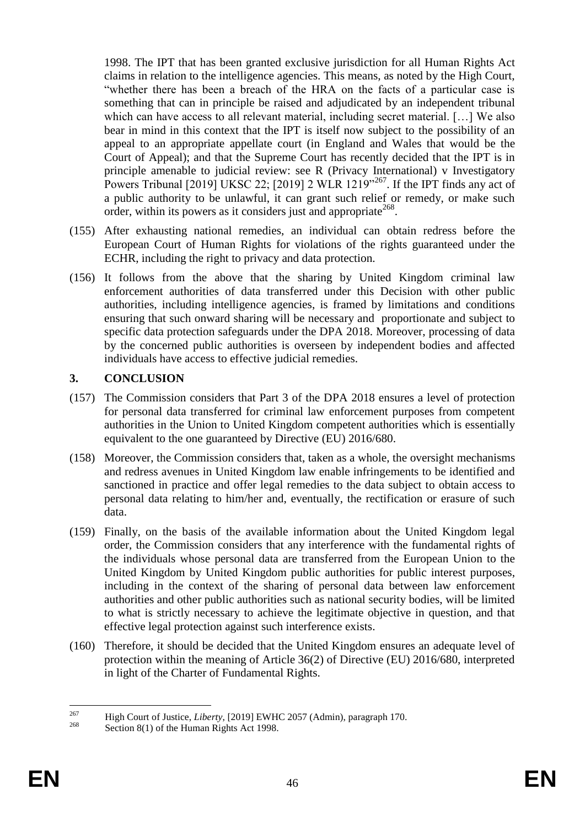1998. The IPT that has been granted exclusive jurisdiction for all Human Rights Act claims in relation to the intelligence agencies. This means, as noted by the High Court, "whether there has been a breach of the HRA on the facts of a particular case is something that can in principle be raised and adjudicated by an independent tribunal which can have access to all relevant material, including secret material. [...] We also bear in mind in this context that the IPT is itself now subject to the possibility of an appeal to an appropriate appellate court (in England and Wales that would be the Court of Appeal); and that the Supreme Court has recently decided that the IPT is in principle amenable to judicial review: see R (Privacy International) v Investigatory Powers Tribunal [2019] UKSC 22; [2019] 2 WLR 1219<sup> $2^{267}$ </sup>. If the IPT finds any act of a public authority to be unlawful, it can grant such relief or remedy, or make such order, within its powers as it considers just and appropriate<sup>268</sup>.

- (155) After exhausting national remedies, an individual can obtain redress before the European Court of Human Rights for violations of the rights guaranteed under the ECHR, including the right to privacy and data protection.
- (156) It follows from the above that the sharing by United Kingdom criminal law enforcement authorities of data transferred under this Decision with other public authorities, including intelligence agencies, is framed by limitations and conditions ensuring that such onward sharing will be necessary and proportionate and subject to specific data protection safeguards under the DPA 2018. Moreover, processing of data by the concerned public authorities is overseen by independent bodies and affected individuals have access to effective judicial remedies.

## **3. CONCLUSION**

- (157) The Commission considers that Part 3 of the DPA 2018 ensures a level of protection for personal data transferred for criminal law enforcement purposes from competent authorities in the Union to United Kingdom competent authorities which is essentially equivalent to the one guaranteed by Directive (EU) 2016/680.
- (158) Moreover, the Commission considers that, taken as a whole, the oversight mechanisms and redress avenues in United Kingdom law enable infringements to be identified and sanctioned in practice and offer legal remedies to the data subject to obtain access to personal data relating to him/her and, eventually, the rectification or erasure of such data.
- (159) Finally, on the basis of the available information about the United Kingdom legal order, the Commission considers that any interference with the fundamental rights of the individuals whose personal data are transferred from the European Union to the United Kingdom by United Kingdom public authorities for public interest purposes, including in the context of the sharing of personal data between law enforcement authorities and other public authorities such as national security bodies, will be limited to what is strictly necessary to achieve the legitimate objective in question, and that effective legal protection against such interference exists.
- (160) Therefore, it should be decided that the United Kingdom ensures an adequate level of protection within the meaning of Article 36(2) of Directive (EU) 2016/680, interpreted in light of the Charter of Fundamental Rights.

<sup>267</sup> <sup>267</sup> High Court of Justice, *Liberty*, [2019] EWHC 2057 (Admin), paragraph 170.

Section 8(1) of the Human Rights Act 1998.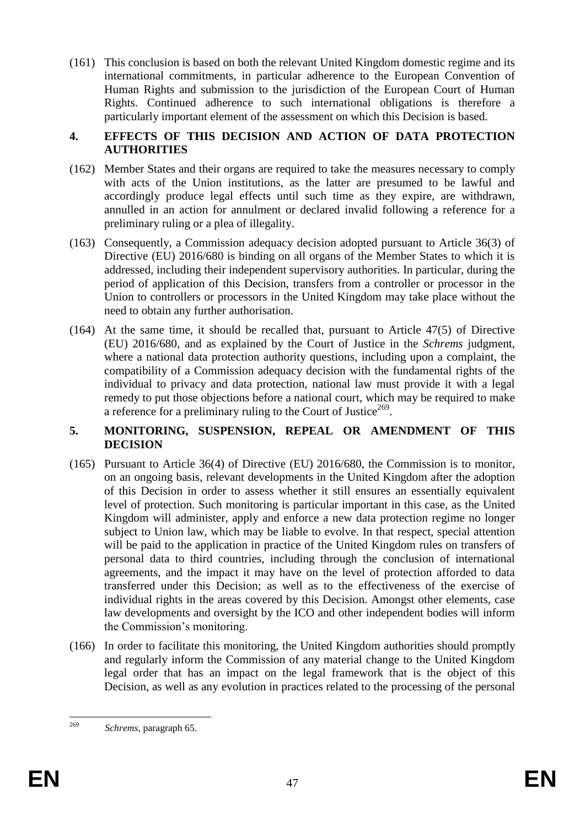(161) This conclusion is based on both the relevant United Kingdom domestic regime and its international commitments, in particular adherence to the European Convention of Human Rights and submission to the jurisdiction of the European Court of Human Rights. Continued adherence to such international obligations is therefore a particularly important element of the assessment on which this Decision is based.

#### **4. EFFECTS OF THIS DECISION AND ACTION OF DATA PROTECTION AUTHORITIES**

- (162) Member States and their organs are required to take the measures necessary to comply with acts of the Union institutions, as the latter are presumed to be lawful and accordingly produce legal effects until such time as they expire, are withdrawn, annulled in an action for annulment or declared invalid following a reference for a preliminary ruling or a plea of illegality.
- (163) Consequently, a Commission adequacy decision adopted pursuant to Article 36(3) of Directive (EU) 2016/680 is binding on all organs of the Member States to which it is addressed, including their independent supervisory authorities. In particular, during the period of application of this Decision, transfers from a controller or processor in the Union to controllers or processors in the United Kingdom may take place without the need to obtain any further authorisation.
- (164) At the same time, it should be recalled that, pursuant to Article 47(5) of Directive (EU) 2016/680, and as explained by the Court of Justice in the *Schrems* judgment, where a national data protection authority questions, including upon a complaint, the compatibility of a Commission adequacy decision with the fundamental rights of the individual to privacy and data protection, national law must provide it with a legal remedy to put those objections before a national court, which may be required to make a reference for a preliminary ruling to the Court of Justice<sup>269</sup>.

#### **5. MONITORING, SUSPENSION, REPEAL OR AMENDMENT OF THIS DECISION**

- (165) Pursuant to Article 36(4) of Directive (EU) 2016/680, the Commission is to monitor, on an ongoing basis, relevant developments in the United Kingdom after the adoption of this Decision in order to assess whether it still ensures an essentially equivalent level of protection. Such monitoring is particular important in this case, as the United Kingdom will administer, apply and enforce a new data protection regime no longer subject to Union law, which may be liable to evolve. In that respect, special attention will be paid to the application in practice of the United Kingdom rules on transfers of personal data to third countries, including through the conclusion of international agreements, and the impact it may have on the level of protection afforded to data transferred under this Decision; as well as to the effectiveness of the exercise of individual rights in the areas covered by this Decision. Amongst other elements, case law developments and oversight by the ICO and other independent bodies will inform the Commission's monitoring.
- (166) In order to facilitate this monitoring, the United Kingdom authorities should promptly and regularly inform the Commission of any material change to the United Kingdom legal order that has an impact on the legal framework that is the object of this Decision, as well as any evolution in practices related to the processing of the personal

<sup>269</sup> <sup>269</sup> *Schrems*, paragraph 65.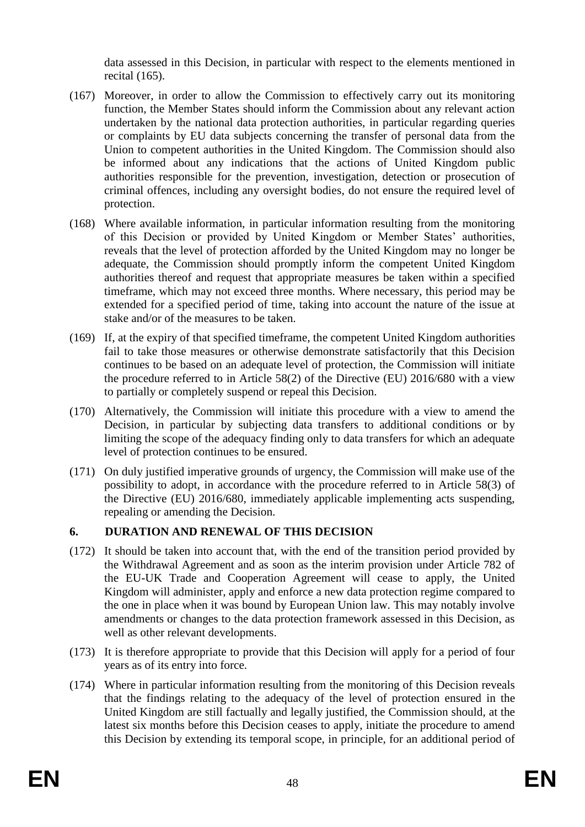data assessed in this Decision, in particular with respect to the elements mentioned in recital (165).

- (167) Moreover, in order to allow the Commission to effectively carry out its monitoring function, the Member States should inform the Commission about any relevant action undertaken by the national data protection authorities, in particular regarding queries or complaints by EU data subjects concerning the transfer of personal data from the Union to competent authorities in the United Kingdom. The Commission should also be informed about any indications that the actions of United Kingdom public authorities responsible for the prevention, investigation, detection or prosecution of criminal offences, including any oversight bodies, do not ensure the required level of protection.
- (168) Where available information, in particular information resulting from the monitoring of this Decision or provided by United Kingdom or Member States' authorities, reveals that the level of protection afforded by the United Kingdom may no longer be adequate, the Commission should promptly inform the competent United Kingdom authorities thereof and request that appropriate measures be taken within a specified timeframe, which may not exceed three months. Where necessary, this period may be extended for a specified period of time, taking into account the nature of the issue at stake and/or of the measures to be taken.
- (169) If, at the expiry of that specified timeframe, the competent United Kingdom authorities fail to take those measures or otherwise demonstrate satisfactorily that this Decision continues to be based on an adequate level of protection, the Commission will initiate the procedure referred to in Article 58(2) of the Directive (EU) 2016/680 with a view to partially or completely suspend or repeal this Decision.
- (170) Alternatively, the Commission will initiate this procedure with a view to amend the Decision, in particular by subjecting data transfers to additional conditions or by limiting the scope of the adequacy finding only to data transfers for which an adequate level of protection continues to be ensured.
- (171) On duly justified imperative grounds of urgency, the Commission will make use of the possibility to adopt, in accordance with the procedure referred to in Article 58(3) of the Directive (EU) 2016/680, immediately applicable implementing acts suspending, repealing or amending the Decision.

## **6. DURATION AND RENEWAL OF THIS DECISION**

- (172) It should be taken into account that, with the end of the transition period provided by the Withdrawal Agreement and as soon as the interim provision under Article 782 of the EU-UK Trade and Cooperation Agreement will cease to apply, the United Kingdom will administer, apply and enforce a new data protection regime compared to the one in place when it was bound by European Union law. This may notably involve amendments or changes to the data protection framework assessed in this Decision, as well as other relevant developments.
- (173) It is therefore appropriate to provide that this Decision will apply for a period of four years as of its entry into force.
- (174) Where in particular information resulting from the monitoring of this Decision reveals that the findings relating to the adequacy of the level of protection ensured in the United Kingdom are still factually and legally justified, the Commission should, at the latest six months before this Decision ceases to apply, initiate the procedure to amend this Decision by extending its temporal scope, in principle, for an additional period of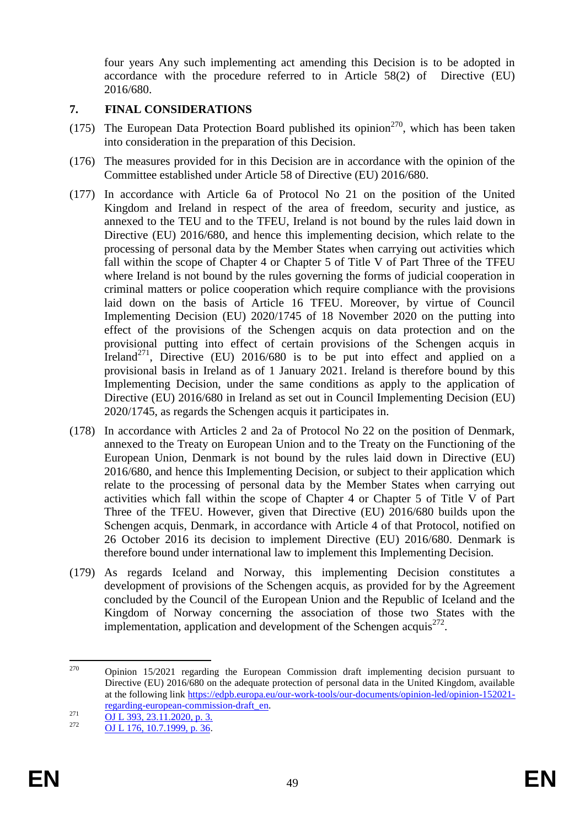four years Any such implementing act amending this Decision is to be adopted in accordance with the procedure referred to in Article 58(2) of Directive (EU) 2016/680.

## **7. FINAL CONSIDERATIONS**

- (175) The European Data Protection Board published its opinion<sup>270</sup>, which has been taken into consideration in the preparation of this Decision.
- (176) The measures provided for in this Decision are in accordance with the opinion of the Committee established under Article 58 of Directive (EU) 2016/680.
- (177) In accordance with Article 6a of Protocol No 21 on the position of the United Kingdom and Ireland in respect of the area of freedom, security and justice, as annexed to the TEU and to the TFEU, Ireland is not bound by the rules laid down in Directive (EU) 2016/680, and hence this implementing decision, which relate to the processing of personal data by the Member States when carrying out activities which fall within the scope of Chapter 4 or Chapter 5 of Title V of Part Three of the TFEU where Ireland is not bound by the rules governing the forms of judicial cooperation in criminal matters or police cooperation which require compliance with the provisions laid down on the basis of Article 16 TFEU. Moreover, by virtue of Council Implementing Decision (EU) 2020/1745 of 18 November 2020 on the putting into effect of the provisions of the Schengen acquis on data protection and on the provisional putting into effect of certain provisions of the Schengen acquis in Ireland<sup>271</sup>, Directive (EU)  $2016/680$  is to be put into effect and applied on a provisional basis in Ireland as of 1 January 2021. Ireland is therefore bound by this Implementing Decision, under the same conditions as apply to the application of Directive (EU) 2016/680 in Ireland as set out in Council Implementing Decision (EU) 2020/1745, as regards the Schengen acquis it participates in.
- (178) In accordance with Articles 2 and 2a of Protocol No 22 on the position of Denmark, annexed to the Treaty on European Union and to the Treaty on the Functioning of the European Union, Denmark is not bound by the rules laid down in Directive (EU) 2016/680, and hence this Implementing Decision, or subject to their application which relate to the processing of personal data by the Member States when carrying out activities which fall within the scope of Chapter 4 or Chapter 5 of Title V of Part Three of the TFEU. However, given that Directive (EU) 2016/680 builds upon the Schengen acquis, Denmark, in accordance with Article 4 of that Protocol, notified on 26 October 2016 its decision to implement Directive (EU) 2016/680. Denmark is therefore bound under international law to implement this Implementing Decision.
- (179) As regards Iceland and Norway, this implementing Decision constitutes a development of provisions of the Schengen acquis, as provided for by the Agreement concluded by the Council of the European Union and the Republic of Iceland and the Kingdom of Norway concerning the association of those two States with the implementation, application and development of the Schengen acquis $^{272}$ .

<sup>1</sup>  $270$  Opinion 15/2021 regarding the European Commission draft implementing decision pursuant to Directive (EU) 2016/680 on the adequate protection of personal data in the United Kingdom, available at the following link [https://edpb.europa.eu/our-work-tools/our-documents/opinion-led/opinion-152021](https://edpb.europa.eu/our-work-tools/our-documents/opinion-led/opinion-152021-regarding-european-commission-draft_en) [regarding-european-commission-draft\\_en.](https://edpb.europa.eu/our-work-tools/our-documents/opinion-led/opinion-152021-regarding-european-commission-draft_en)

 $\frac{271}{272}$   $\frac{0J L 393, 23.11.2020, p. 3.}{0.11.256, 10.712020, p. 3.5}$ 

<sup>272</sup> [OJ L 176, 10.7.1999, p. 36.](https://eur-lex.europa.eu/legal-content/EN/AUTO/?uri=OJ:L:1999:176:TOC)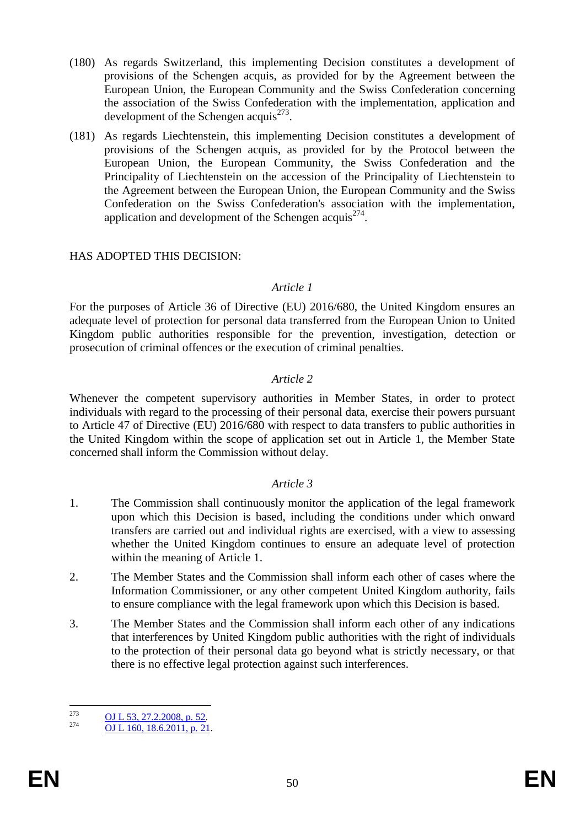- (180) As regards Switzerland, this implementing Decision constitutes a development of provisions of the Schengen acquis, as provided for by the Agreement between the European Union, the European Community and the Swiss Confederation concerning the association of the Swiss Confederation with the implementation, application and development of the Schengen acquis<sup>273</sup>.
- (181) As regards Liechtenstein, this implementing Decision constitutes a development of provisions of the Schengen acquis, as provided for by the Protocol between the European Union, the European Community, the Swiss Confederation and the Principality of Liechtenstein on the accession of the Principality of Liechtenstein to the Agreement between the European Union, the European Community and the Swiss Confederation on the Swiss Confederation's association with the implementation, application and development of the Schengen acquis<sup>274</sup>.

#### HAS ADOPTED THIS DECISION:

#### *Article 1*

For the purposes of Article 36 of Directive (EU) 2016/680, the United Kingdom ensures an adequate level of protection for personal data transferred from the European Union to United Kingdom public authorities responsible for the prevention, investigation, detection or prosecution of criminal offences or the execution of criminal penalties.

#### *Article 2*

Whenever the competent supervisory authorities in Member States, in order to protect individuals with regard to the processing of their personal data, exercise their powers pursuant to Article 47 of Directive (EU) 2016/680 with respect to data transfers to public authorities in the United Kingdom within the scope of application set out in Article 1, the Member State concerned shall inform the Commission without delay.

#### *Article 3*

- 1. The Commission shall continuously monitor the application of the legal framework upon which this Decision is based, including the conditions under which onward transfers are carried out and individual rights are exercised, with a view to assessing whether the United Kingdom continues to ensure an adequate level of protection within the meaning of Article 1.
- 2. The Member States and the Commission shall inform each other of cases where the Information Commissioner, or any other competent United Kingdom authority, fails to ensure compliance with the legal framework upon which this Decision is based.
- 3. The Member States and the Commission shall inform each other of any indications that interferences by United Kingdom public authorities with the right of individuals to the protection of their personal data go beyond what is strictly necessary, or that there is no effective legal protection against such interferences.

<sup>273</sup>  $\frac{273}{274}$  <u>OJ L [53, 27.2.2008, p.](https://eur-lex.europa.eu/legal-content/EN/AUTO/?uri=OJ:L:2008:053:TOC) 52</u>.

 $\overline{O_1L_160.18.6.2011.}$  p. 21.